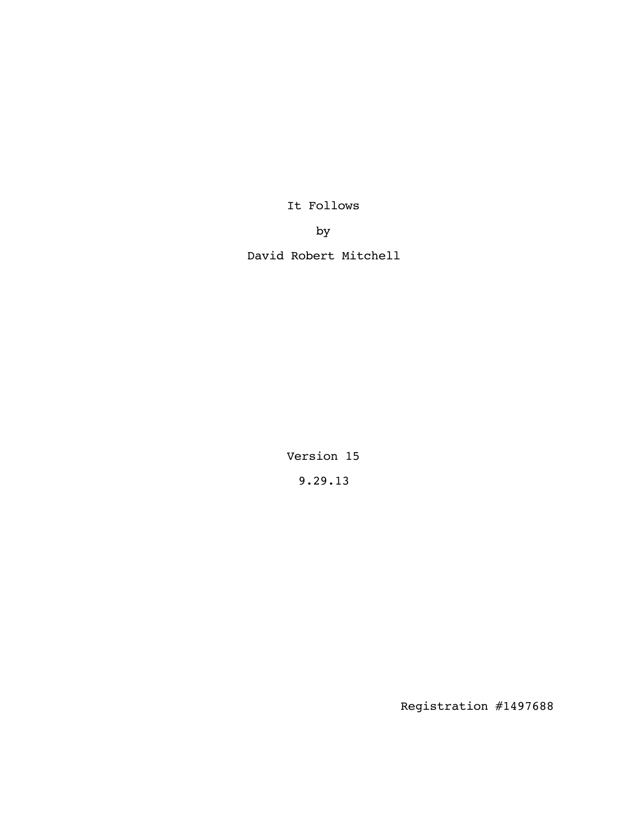It Follows

by

David Robert Mitchell

Version 15 9.29.13

Registration #1497688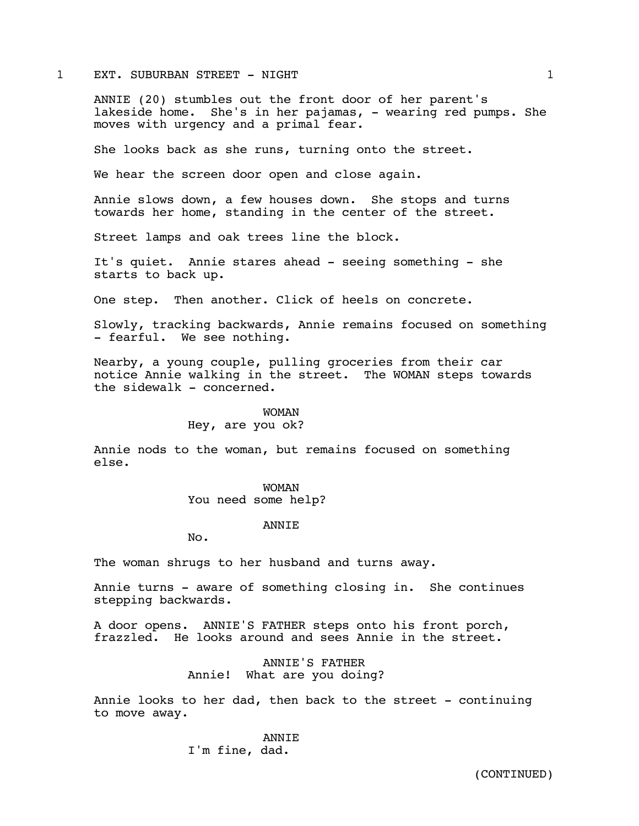#### 1 EXT. SUBURBAN STREET - NIGHT 1

ANNIE (20) stumbles out the front door of her parent's lakeside home. She's in her pajamas, - wearing red pumps. She moves with urgency and a primal fear.

She looks back as she runs, turning onto the street.

We hear the screen door open and close again.

Annie slows down, a few houses down. She stops and turns towards her home, standing in the center of the street.

Street lamps and oak trees line the block.

It's quiet. Annie stares ahead - seeing something - she starts to back up.

One step. Then another. Click of heels on concrete.

Slowly, tracking backwards, Annie remains focused on something - fearful. We see nothing.

Nearby, a young couple, pulling groceries from their car notice Annie walking in the street. The WOMAN steps towards the sidewalk - concerned.

#### WOMAN

# Hey, are you ok?

Annie nods to the woman, but remains focused on something else.

> WOMAN You need some help?

### ANNIE

No.

The woman shrugs to her husband and turns away.

Annie turns - aware of something closing in. She continues stepping backwards.

A door opens. ANNIE'S FATHER steps onto his front porch, frazzled. He looks around and sees Annie in the street.

> ANNIE'S FATHER Annie! What are you doing?

Annie looks to her dad, then back to the street - continuing to move away.

> ANNIE I'm fine, dad.

(CONTINUED)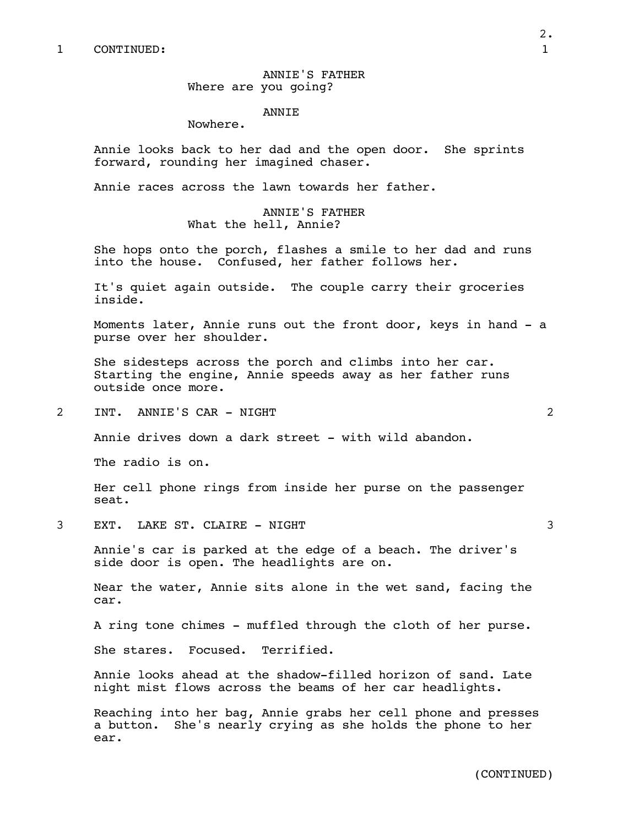ANNIE'S FATHER Where are you going?

### ANNIE

Nowhere.

Annie looks back to her dad and the open door. She sprints forward, rounding her imagined chaser.

Annie races across the lawn towards her father.

ANNIE'S FATHER What the hell, Annie?

She hops onto the porch, flashes a smile to her dad and runs into the house. Confused, her father follows her.

It's quiet again outside. The couple carry their groceries inside.

Moments later, Annie runs out the front door, keys in hand - a purse over her shoulder.

She sidesteps across the porch and climbs into her car. Starting the engine, Annie speeds away as her father runs outside once more.

2 INT. ANNIE'S CAR - NIGHT 2

Annie drives down a dark street - with wild abandon.

The radio is on.

Her cell phone rings from inside her purse on the passenger seat.

3 EXT. LAKE ST. CLAIRE - NIGHT 3

Annie's car is parked at the edge of a beach. The driver's side door is open. The headlights are on.

Near the water, Annie sits alone in the wet sand, facing the car.

A ring tone chimes - muffled through the cloth of her purse.

She stares. Focused. Terrified.

Annie looks ahead at the shadow-filled horizon of sand. Late night mist flows across the beams of her car headlights.

Reaching into her bag, Annie grabs her cell phone and presses a button. She's nearly crying as she holds the phone to her ear.

2.

(CONTINUED)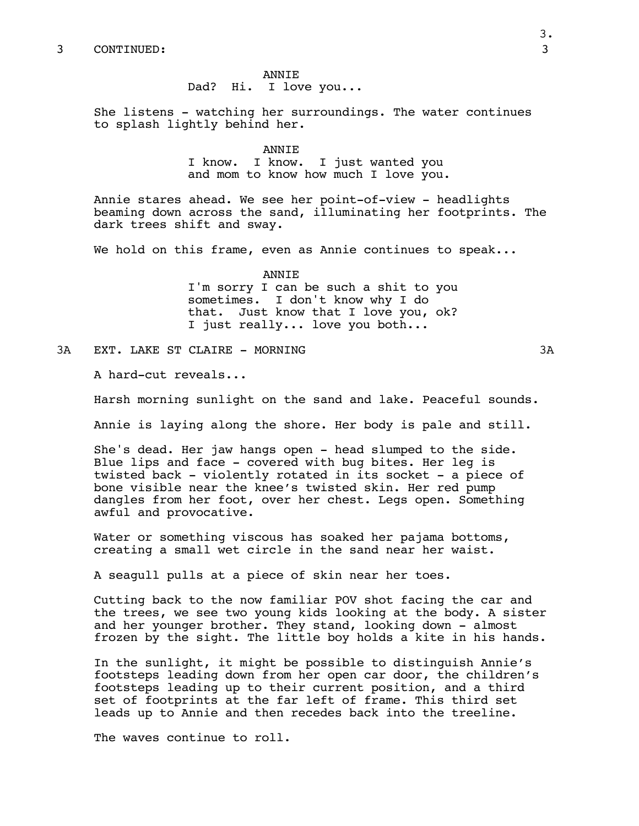ANNIE Dad? Hi. I love you...

She listens - watching her surroundings. The water continues to splash lightly behind her.

### ANNIE

I know. I know. I just wanted you and mom to know how much I love you.

Annie stares ahead. We see her point-of-view - headlights beaming down across the sand, illuminating her footprints. The dark trees shift and sway.

We hold on this frame, even as Annie continues to speak...

ANNIE

I'm sorry I can be such a shit to you sometimes. I don't know why I do that. Just know that I love you, ok? I just really... love you both...

3A EXT. LAKE ST CLAIRE - MORNING 3A

A hard-cut reveals...

Harsh morning sunlight on the sand and lake. Peaceful sounds.

Annie is laying along the shore. Her body is pale and still.

She's dead. Her jaw hangs open - head slumped to the side. Blue lips and face - covered with bug bites. Her leg is twisted back - violently rotated in its socket - a piece of bone visible near the knee's twisted skin. Her red pump dangles from her foot, over her chest. Legs open. Something awful and provocative.

Water or something viscous has soaked her pajama bottoms, creating a small wet circle in the sand near her waist.

A seagull pulls at a piece of skin near her toes.

Cutting back to the now familiar POV shot facing the car and the trees, we see two young kids looking at the body. A sister and her younger brother. They stand, looking down - almost frozen by the sight. The little boy holds a kite in his hands.

In the sunlight, it might be possible to distinguish Annie's footsteps leading down from her open car door, the children's footsteps leading up to their current position, and a third set of footprints at the far left of frame. This third set leads up to Annie and then recedes back into the treeline.

The waves continue to roll.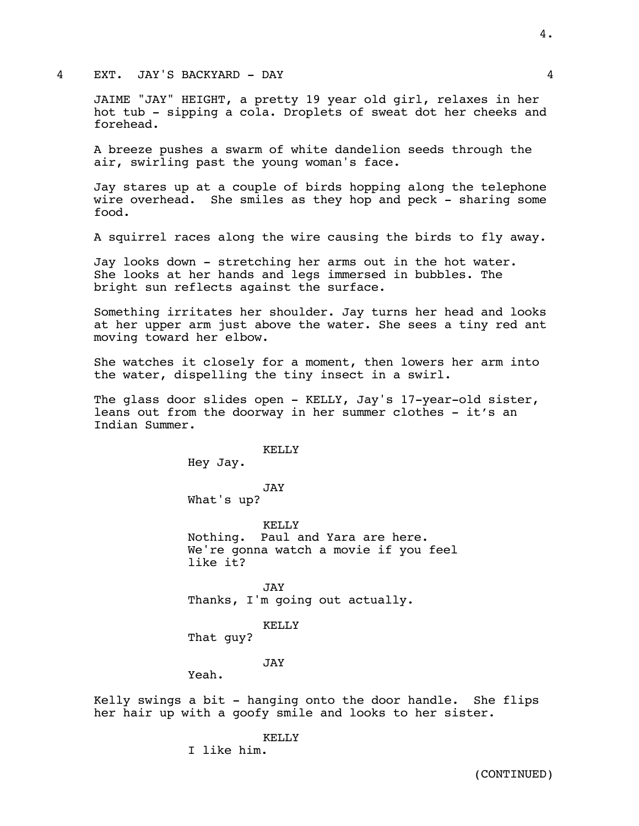### 4 EXT. JAY'S BACKYARD - DAY 4

JAIME "JAY" HEIGHT, a pretty 19 year old girl, relaxes in her hot tub - sipping a cola. Droplets of sweat dot her cheeks and forehead.

A breeze pushes a swarm of white dandelion seeds through the air, swirling past the young woman's face.

Jay stares up at a couple of birds hopping along the telephone wire overhead. She smiles as they hop and peck - sharing some food.

A squirrel races along the wire causing the birds to fly away.

Jay looks down - stretching her arms out in the hot water. She looks at her hands and legs immersed in bubbles. The bright sun reflects against the surface.

Something irritates her shoulder. Jay turns her head and looks at her upper arm just above the water. She sees a tiny red ant moving toward her elbow.

She watches it closely for a moment, then lowers her arm into the water, dispelling the tiny insect in a swirl.

The glass door slides open - KELLY, Jay's 17-year-old sister, leans out from the doorway in her summer clothes - it's an Indian Summer.

> KELLY Hey Jay.

JAY What's up?

KELLY Nothing. Paul and Yara are here. We're gonna watch a movie if you feel like it?

JAY Thanks, I'm going out actually.

KELLY

That guy?

### JAY

Yeah.

Kelly swings a bit - hanging onto the door handle. She flips her hair up with a goofy smile and looks to her sister.

KELLY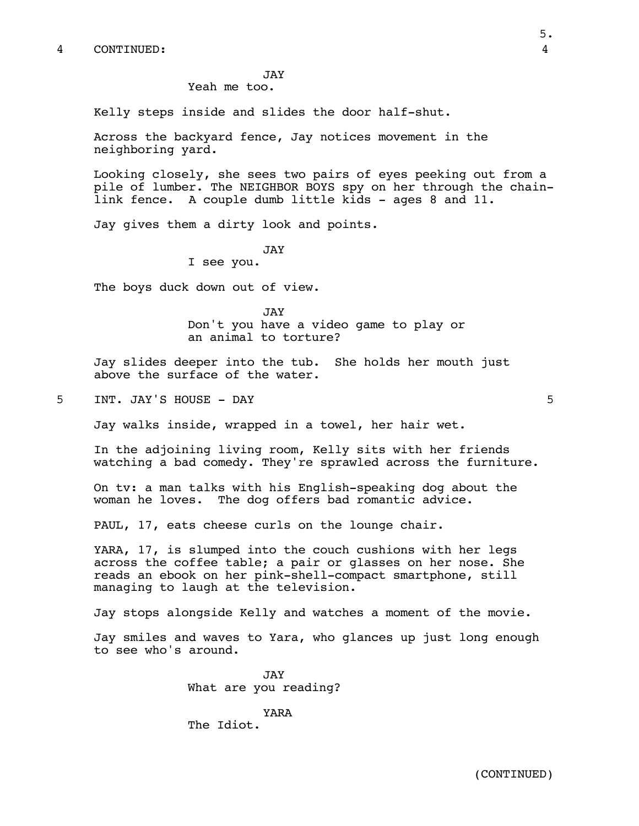JAY

Yeah me too.

Kelly steps inside and slides the door half-shut.

Across the backyard fence, Jay notices movement in the neighboring yard.

Looking closely, she sees two pairs of eyes peeking out from a pile of lumber. The NEIGHBOR BOYS spy on her through the chainlink fence. A couple dumb little kids - ages 8 and 11.

Jay gives them a dirty look and points.

### JAY

I see you.

The boys duck down out of view.

JAY Don't you have a video game to play or an animal to torture?

Jay slides deeper into the tub. She holds her mouth just above the surface of the water.

5 INT. JAY'S HOUSE - DAY 5

Jay walks inside, wrapped in a towel, her hair wet.

In the adjoining living room, Kelly sits with her friends watching a bad comedy. They're sprawled across the furniture.

On tv: a man talks with his English-speaking dog about the woman he loves. The dog offers bad romantic advice.

PAUL, 17, eats cheese curls on the lounge chair.

YARA, 17, is slumped into the couch cushions with her legs across the coffee table; a pair or glasses on her nose. She reads an ebook on her pink-shell-compact smartphone, still managing to laugh at the television.

Jay stops alongside Kelly and watches a moment of the movie.

Jay smiles and waves to Yara, who glances up just long enough to see who's around.

> JAY What are you reading?

YARA The Idiot.

5.

(CONTINUED)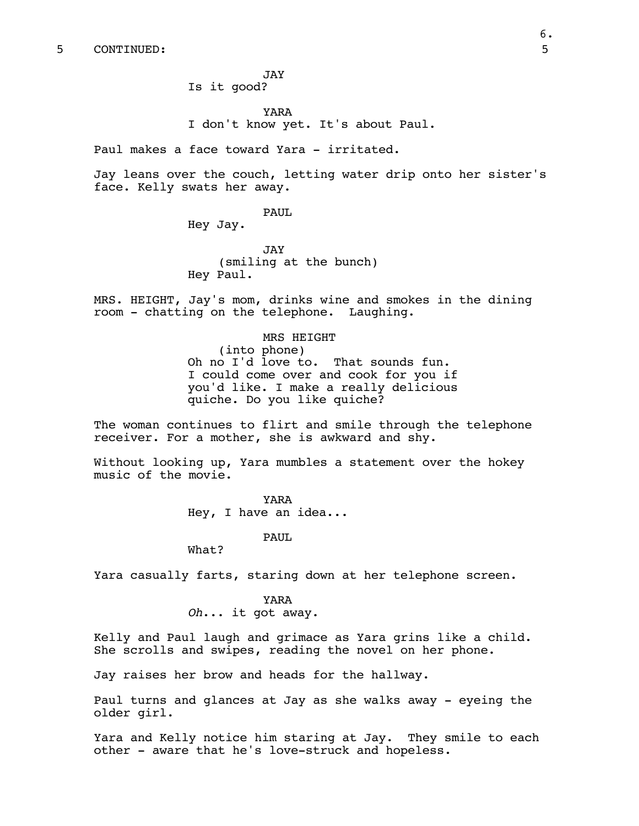JAY Is it good?

YARA I don't know yet. It's about Paul.

Paul makes a face toward Yara - irritated.

Jay leans over the couch, letting water drip onto her sister's face. Kelly swats her away.

PAUL

Hey Jay.

JAY (smiling at the bunch) Hey Paul.

MRS. HEIGHT, Jay's mom, drinks wine and smokes in the dining room - chatting on the telephone. Laughing.

> MRS HEIGHT (into phone) Oh no I'd love to. That sounds fun. I could come over and cook for you if you'd like. I make a really delicious quiche. Do you like quiche?

The woman continues to flirt and smile through the telephone receiver. For a mother, she is awkward and shy.

Without looking up, Yara mumbles a statement over the hokey music of the movie.

> YARA Hey, I have an idea...

> > PAUL

What?

Yara casually farts, staring down at her telephone screen.

YARA *Oh*... it got away.

Kelly and Paul laugh and grimace as Yara grins like a child. She scrolls and swipes, reading the novel on her phone.

Jay raises her brow and heads for the hallway.

Paul turns and glances at Jay as she walks away - eyeing the older girl.

Yara and Kelly notice him staring at Jay. They smile to each other - aware that he's love-struck and hopeless.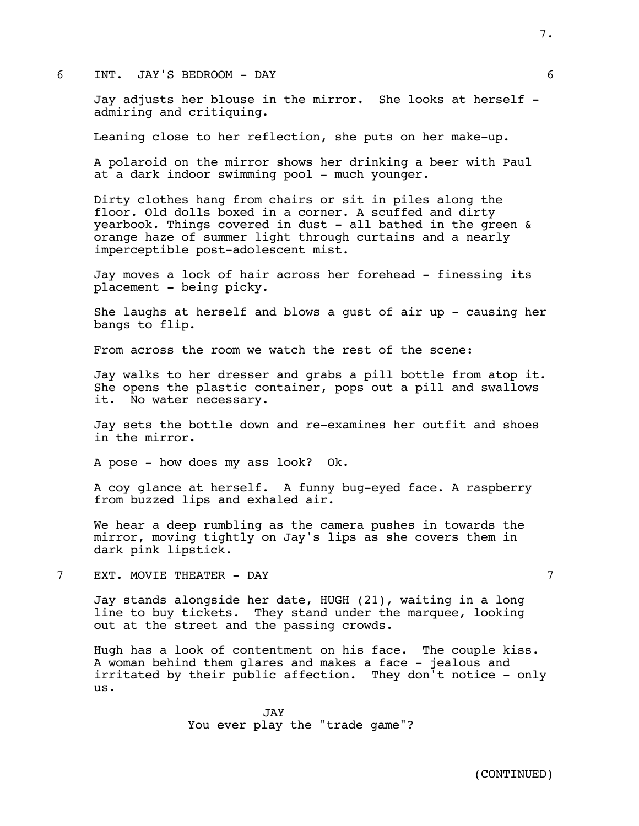## 6 INT. JAY'S BEDROOM - DAY 6

Jay adjusts her blouse in the mirror. She looks at herself admiring and critiquing.

Leaning close to her reflection, she puts on her make-up.

A polaroid on the mirror shows her drinking a beer with Paul at a dark indoor swimming pool - much younger.

Dirty clothes hang from chairs or sit in piles along the floor. Old dolls boxed in a corner. A scuffed and dirty yearbook. Things covered in dust - all bathed in the green & orange haze of summer light through curtains and a nearly imperceptible post-adolescent mist.

Jay moves a lock of hair across her forehead - finessing its placement - being picky.

She laughs at herself and blows a gust of air up - causing her bangs to flip.

From across the room we watch the rest of the scene:

Jay walks to her dresser and grabs a pill bottle from atop it. She opens the plastic container, pops out a pill and swallows it. No water necessary.

Jay sets the bottle down and re-examines her outfit and shoes in the mirror.

A pose - how does my ass look? Ok.

A coy glance at herself. A funny bug-eyed face. A raspberry from buzzed lips and exhaled air.

We hear a deep rumbling as the camera pushes in towards the mirror, moving tightly on Jay's lips as she covers them in dark pink lipstick.

7 EXT. MOVIE THEATER - DAY 7

Jay stands alongside her date, HUGH (21), waiting in a long line to buy tickets. They stand under the marquee, looking out at the street and the passing crowds.

Hugh has a look of contentment on his face. The couple kiss. A woman behind them glares and makes a face - jealous and irritated by their public affection. They don't notice - only us.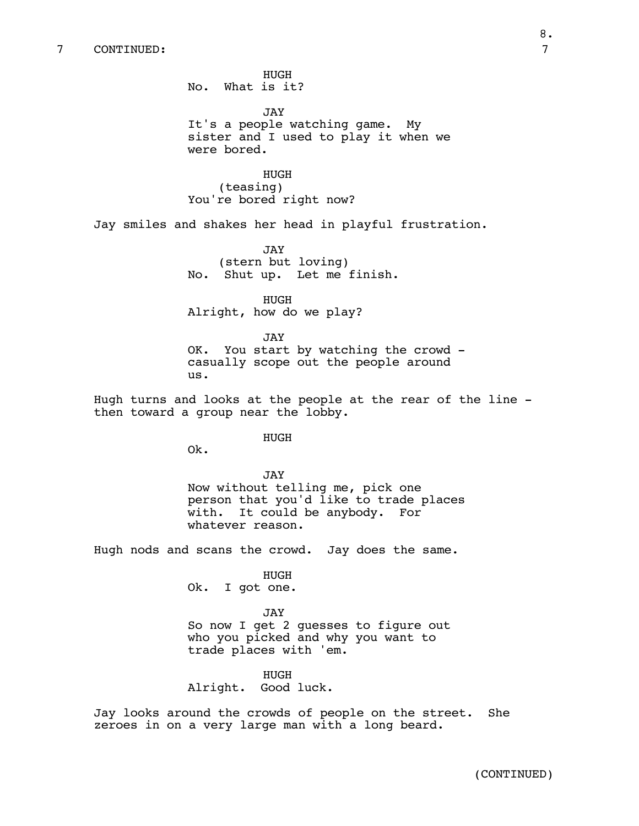# 7 CONTINUED: 7

No. What is it? JAY It's a people watching game. My sister and I used to play it when we were bored.

HUGH (teasing) You're bored right now?

HUGH

Jay smiles and shakes her head in playful frustration.

JAY (stern but loving) No. Shut up. Let me finish.

HUGH Alright, how do we play?

JAY OK. You start by watching the crowd casually scope out the people around us.

Hugh turns and looks at the people at the rear of the line then toward a group near the lobby.

HUGH

Ok.

JAY Now without telling me, pick one person that you'd like to trade places with. It could be anybody. For whatever reason.

Hugh nods and scans the crowd. Jay does the same.

HUGH

Ok. I got one.

JAY So now I get 2 guesses to figure out who you picked and why you want to trade places with 'em.

HUGH Alright. Good luck.

Jay looks around the crowds of people on the street. She zeroes in on a very large man with a long beard.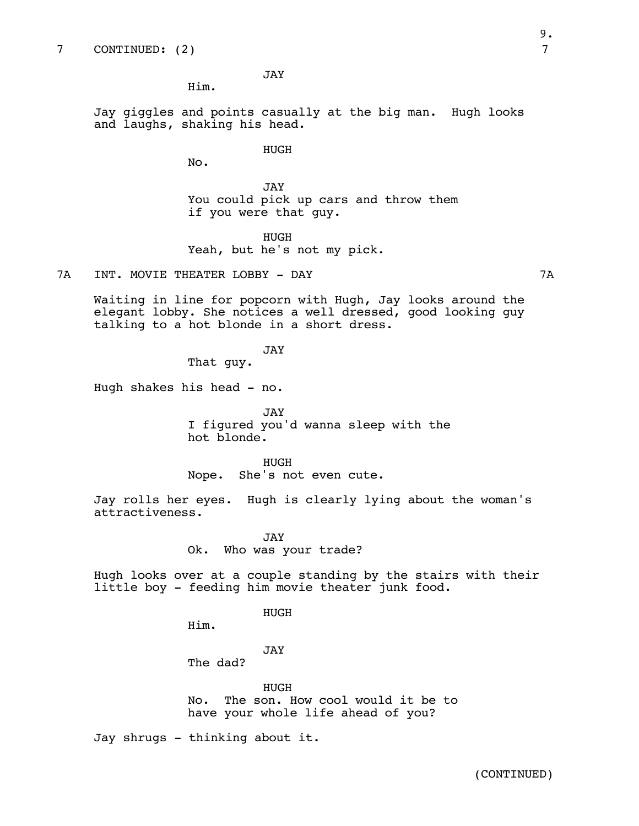JAY

Jay giggles and points casually at the big man. Hugh looks and laughs, shaking his head.

HUGH

No.

Him.

JAY You could pick up cars and throw them if you were that guy.

HUGH

Yeah, but he's not my pick.

7A INT. MOVIE THEATER LOBBY - DAY 7A

Waiting in line for popcorn with Hugh, Jay looks around the elegant lobby. She notices a well dressed, good looking guy talking to a hot blonde in a short dress.

JAY

That guy.

Hugh shakes his head - no.

JAY I figured you'd wanna sleep with the hot blonde.

HUGH Nope. She's not even cute.

Jay rolls her eyes. Hugh is clearly lying about the woman's attractiveness.

> JAY Ok. Who was your trade?

Hugh looks over at a couple standing by the stairs with their little boy - feeding him movie theater junk food.

HUGH

Him.

JAY

The dad?

HUGH No. The son. How cool would it be to have your whole life ahead of you?

Jay shrugs - thinking about it.

(CONTINUED)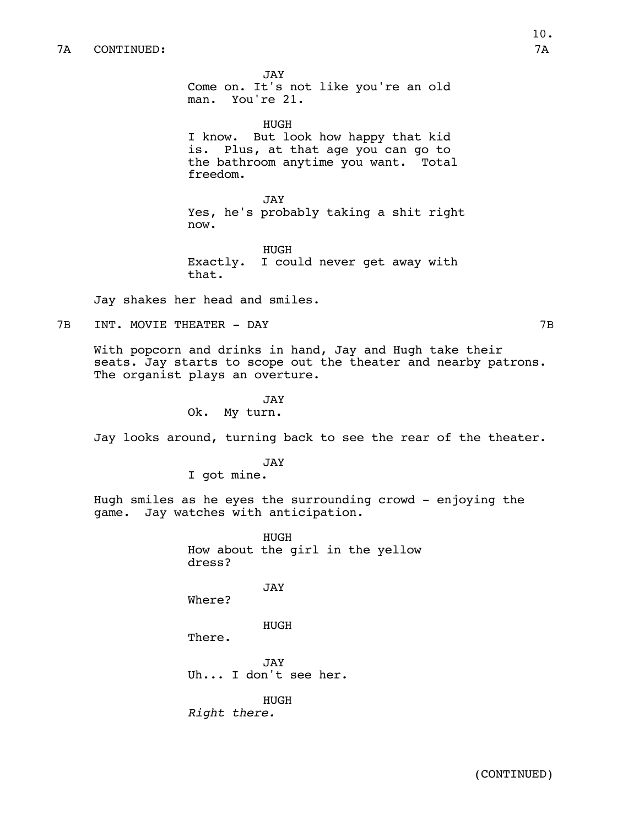JAY Come on. It's not like you're an old man. You're 21.

HUGH I know. But look how happy that kid is. Plus, at that age you can go to the bathroom anytime you want. Total freedom.

JAY Yes, he's probably taking a shit right now.

HUGH Exactly. I could never get away with that.

Jay shakes her head and smiles.

7B INT. MOVIE THEATER - DAY 7B

With popcorn and drinks in hand, Jay and Hugh take their seats. Jay starts to scope out the theater and nearby patrons. The organist plays an overture.

> JAY Ok. My turn.

Jay looks around, turning back to see the rear of the theater.

JAY I got mine.

Hugh smiles as he eyes the surrounding crowd - enjoying the game. Jay watches with anticipation.

> HUGH How about the girl in the yellow dress? JAY Where? HUGH There. JAY Uh... I don't see her. HUGH *Right there.*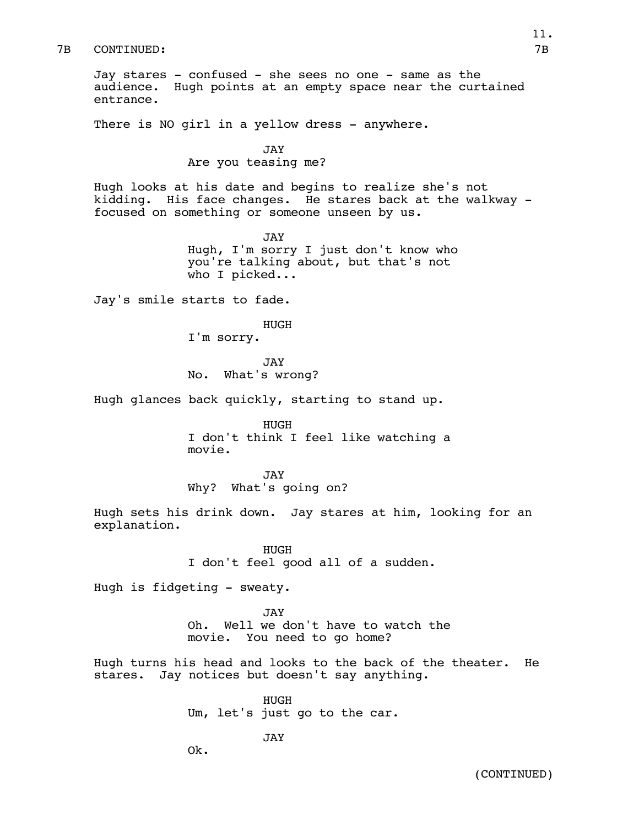### 7B CONTINUED: 7B

Jay stares - confused - she sees no one - same as the audience. Hugh points at an empty space near the curtained entrance.

There is NO girl in a yellow dress - anywhere.

JAY Are you teasing me?

Hugh looks at his date and begins to realize she's not kidding. His face changes. He stares back at the walkway focused on something or someone unseen by us.

> JAY Hugh, I'm sorry I just don't know who you're talking about, but that's not who I picked...

Jay's smile starts to fade.

HUGH

I'm sorry.

JAY No. What's wrong?

Hugh glances back quickly, starting to stand up.

HUGH I don't think I feel like watching a movie.

JAY Why? What's going on?

Hugh sets his drink down. Jay stares at him, looking for an explanation.

> HUGH I don't feel good all of a sudden.

Hugh is fidgeting - sweaty.

JAY Oh. Well we don't have to watch the movie. You need to go home?

Hugh turns his head and looks to the back of the theater. He stares. Jay notices but doesn't say anything.

> HUGH Um, let's just go to the car.

> > JAY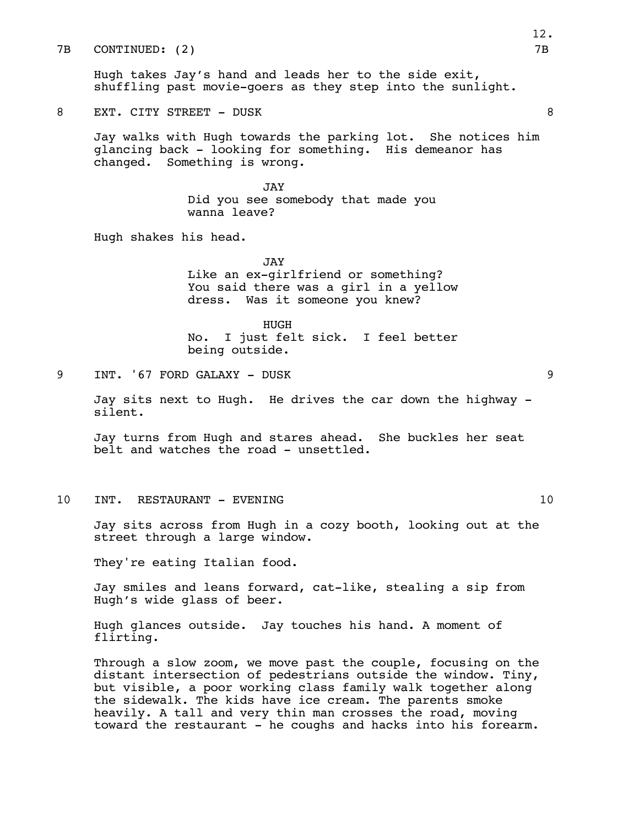7B CONTINUED: (2) 7B

Hugh takes Jay's hand and leads her to the side exit, shuffling past movie-goers as they step into the sunlight.

8 EXT. CITY STREET - DUSK 8

Jay walks with Hugh towards the parking lot. She notices him glancing back - looking for something. His demeanor has changed. Something is wrong.

> JAY Did you see somebody that made you wanna leave?

Hugh shakes his head.

JAY Like an ex-girlfriend or something? You said there was a girl in a yellow dress. Was it someone you knew?

HUGH No. I just felt sick. I feel better being outside.

9 INT. '67 FORD GALAXY - DUSK 9

Jay sits next to Hugh. He drives the car down the highway silent.

Jay turns from Hugh and stares ahead. She buckles her seat belt and watches the road - unsettled.

10 INT. RESTAURANT - EVENING 10 10

Jay sits across from Hugh in a cozy booth, looking out at the street through a large window.

They're eating Italian food.

Jay smiles and leans forward, cat-like, stealing a sip from Hugh's wide glass of beer.

Hugh glances outside. Jay touches his hand. A moment of flirting.

Through a slow zoom, we move past the couple, focusing on the distant intersection of pedestrians outside the window. Tiny, but visible, a poor working class family walk together along the sidewalk. The kids have ice cream. The parents smoke heavily. A tall and very thin man crosses the road, moving toward the restaurant - he coughs and hacks into his forearm.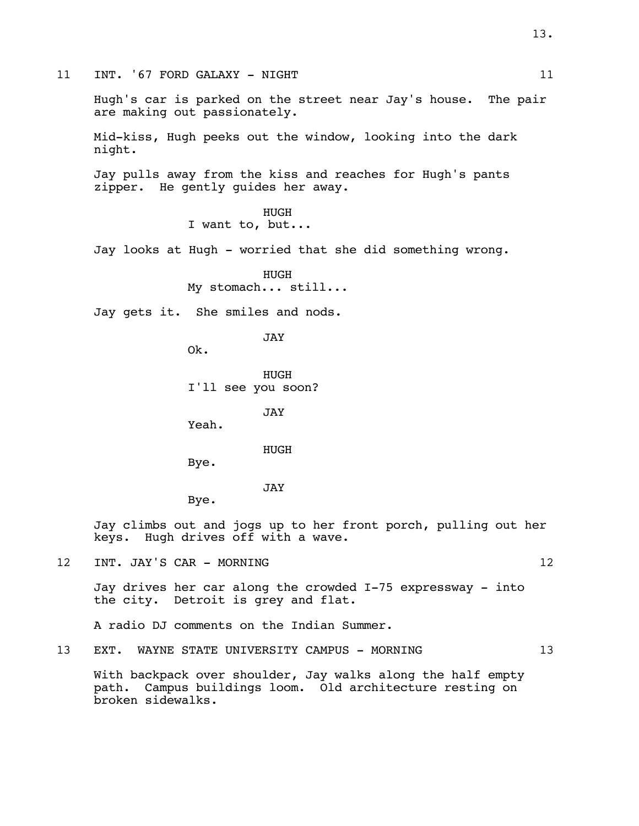11 INT. '67 FORD GALAXY - NIGHT 11 11

Hugh's car is parked on the street near Jay's house. The pair are making out passionately.

Mid-kiss, Hugh peeks out the window, looking into the dark night.

Jay pulls away from the kiss and reaches for Hugh's pants zipper. He gently guides her away.

> HUGH I want to, but...

Jay looks at Hugh - worried that she did something wrong.

HUGH My stomach... still...

Jay gets it. She smiles and nods.

JAY

Ok.

HUGH I'll see you soon?

JAY

Yeah.

HUGH

Bye.

JAY

Bye.

Jay climbs out and jogs up to her front porch, pulling out her keys. Hugh drives off with a wave.

12 INT. JAY'S CAR - MORNING 12

Jay drives her car along the crowded I-75 expressway - into the city. Detroit is grey and flat.

A radio DJ comments on the Indian Summer.

13 EXT. WAYNE STATE UNIVERSITY CAMPUS - MORNING 13

With backpack over shoulder, Jay walks along the half empty path. Campus buildings loom. Old architecture resting on broken sidewalks.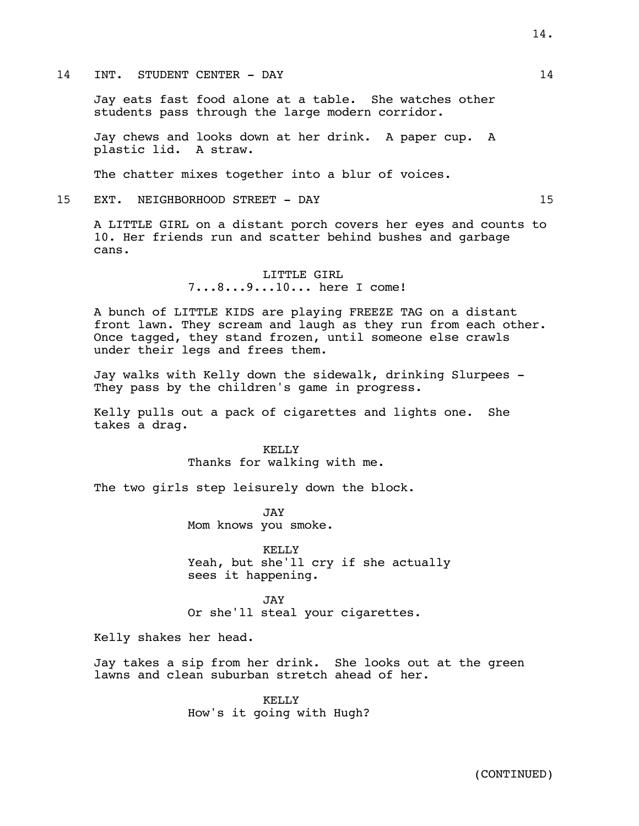### 14 INT. STUDENT CENTER - DAY 14

Jay eats fast food alone at a table. She watches other students pass through the large modern corridor.

Jay chews and looks down at her drink. A paper cup. A plastic lid. A straw.

The chatter mixes together into a blur of voices.

15 EXT. NEIGHBORHOOD STREET - DAY 15

A LITTLE GIRL on a distant porch covers her eyes and counts to 10. Her friends run and scatter behind bushes and garbage cans.

> LITTLE GIRL 7...8...9...10... here I come!

A bunch of LITTLE KIDS are playing FREEZE TAG on a distant front lawn. They scream and laugh as they run from each other. Once tagged, they stand frozen, until someone else crawls under their legs and frees them.

Jay walks with Kelly down the sidewalk, drinking Slurpees - They pass by the children's game in progress.

Kelly pulls out a pack of cigarettes and lights one. She takes a drag.

> KELLY Thanks for walking with me.

The two girls step leisurely down the block.

JAY Mom knows you smoke.

KELLY Yeah, but she'll cry if she actually sees it happening.

JAY Or she'll steal your cigarettes.

Kelly shakes her head.

Jay takes a sip from her drink. She looks out at the green lawns and clean suburban stretch ahead of her.

> KELLY How's it going with Hugh?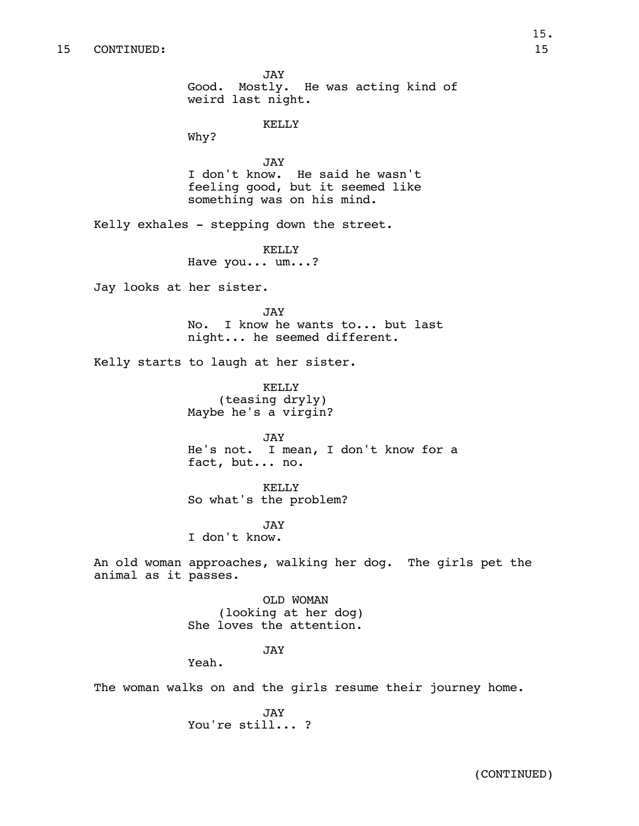JAY Good. Mostly. He was acting kind of weird last night. KELLY Why? JAY I don't know. He said he wasn't feeling good, but it seemed like something was on his mind. Kelly exhales - stepping down the street. KELLY Have you... um...? Jay looks at her sister. **JAY** No. I know he wants to... but last night... he seemed different. Kelly starts to laugh at her sister. KELLY (teasing dryly) Maybe he's a virgin? JAY He's not. I mean, I don't know for a fact, but... no. KELLY So what's the problem? JAY I don't know. An old woman approaches, walking her dog. The girls pet the animal as it passes. OLD WOMAN (looking at her dog) She loves the attention. JAY Yeah. The woman walks on and the girls resume their journey home.

> JAY You're still... ?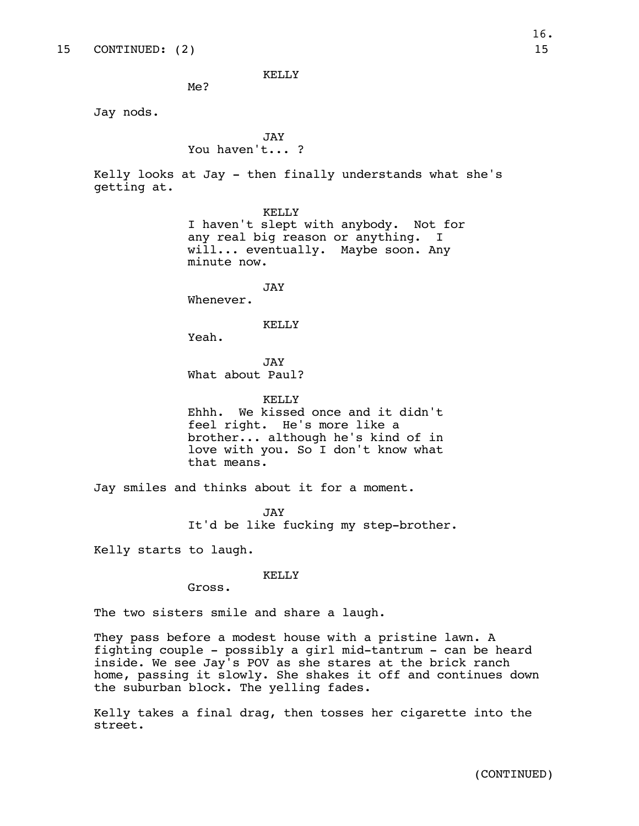KELLY

Me?

Jay nods.

## JAY You haven't... ?

Kelly looks at Jay - then finally understands what she's getting at.

> KELLY I haven't slept with anybody. Not for any real big reason or anything. I will... eventually. Maybe soon. Any minute now.

> > JAY

Whenever.

KELLY

Yeah.

JAY What about Paul?

KELLY Ehhh. We kissed once and it didn't feel right. He's more like a brother... although he's kind of in love with you. So I don't know what that means.

Jay smiles and thinks about it for a moment.

JAY It'd be like fucking my step-brother.

Kelly starts to laugh.

### KELLY

Gross.

The two sisters smile and share a laugh.

They pass before a modest house with a pristine lawn. A fighting couple - possibly a girl mid-tantrum - can be heard inside. We see Jay's POV as she stares at the brick ranch home, passing it slowly. She shakes it off and continues down the suburban block. The yelling fades.

Kelly takes a final drag, then tosses her cigarette into the street.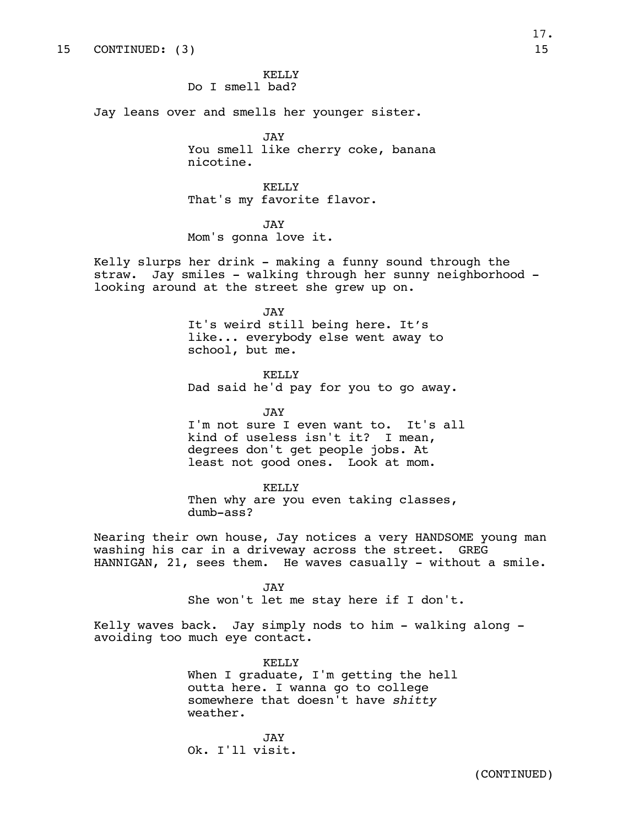KELLY Do I smell bad?

Jay leans over and smells her younger sister.

JAY You smell like cherry coke, banana nicotine.

KELLY That's my favorite flavor.

JAY Mom's gonna love it.

Kelly slurps her drink - making a funny sound through the straw. Jay smiles - walking through her sunny neighborhood looking around at the street she grew up on.

> JAY It's weird still being here. It's like... everybody else went away to school, but me.

KELLY Dad said he'd pay for you to go away.

JAY

I'm not sure I even want to. It's all kind of useless isn't it? I mean, degrees don't get people jobs. At least not good ones. Look at mom.

KELLY Then why are you even taking classes, dumb-ass?

Nearing their own house, Jay notices a very HANDSOME young man washing his car in a driveway across the street. GREG HANNIGAN,  $21$ , sees them. He waves casually - without a smile.

> JAY She won't let me stay here if I don't.

Kelly waves back. Jay simply nods to him - walking along avoiding too much eye contact.

> KELLY When I graduate, I'm getting the hell outta here. I wanna go to college somewhere that doesn't have *shitty*  weather.

JAY Ok. I'll visit.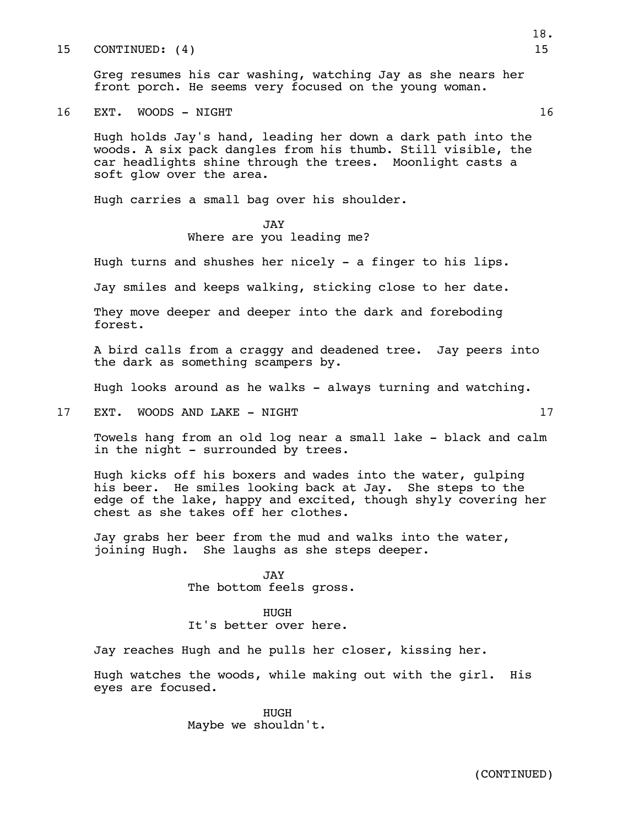15 CONTINUED: (4) 15

Greg resumes his car washing, watching Jay as she nears her front porch. He seems very focused on the young woman.

16 EXT. WOODS - NIGHT 16

Hugh holds Jay's hand, leading her down a dark path into the woods. A six pack dangles from his thumb. Still visible, the car headlights shine through the trees. Moonlight casts a soft glow over the area.

Hugh carries a small bag over his shoulder.

JAY Where are you leading me?

Hugh turns and shushes her nicely - a finger to his lips.

Jay smiles and keeps walking, sticking close to her date.

They move deeper and deeper into the dark and foreboding forest.

A bird calls from a craggy and deadened tree. Jay peers into the dark as something scampers by.

Hugh looks around as he walks - always turning and watching.

17 EXT. WOODS AND LAKE - NIGHT 17

Towels hang from an old log near a small lake - black and calm in the night - surrounded by trees.

Hugh kicks off his boxers and wades into the water, gulping his beer. He smiles looking back at Jay. She steps to the edge of the lake, happy and excited, though shyly covering her chest as she takes off her clothes.

Jay grabs her beer from the mud and walks into the water, joining Hugh. She laughs as she steps deeper.

> JAY The bottom feels gross.

HUGH It's better over here.

Jay reaches Hugh and he pulls her closer, kissing her.

Hugh watches the woods, while making out with the girl. His eyes are focused.

> HUGH Maybe we shouldn't.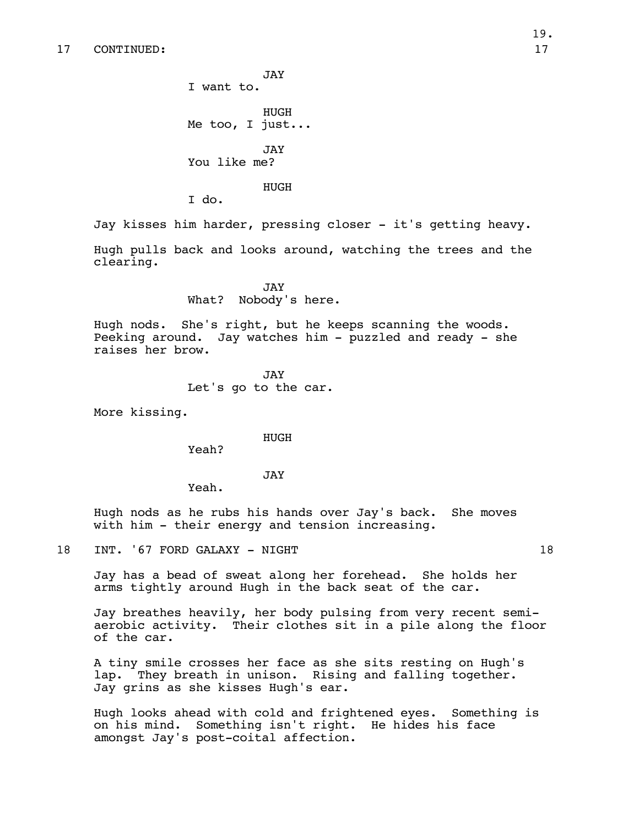JAY I want to. HUGH Me too, I just... JAY You like me?

HUGH

I do.

Jay kisses him harder, pressing closer - it's getting heavy.

Hugh pulls back and looks around, watching the trees and the clearing.

> JAY What? Nobody's here.

Hugh nods. She's right, but he keeps scanning the woods. Peeking around. Jay watches him - puzzled and ready - she raises her brow.

> JAY Let's go to the car.

More kissing.

HUGH

Yeah?

JAY

Yeah.

Hugh nods as he rubs his hands over Jay's back. She moves with him - their energy and tension increasing.

18 INT. '67 FORD GALAXY - NIGHT 18

Jay has a bead of sweat along her forehead. She holds her arms tightly around Hugh in the back seat of the car.

Jay breathes heavily, her body pulsing from very recent semiaerobic activity. Their clothes sit in a pile along the floor of the car.

A tiny smile crosses her face as she sits resting on Hugh's lap. They breath in unison. Rising and falling together. Jay grins as she kisses Hugh's ear.

Hugh looks ahead with cold and frightened eyes. Something is on his mind. Something isn't right. He hides his face amongst Jay's post-coital affection.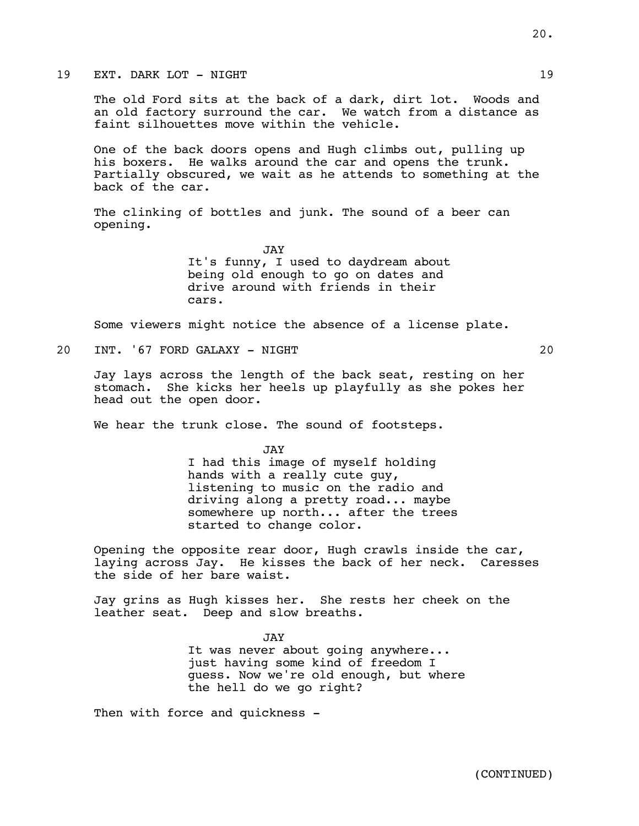19 EXT. DARK LOT - NIGHT 19

The old Ford sits at the back of a dark, dirt lot. Woods and an old factory surround the car. We watch from a distance as faint silhouettes move within the vehicle.

One of the back doors opens and Hugh climbs out, pulling up his boxers. He walks around the car and opens the trunk. Partially obscured, we wait as he attends to something at the back of the car.

The clinking of bottles and junk. The sound of a beer can opening.

> JAY It's funny, I used to daydream about being old enough to go on dates and drive around with friends in their cars.

Some viewers might notice the absence of a license plate.

20 INT. '67 FORD GALAXY - NIGHT 20

Jay lays across the length of the back seat, resting on her stomach. She kicks her heels up playfully as she pokes her head out the open door.

We hear the trunk close. The sound of footsteps.

JAY I had this image of myself holding hands with a really cute guy, listening to music on the radio and driving along a pretty road... maybe somewhere up north... after the trees started to change color.

Opening the opposite rear door, Hugh crawls inside the car, laying across Jay. He kisses the back of her neck. Caresses the side of her bare waist.

Jay grins as Hugh kisses her. She rests her cheek on the leather seat. Deep and slow breaths.

> JAY It was never about going anywhere... just having some kind of freedom I guess. Now we're old enough, but where the hell do we go right?

Then with force and quickness -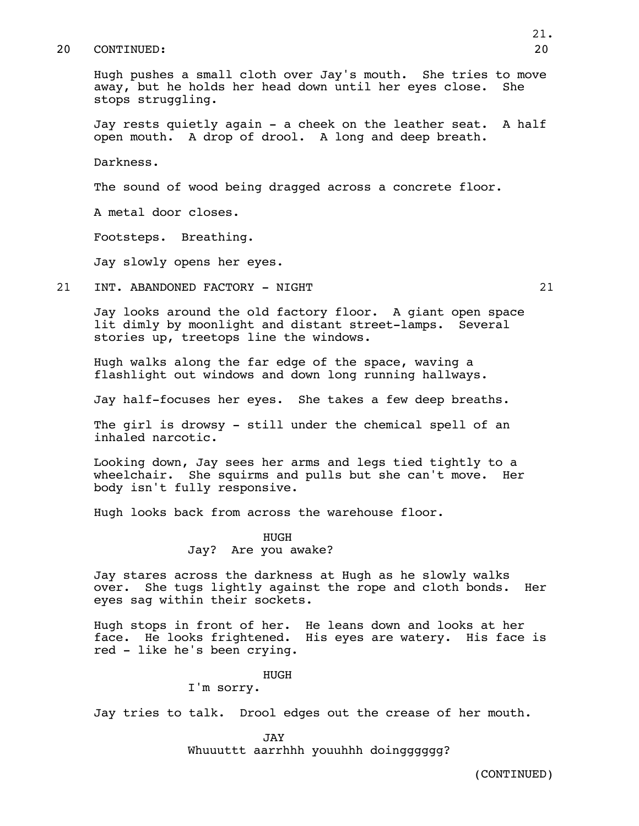#### 20 CONTINUED: 20

Hugh pushes a small cloth over Jay's mouth. She tries to move away, but he holds her head down until her eyes close. She stops struggling.

Jay rests quietly again - a cheek on the leather seat. A half open mouth. A drop of drool. A long and deep breath.

Darkness.

The sound of wood being dragged across a concrete floor.

A metal door closes.

Footsteps. Breathing.

Jay slowly opens her eyes.

21 INT. ABANDONED FACTORY - NIGHT 21

Jay looks around the old factory floor. A giant open space lit dimly by moonlight and distant street-lamps. Several stories up, treetops line the windows.

Hugh walks along the far edge of the space, waving a flashlight out windows and down long running hallways.

Jay half-focuses her eyes. She takes a few deep breaths.

The girl is drowsy - still under the chemical spell of an inhaled narcotic.

Looking down, Jay sees her arms and legs tied tightly to a wheelchair. She squirms and pulls but she can't move. Her body isn't fully responsive.

Hugh looks back from across the warehouse floor.

HUGH Jay? Are you awake?

Jay stares across the darkness at Hugh as he slowly walks over. She tugs lightly against the rope and cloth bonds. Her eyes sag within their sockets.

Hugh stops in front of her. He leans down and looks at her face. He looks frightened. His eyes are watery. His face is red - like he's been crying.

> HUGH I'm sorry.

Jay tries to talk. Drool edges out the crease of her mouth.

JAY Whuuuttt aarrhhh youuhhh doingggggg?

(CONTINUED)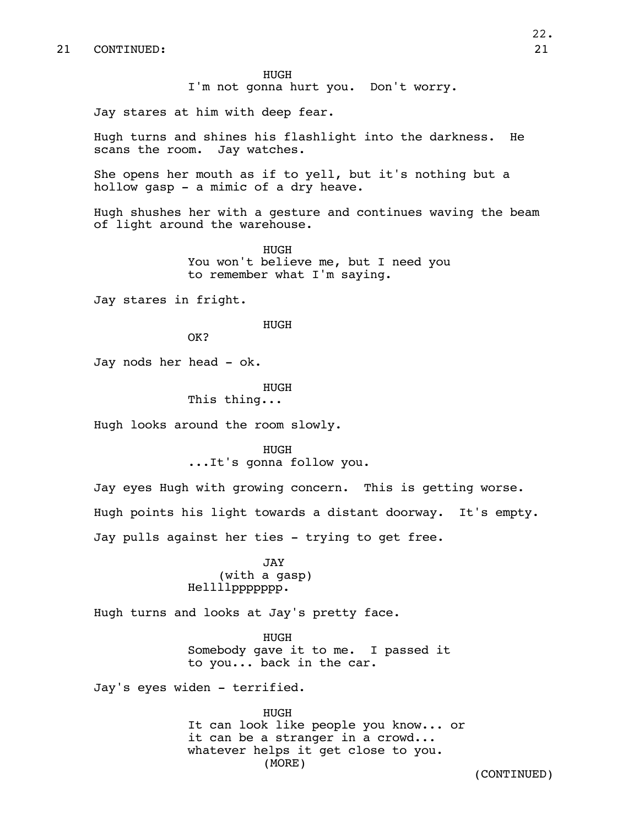HUGH I'm not gonna hurt you. Don't worry.

Jay stares at him with deep fear.

Hugh turns and shines his flashlight into the darkness. He scans the room. Jay watches.

She opens her mouth as if to yell, but it's nothing but a hollow gasp - a mimic of a dry heave.

Hugh shushes her with a gesture and continues waving the beam of light around the warehouse.

> HUGH You won't believe me, but I need you to remember what I'm saying.

Jay stares in fright.

HUGH

OK?

Jay nods her head - ok.

HUGH

This thing...

Hugh looks around the room slowly.

HUGH ...It's gonna follow you.

Jay eyes Hugh with growing concern. This is getting worse. Hugh points his light towards a distant doorway. It's empty. Jay pulls against her ties - trying to get free.

> JAY (with a gasp) Hellllppppppp.

Hugh turns and looks at Jay's pretty face.

HUGH Somebody gave it to me. I passed it to you... back in the car.

Jay's eyes widen - terrified.

HUGH It can look like people you know... or it can be a stranger in a crowd... whatever helps it get close to you. (MORE)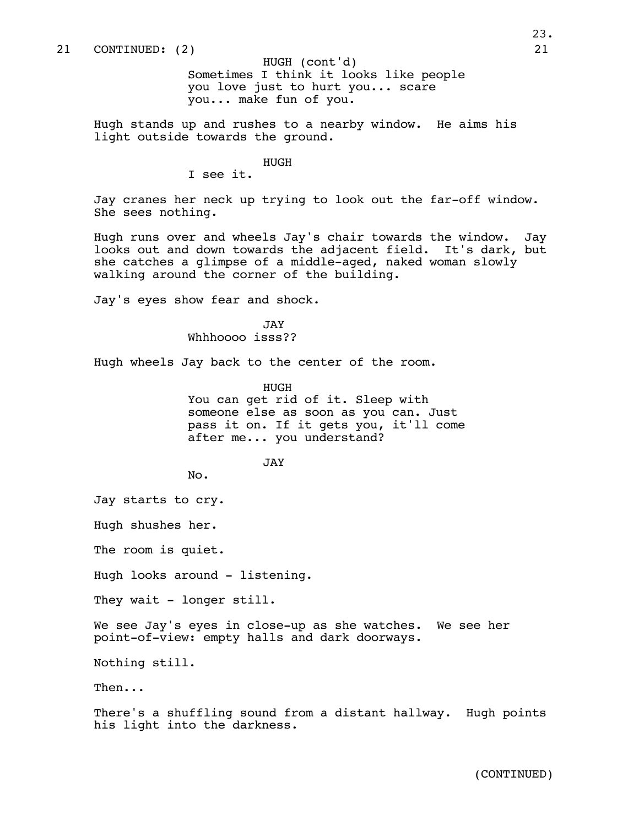Sometimes I think it looks like people you love just to hurt you... scare you... make fun of you. HUGH (cont'd)

Hugh stands up and rushes to a nearby window. He aims his light outside towards the ground.

HUGH

I see it.

Jay cranes her neck up trying to look out the far-off window. She sees nothing.

Hugh runs over and wheels Jay's chair towards the window. Jay looks out and down towards the adjacent field. It's dark, but she catches a glimpse of a middle-aged, naked woman slowly walking around the corner of the building.

Jay's eyes show fear and shock.

JAY Whhhoooo isss??

Hugh wheels Jay back to the center of the room.

HUGH You can get rid of it. Sleep with someone else as soon as you can. Just pass it on. If it gets you, it'll come after me... you understand?

JAY

No.

Jay starts to cry.

Hugh shushes her.

The room is quiet.

Hugh looks around - listening.

They wait - longer still.

We see Jay's eyes in close-up as she watches. We see her point-of-view: empty halls and dark doorways.

Nothing still.

Then...

There's a shuffling sound from a distant hallway. Hugh points his light into the darkness.

(CONTINUED)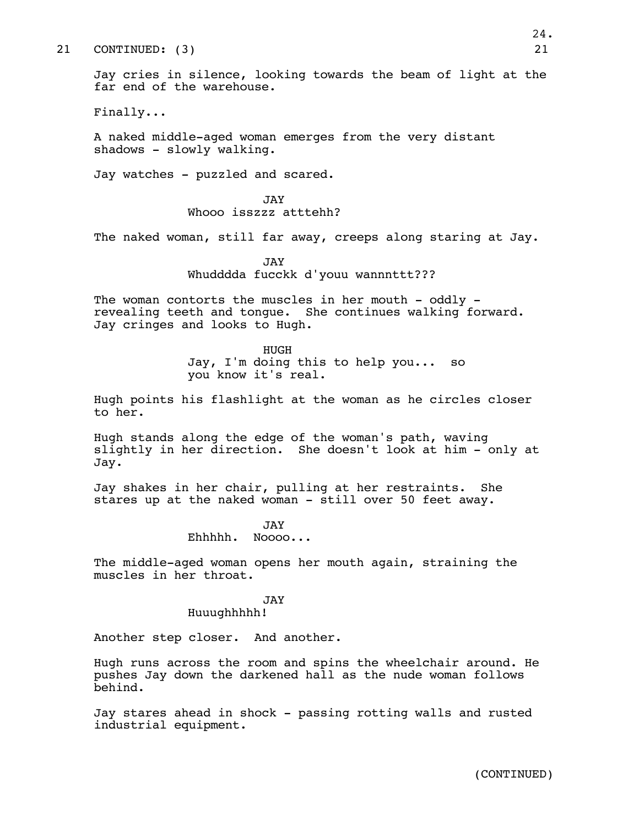## 21 CONTINUED: (3) 21

Jay cries in silence, looking towards the beam of light at the far end of the warehouse.

Finally...

A naked middle-aged woman emerges from the very distant shadows - slowly walking.

Jay watches - puzzled and scared.

JAY Whooo isszzz atttehh?

The naked woman, still far away, creeps along staring at Jay.

JAY Whudddda fucckk d'youu wannnttt???

The woman contorts the muscles in her mouth  $-$  oddly  $$ revealing teeth and tongue. She continues walking forward. Jay cringes and looks to Hugh.

> HUGH Jay, I'm doing this to help you... so you know it's real.

Hugh points his flashlight at the woman as he circles closer to her.

Hugh stands along the edge of the woman's path, waving slightly in her direction. She doesn't look at him - only at Jay.

Jay shakes in her chair, pulling at her restraints. She stares up at the naked woman - still over 50 feet away.

> JAY Ehhhhh. Noooo...

The middle-aged woman opens her mouth again, straining the muscles in her throat.

## JAY

Huuughhhhh!

Another step closer. And another.

Hugh runs across the room and spins the wheelchair around. He pushes Jay down the darkened hall as the nude woman follows behind.

Jay stares ahead in shock - passing rotting walls and rusted industrial equipment.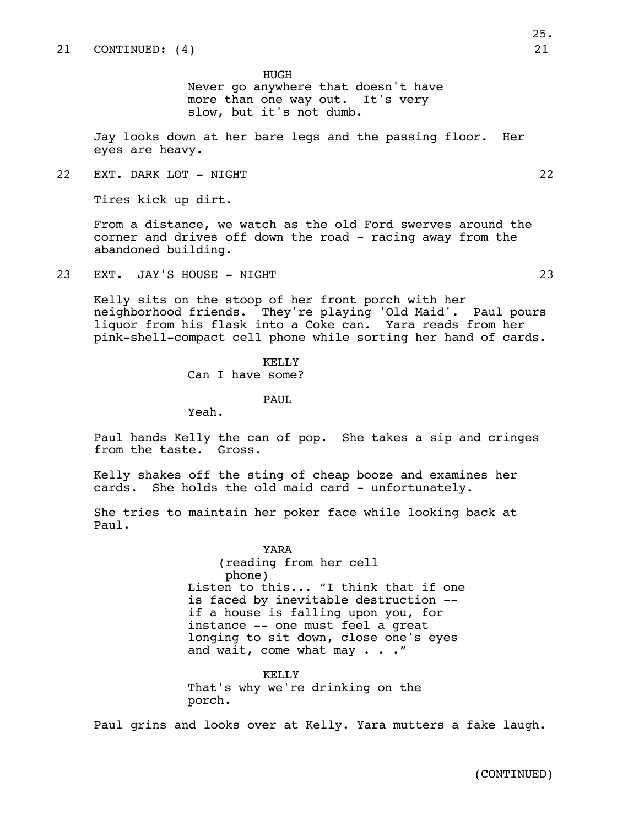HUGH Never go anywhere that doesn't have more than one way out. It's very slow, but it's not dumb.

Jay looks down at her bare legs and the passing floor. Her eyes are heavy.

22 EXT. DARK LOT - NIGHT 22

Tires kick up dirt.

From a distance, we watch as the old Ford swerves around the corner and drives off down the road - racing away from the abandoned building.

23 EXT. JAY'S HOUSE - NIGHT 23

Kelly sits on the stoop of her front porch with her neighborhood friends. They're playing 'Old Maid'. Paul pours liquor from his flask into a Coke can. Yara reads from her pink-shell-compact cell phone while sorting her hand of cards.

> KELLY Can I have some?

> > PAUL.

Yeah.

Paul hands Kelly the can of pop. She takes a sip and cringes from the taste. Gross.

Kelly shakes off the sting of cheap booze and examines her cards. She holds the old maid card - unfortunately.

She tries to maintain her poker face while looking back at Paul.

> YARA (reading from her cell phone) Listen to this... "I think that if one is faced by inevitable destruction - if a house is falling upon you, for instance -- one must feel a great longing to sit down, close one's eyes and wait, come what may . . ."

KELLY That's why we're drinking on the porch.

Paul grins and looks over at Kelly. Yara mutters a fake laugh.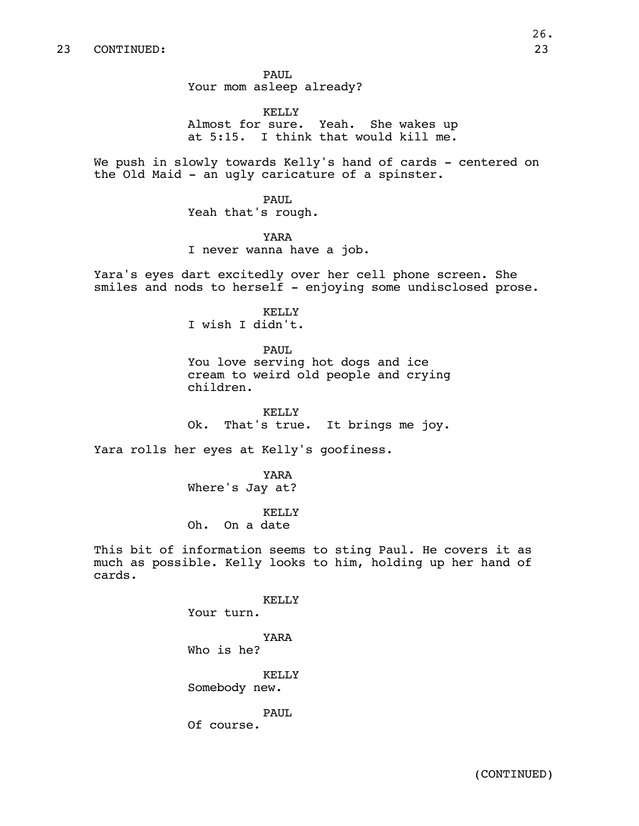PAUL Your mom asleep already?

KELLY Almost for sure. Yeah. She wakes up at 5:15. I think that would kill me.

We push in slowly towards Kelly's hand of cards - centered on the Old Maid - an ugly caricature of a spinster.

PAUL

Yeah that's rough.

YARA

I never wanna have a job.

Yara's eyes dart excitedly over her cell phone screen. She smiles and nods to herself - enjoying some undisclosed prose.

> KELLY I wish I didn't.

> > PAUL

You love serving hot dogs and ice cream to weird old people and crying children.

KELLY Ok. That's true. It brings me joy.

Yara rolls her eyes at Kelly's goofiness.

YARA Where's Jay at?

KELLY Oh. On a date

This bit of information seems to sting Paul. He covers it as much as possible. Kelly looks to him, holding up her hand of cards.

KELLY

Your turn.

YARA Who is he?

KELLY Somebody new.

PAUL Of course.

(CONTINUED)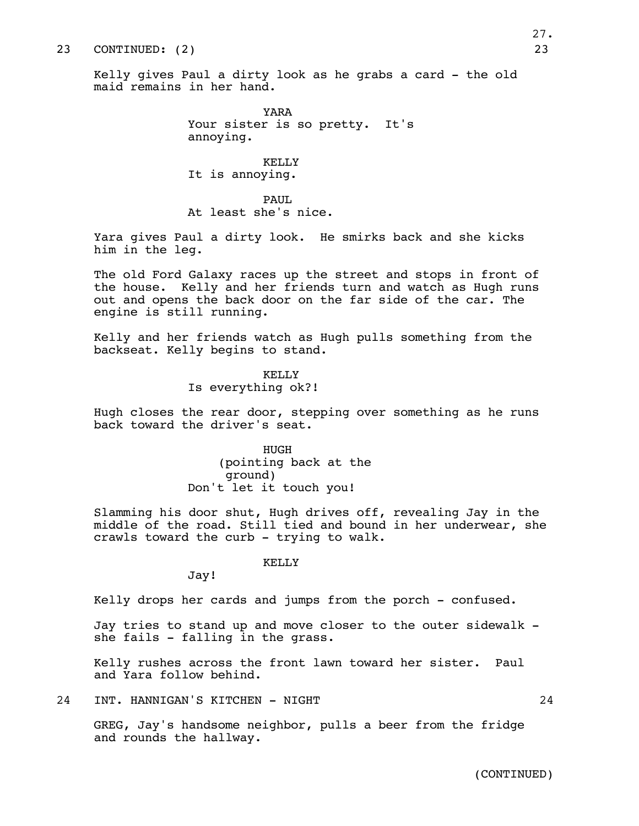## 23 CONTINUED: (2) 23

Kelly gives Paul a dirty look as he grabs a card - the old maid remains in her hand.

> YARA Your sister is so pretty. It's annoying.

KELLY It is annoying.

PAUL. At least she's nice.

Yara gives Paul a dirty look. He smirks back and she kicks him in the leg.

The old Ford Galaxy races up the street and stops in front of the house. Kelly and her friends turn and watch as Hugh runs out and opens the back door on the far side of the car. The engine is still running.

Kelly and her friends watch as Hugh pulls something from the backseat. Kelly begins to stand.

## KELLY Is everything ok?!

Hugh closes the rear door, stepping over something as he runs back toward the driver's seat.

> HUGH (pointing back at the ground) Don't let it touch you!

Slamming his door shut, Hugh drives off, revealing Jay in the middle of the road. Still tied and bound in her underwear, she crawls toward the curb - trying to walk.

## KELLY

Jay!

Kelly drops her cards and jumps from the porch - confused.

Jay tries to stand up and move closer to the outer sidewalk she fails - falling in the grass.

Kelly rushes across the front lawn toward her sister. Paul and Yara follow behind.

24 INT. HANNIGAN'S KITCHEN - NIGHT 24

GREG, Jay's handsome neighbor, pulls a beer from the fridge and rounds the hallway.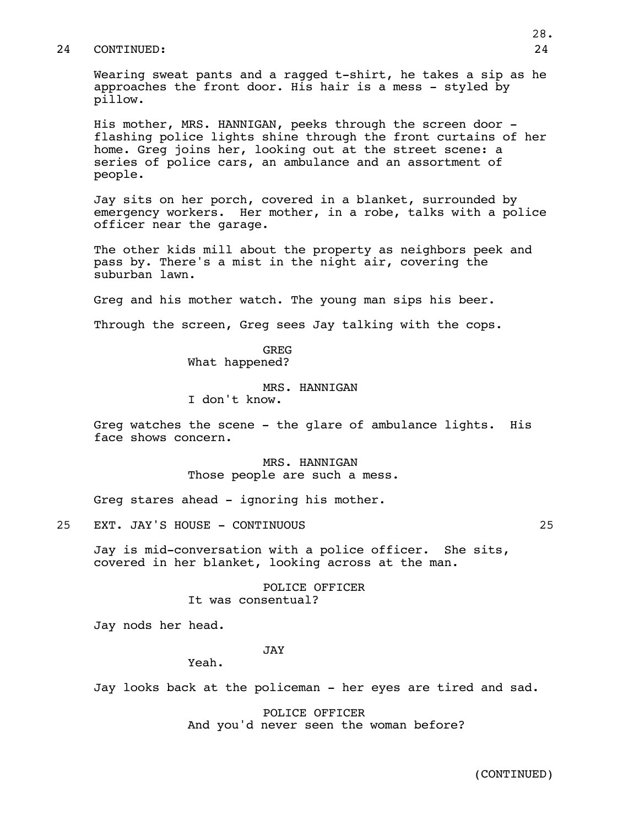### 24 CONTINUED: 24

Wearing sweat pants and a ragged t-shirt, he takes a sip as he approaches the front door. His hair is a mess - styled by pillow.

His mother, MRS. HANNIGAN, peeks through the screen door flashing police lights shine through the front curtains of her home. Greg joins her, looking out at the street scene: a series of police cars, an ambulance and an assortment of people.

Jay sits on her porch, covered in a blanket, surrounded by emergency workers. Her mother, in a robe, talks with a police officer near the garage.

The other kids mill about the property as neighbors peek and pass by. There's a mist in the night air, covering the suburban lawn.

Greg and his mother watch. The young man sips his beer.

Through the screen, Greg sees Jay talking with the cops.

## GREG What happened?

## MRS. HANNIGAN

I don't know.

Greg watches the scene - the glare of ambulance lights. His face shows concern.

> MRS. HANNIGAN Those people are such a mess.

Greg stares ahead - ignoring his mother.

25 EXT. JAY'S HOUSE - CONTINUOUS 25

Jay is mid-conversation with a police officer. She sits, covered in her blanket, looking across at the man.

> POLICE OFFICER It was consentual?

Jay nods her head.

JAY

Yeah.

Jay looks back at the policeman - her eyes are tired and sad.

POLICE OFFICER And you'd never seen the woman before?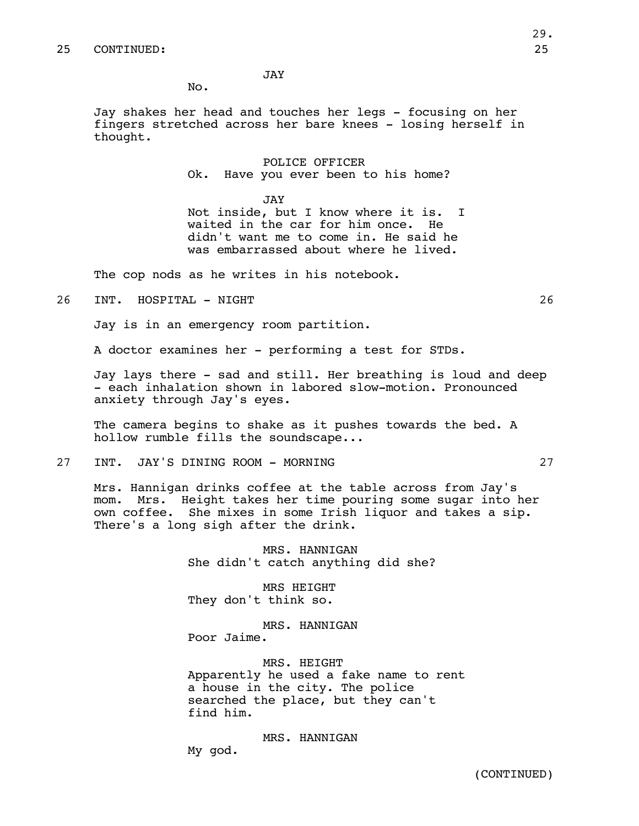JAY

No.

Jay shakes her head and touches her legs - focusing on her fingers stretched across her bare knees - losing herself in thought.

> POLICE OFFICER Ok. Have you ever been to his home?

JAY Not inside, but I know where it is. I waited in the car for him once. He didn't want me to come in. He said he was embarrassed about where he lived.

The cop nods as he writes in his notebook.

26 INT. HOSPITAL - NIGHT 26

Jay is in an emergency room partition.

A doctor examines her - performing a test for STDs.

Jay lays there - sad and still. Her breathing is loud and deep - each inhalation shown in labored slow-motion. Pronounced anxiety through Jay's eyes.

The camera begins to shake as it pushes towards the bed. A hollow rumble fills the soundscape...

27 INT. JAY'S DINING ROOM - MORNING 27

Mrs. Hannigan drinks coffee at the table across from Jay's mom. Mrs. Height takes her time pouring some sugar into her own coffee. She mixes in some Irish liquor and takes a sip. There's a long sigh after the drink.

> MRS. HANNIGAN She didn't catch anything did she?

MRS HEIGHT They don't think so.

MRS. HANNIGAN Poor Jaime.

MRS. HEIGHT Apparently he used a fake name to rent a house in the city. The police searched the place, but they can't find him.

MRS. HANNIGAN

My god.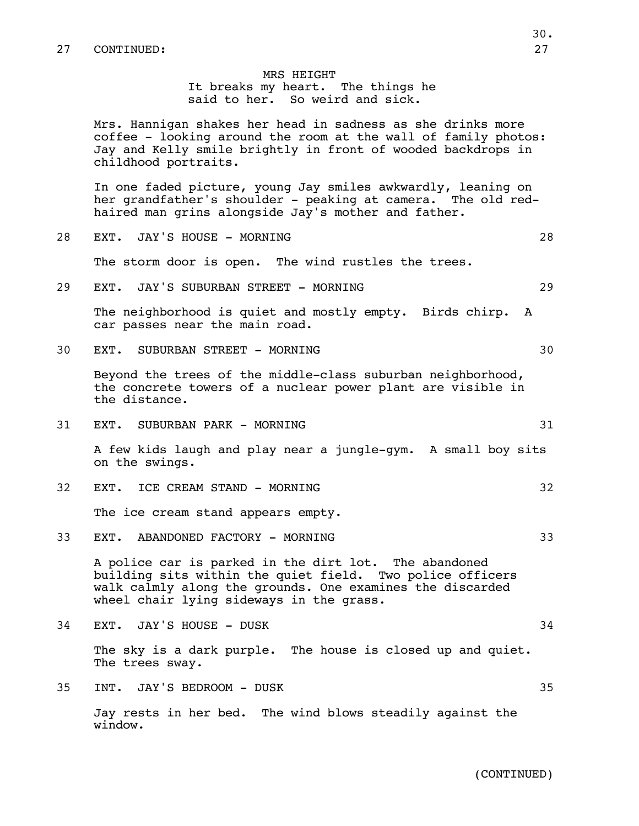## MRS HEIGHT It breaks my heart. The things he said to her. So weird and sick.

Mrs. Hannigan shakes her head in sadness as she drinks more coffee - looking around the room at the wall of family photos: Jay and Kelly smile brightly in front of wooded backdrops in childhood portraits.

In one faded picture, young Jay smiles awkwardly, leaning on her grandfather's shoulder - peaking at camera. The old redhaired man grins alongside Jay's mother and father.

- 28 EXT. JAY'S HOUSE MORNING 28 The storm door is open. The wind rustles the trees.
- 29 EXT. JAY'S SUBURBAN STREET MORNING 29 29

The neighborhood is quiet and mostly empty. Birds chirp. A car passes near the main road.

30 EXT. SUBURBAN STREET - MORNING 30

Beyond the trees of the middle-class suburban neighborhood, the concrete towers of a nuclear power plant are visible in the distance.

31 EXT. SUBURBAN PARK - MORNING 31 STATES AND THE SUBJECTED ASSESSED.

A few kids laugh and play near a jungle-gym. A small boy sits on the swings.

32 EXT. ICE CREAM STAND - MORNING 32

The ice cream stand appears empty.

33 EXT. ABANDONED FACTORY - MORNING 33

A police car is parked in the dirt lot. The abandoned building sits within the quiet field. Two police officers walk calmly along the grounds. One examines the discarded wheel chair lying sideways in the grass.

34 EXT. JAY'S HOUSE – DUSK 34

The sky is a dark purple. The house is closed up and quiet. The trees sway.

35 INT. JAY'S BEDROOM - DUSK 35

Jay rests in her bed. The wind blows steadily against the window.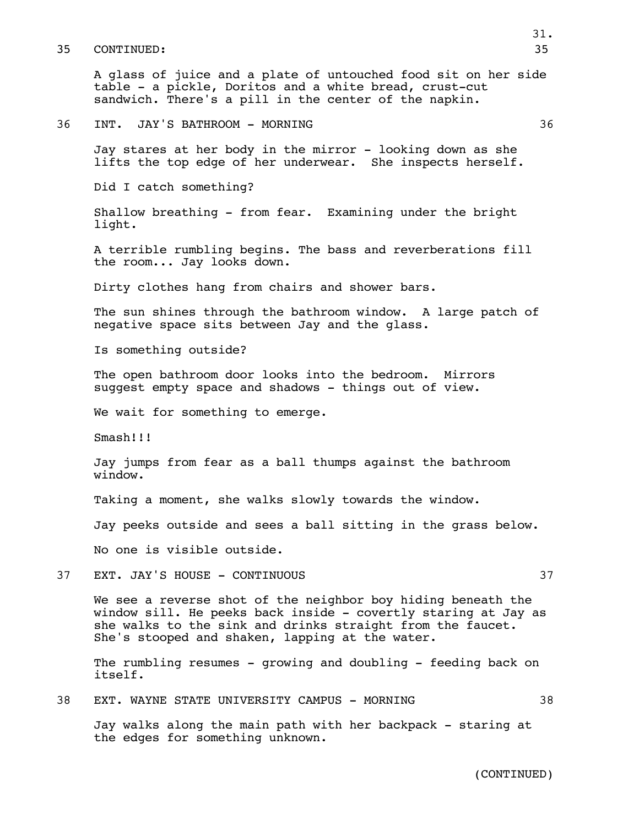#### 35 CONTINUED: 35

A glass of juice and a plate of untouched food sit on her side table - a pickle, Doritos and a white bread, crust-cut sandwich. There's a pill in the center of the napkin.

Jay stares at her body in the mirror - looking down as she lifts the top edge of her underwear. She inspects herself.

Did I catch something?

Shallow breathing - from fear. Examining under the bright light.

A terrible rumbling begins. The bass and reverberations fill the room... Jay looks down.

Dirty clothes hang from chairs and shower bars.

The sun shines through the bathroom window. A large patch of negative space sits between Jay and the glass.

Is something outside?

The open bathroom door looks into the bedroom. Mirrors suggest empty space and shadows - things out of view.

We wait for something to emerge.

Smash!!!

Jay jumps from fear as a ball thumps against the bathroom window.

Taking a moment, she walks slowly towards the window.

Jay peeks outside and sees a ball sitting in the grass below.

No one is visible outside.

37 EXT. JAY'S HOUSE - CONTINUOUS 37

We see a reverse shot of the neighbor boy hiding beneath the window sill. He peeks back inside - covertly staring at Jay as she walks to the sink and drinks straight from the faucet. She's stooped and shaken, lapping at the water.

The rumbling resumes - growing and doubling - feeding back on itself.

38 EXT. WAYNE STATE UNIVERSITY CAMPUS - MORNING 38

Jay walks along the main path with her backpack - staring at the edges for something unknown.

(CONTINUED)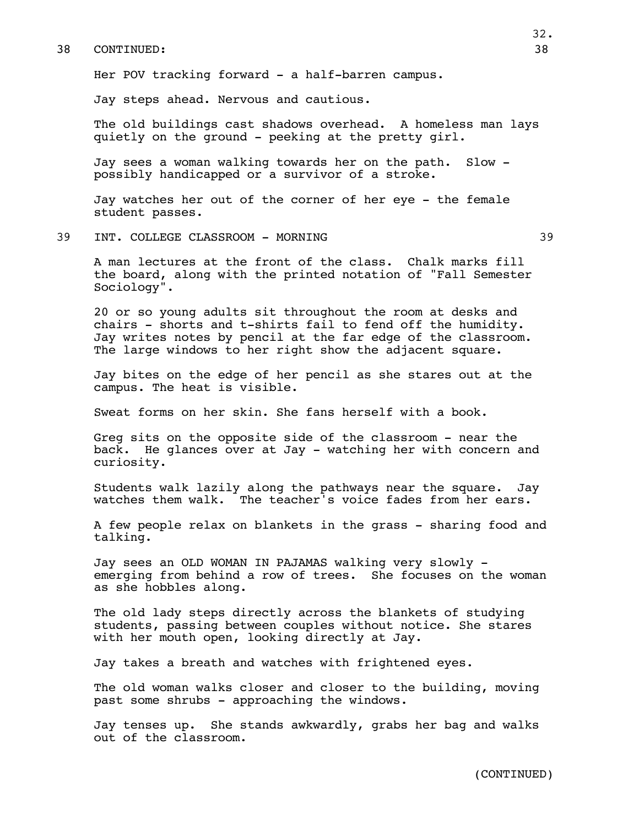#### 38 CONTINUED: 38

Her POV tracking forward - a half-barren campus.

Jay steps ahead. Nervous and cautious.

The old buildings cast shadows overhead. A homeless man lays quietly on the ground - peeking at the pretty girl.

Jay sees a woman walking towards her on the path. Slow possibly handicapped or a survivor of a stroke.

Jay watches her out of the corner of her eye - the female student passes.

39 INT. COLLEGE CLASSROOM - MORNING 39

A man lectures at the front of the class. Chalk marks fill the board, along with the printed notation of "Fall Semester Sociology".

20 or so young adults sit throughout the room at desks and chairs - shorts and t-shirts fail to fend off the humidity. Jay writes notes by pencil at the far edge of the classroom. The large windows to her right show the adjacent square.

Jay bites on the edge of her pencil as she stares out at the campus. The heat is visible.

Sweat forms on her skin. She fans herself with a book.

Greg sits on the opposite side of the classroom - near the back. He glances over at Jay - watching her with concern and curiosity.

Students walk lazily along the pathways near the square. Jay watches them walk. The teacher's voice fades from her ears.

A few people relax on blankets in the grass - sharing food and talking.

Jay sees an OLD WOMAN IN PAJAMAS walking very slowly emerging from behind a row of trees. She focuses on the woman as she hobbles along.

The old lady steps directly across the blankets of studying students, passing between couples without notice. She stares with her mouth open, looking directly at Jay.

Jay takes a breath and watches with frightened eyes.

The old woman walks closer and closer to the building, moving past some shrubs - approaching the windows.

Jay tenses up. She stands awkwardly, grabs her bag and walks out of the classroom.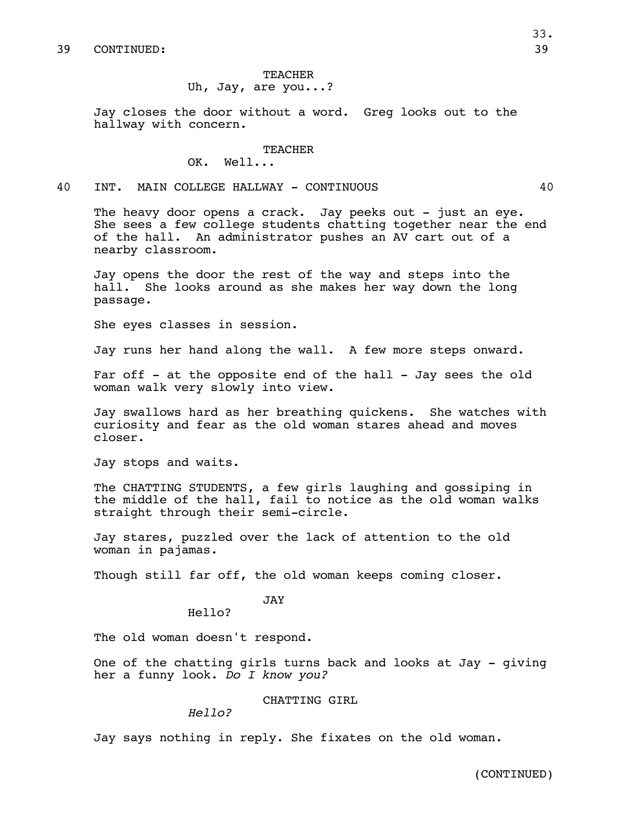# TEACHER Uh, Jay, are you...?

Jay closes the door without a word. Greg looks out to the hallway with concern.

## **TEACHER**

OK. Well...

## 40 INT. MAIN COLLEGE HALLWAY - CONTINUOUS 40

The heavy door opens a crack. Jay peeks out - just an eye. She sees a few college students chatting together near the end of the hall. An administrator pushes an AV cart out of a nearby classroom.

Jay opens the door the rest of the way and steps into the hall. She looks around as she makes her way down the long She looks around as she makes her way down the long passage.

She eyes classes in session.

Jay runs her hand along the wall. A few more steps onward.

Far off - at the opposite end of the hall - Jay sees the old woman walk very slowly into view.

Jay swallows hard as her breathing quickens. She watches with curiosity and fear as the old woman stares ahead and moves closer.

Jay stops and waits.

The CHATTING STUDENTS, a few girls laughing and gossiping in the middle of the hall, fail to notice as the old woman walks straight through their semi-circle.

Jay stares, puzzled over the lack of attention to the old woman in pajamas.

Though still far off, the old woman keeps coming closer.

# JAY

Hello?

The old woman doesn't respond.

One of the chatting girls turns back and looks at Jay - giving her a funny look. *Do I know you?*

## CHATTING GIRL

*Hello?*

Jay says nothing in reply. She fixates on the old woman.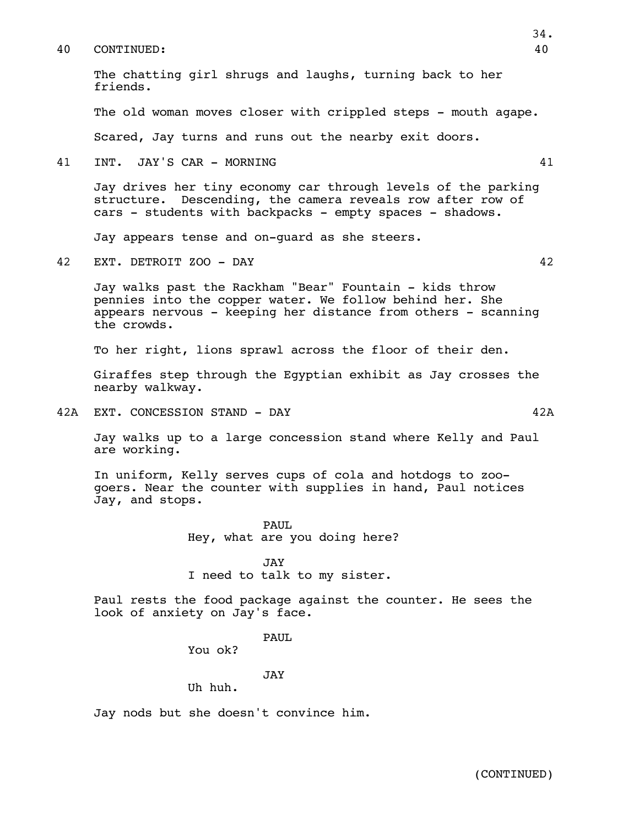### 40 CONTINUED: 40

The chatting girl shrugs and laughs, turning back to her friends.

The old woman moves closer with crippled steps - mouth agape.

Scared, Jay turns and runs out the nearby exit doors.

41 INT. JAY'S CAR - MORNING 41

Jay drives her tiny economy car through levels of the parking structure. Descending, the camera reveals row after row of cars - students with backpacks - empty spaces - shadows.

Jay appears tense and on-guard as she steers.

42 EXT. DETROIT ZOO - DAY 42

Jay walks past the Rackham "Bear" Fountain - kids throw pennies into the copper water. We follow behind her. She appears nervous - keeping her distance from others - scanning the crowds.

To her right, lions sprawl across the floor of their den.

Giraffes step through the Egyptian exhibit as Jay crosses the nearby walkway.

42A EXT. CONCESSION STAND - DAY 42A

Jay walks up to a large concession stand where Kelly and Paul are working.

In uniform, Kelly serves cups of cola and hotdogs to zoogoers. Near the counter with supplies in hand, Paul notices Jay, and stops.

> PAUL Hey, what are you doing here?

JAY I need to talk to my sister.

Paul rests the food package against the counter. He sees the look of anxiety on Jay's face.

PAUL

You ok?

## JAY

Uh huh.

Jay nods but she doesn't convince him.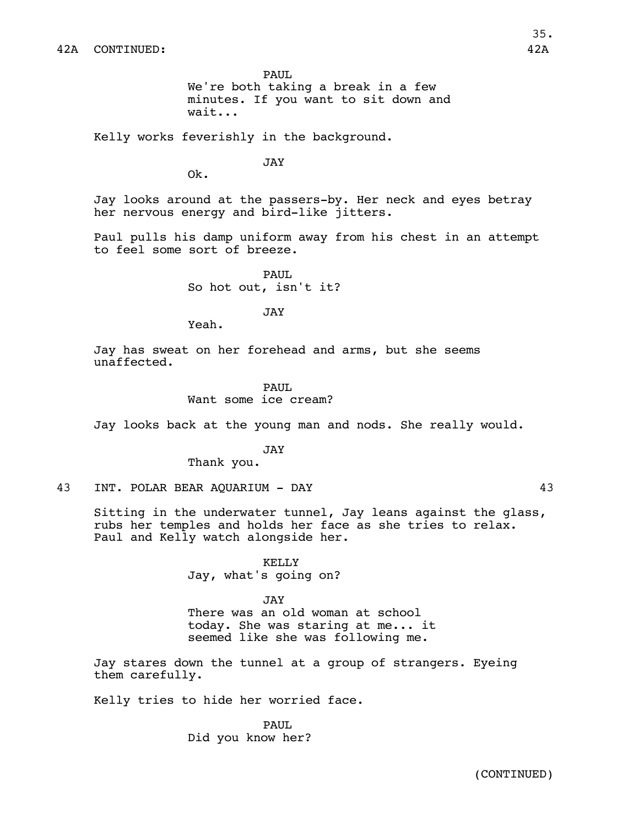PAUL We're both taking a break in a few minutes. If you want to sit down and wait...

Kelly works feverishly in the background.

JAY

Ok.

Jay looks around at the passers-by. Her neck and eyes betray her nervous energy and bird-like jitters.

Paul pulls his damp uniform away from his chest in an attempt to feel some sort of breeze.

> PAUL So hot out, isn't it?

> > JAY

Yeah.

Jay has sweat on her forehead and arms, but she seems unaffected.

## PAUL

Want some ice cream?

Jay looks back at the young man and nods. She really would.

## JAY

Thank you.

43 INT. POLAR BEAR AQUARIUM - DAY 43

Sitting in the underwater tunnel, Jay leans against the glass, rubs her temples and holds her face as she tries to relax. Paul and Kelly watch alongside her.

> KELLY Jay, what's going on?

### JAY

There was an old woman at school today. She was staring at me... it seemed like she was following me.

Jay stares down the tunnel at a group of strangers. Eyeing them carefully.

Kelly tries to hide her worried face.

PAUL. Did you know her?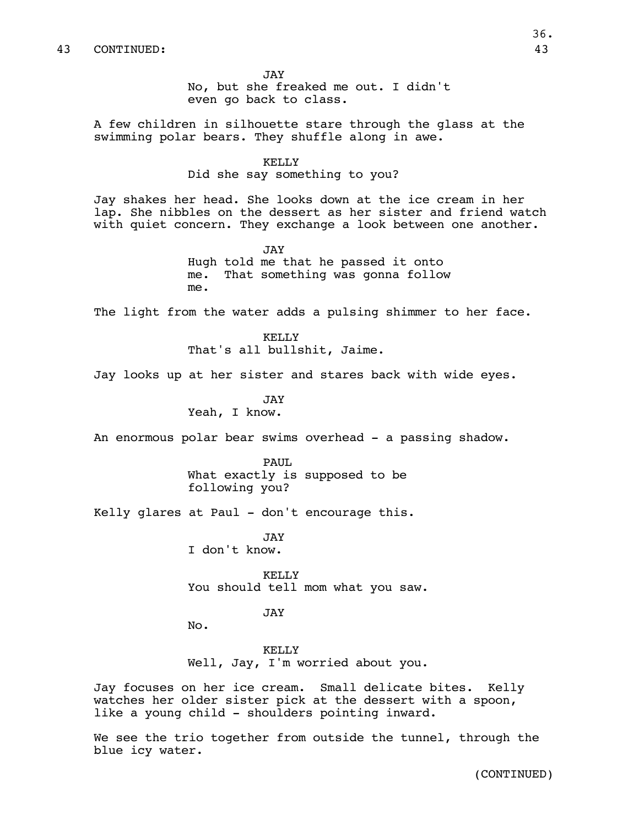JAY No, but she freaked me out. I didn't even go back to class.

A few children in silhouette stare through the glass at the swimming polar bears. They shuffle along in awe.

#### KELLY

Did she say something to you?

Jay shakes her head. She looks down at the ice cream in her lap. She nibbles on the dessert as her sister and friend watch with quiet concern. They exchange a look between one another.

> JAY Hugh told me that he passed it onto me. That something was gonna follow me.

The light from the water adds a pulsing shimmer to her face.

KELLY That's all bullshit, Jaime.

Jay looks up at her sister and stares back with wide eyes.

JAY Yeah, I know.

An enormous polar bear swims overhead - a passing shadow.

PAUL What exactly is supposed to be following you?

Kelly glares at Paul - don't encourage this.

JAY I don't know.

KELLY You should tell mom what you saw.

## JAY

No.

KELLY Well, Jay, I'm worried about you.

Jay focuses on her ice cream. Small delicate bites. Kelly watches her older sister pick at the dessert with a spoon, like a young child - shoulders pointing inward.

We see the trio together from outside the tunnel, through the blue icy water.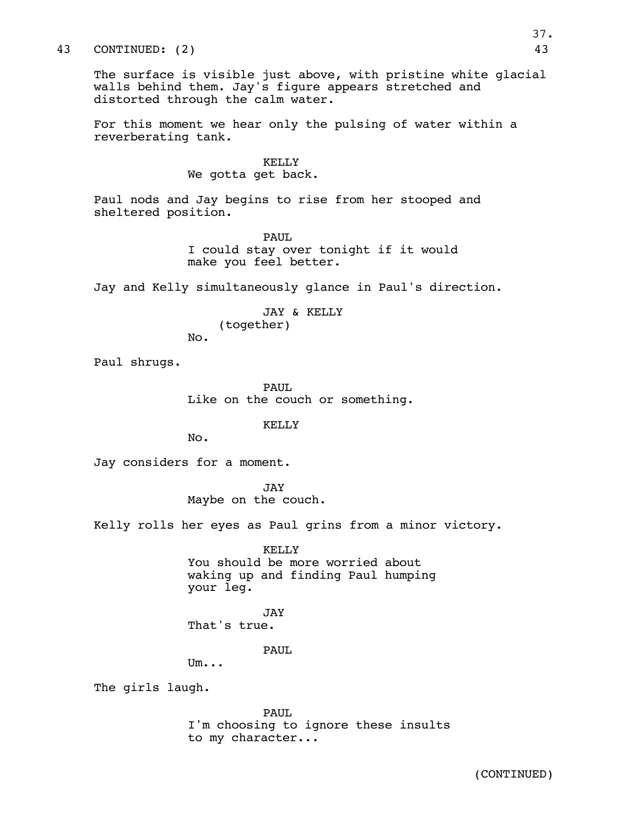## 43 CONTINUED: (2) 43

The surface is visible just above, with pristine white glacial walls behind them. Jay's figure appears stretched and distorted through the calm water.

For this moment we hear only the pulsing of water within a reverberating tank.

## KELLY

We gotta get back.

Paul nods and Jay begins to rise from her stooped and sheltered position.

> PAUL I could stay over tonight if it would make you feel better.

Jay and Kelly simultaneously glance in Paul's direction.

JAY & KELLY (together)

Paul shrugs.

PAUL Like on the couch or something.

KELLY

No.

No.

Jay considers for a moment.

JAY Maybe on the couch.

Kelly rolls her eyes as Paul grins from a minor victory.

KELLY

You should be more worried about waking up and finding Paul humping your leg.

**JAY** That's true.

PAUL

Um...

The girls laugh.

PAUL I'm choosing to ignore these insults to my character...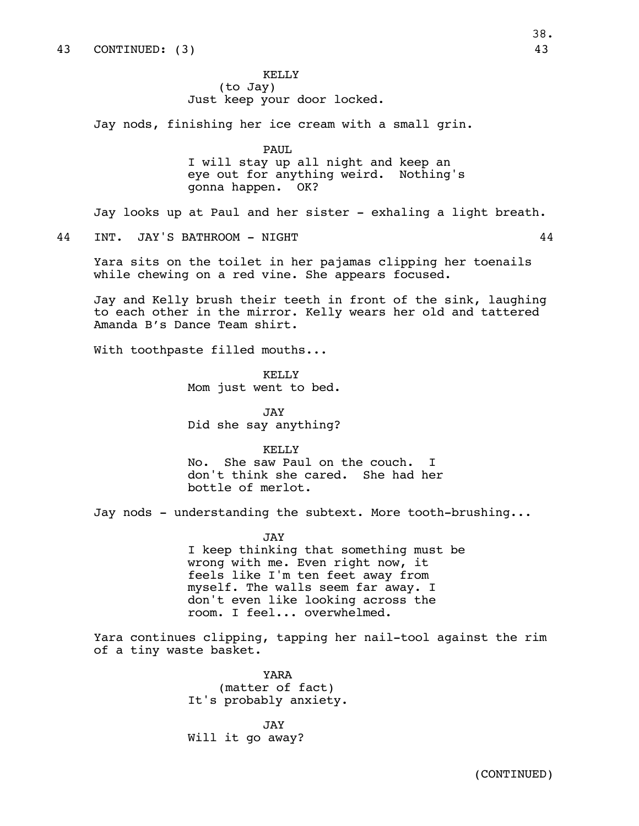KELLY (to Jay) Just keep your door locked.

Jay nods, finishing her ice cream with a small grin.

PAUL. I will stay up all night and keep an eye out for anything weird. Nothing's gonna happen. OK?

Jay looks up at Paul and her sister - exhaling a light breath.

44 INT. JAY'S BATHROOM - NIGHT 44

Yara sits on the toilet in her pajamas clipping her toenails while chewing on a red vine. She appears focused.

Jay and Kelly brush their teeth in front of the sink, laughing to each other in the mirror. Kelly wears her old and tattered Amanda B's Dance Team shirt.

With toothpaste filled mouths...

KELLY Mom just went to bed.

JAY Did she say anything?

#### KELLY

No. She saw Paul on the couch. don't think she cared. She had her bottle of merlot.

Jay nods - understanding the subtext. More tooth-brushing...

JAY I keep thinking that something must be wrong with me. Even right now, it feels like I'm ten feet away from myself. The walls seem far away. I don't even like looking across the room. I feel... overwhelmed.

Yara continues clipping, tapping her nail-tool against the rim of a tiny waste basket.

> YARA (matter of fact) It's probably anxiety.

JAY Will it go away?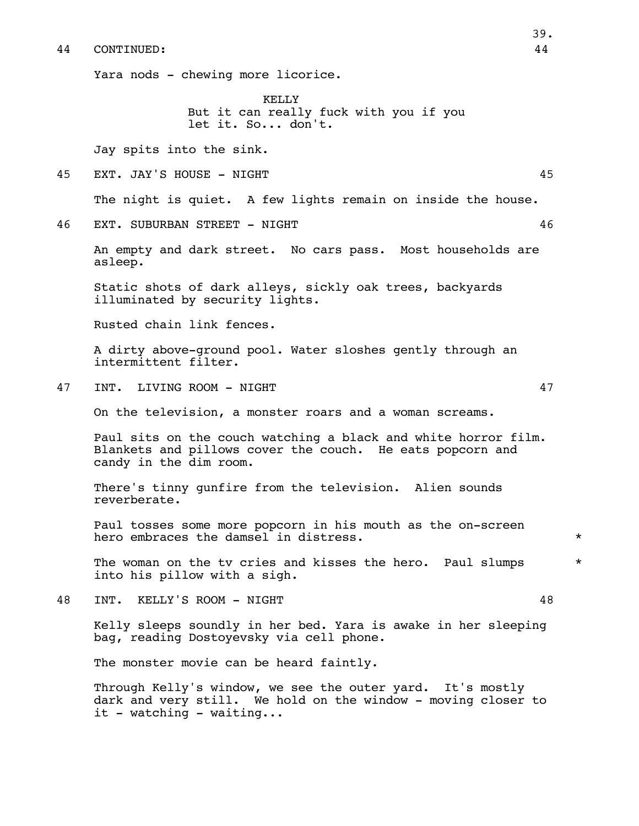Yara nods - chewing more licorice.

KELLY But it can really fuck with you if you let it. So... don't.

Jay spits into the sink.

45 EXT. JAY'S HOUSE - NIGHT 45

The night is quiet. A few lights remain on inside the house.

46 EXT. SUBURBAN STREET - NIGHT 46

An empty and dark street. No cars pass. Most households are asleep.

Static shots of dark alleys, sickly oak trees, backyards illuminated by security lights.

Rusted chain link fences.

A dirty above-ground pool. Water sloshes gently through an intermittent filter.

47 INT. LIVING ROOM - NIGHT 47

On the television, a monster roars and a woman screams.

Paul sits on the couch watching a black and white horror film. Blankets and pillows cover the couch. He eats popcorn and candy in the dim room.

There's tinny gunfire from the television. Alien sounds reverberate.

Paul tosses some more popcorn in his mouth as the on-screen hero embraces the damsel in distress.  $*$ 

The woman on the tv cries and kisses the hero. Paul slumps  $*$ into his pillow with a sigh.

48 INT. KELLY'S ROOM - NIGHT 48

Kelly sleeps soundly in her bed. Yara is awake in her sleeping bag, reading Dostoyevsky via cell phone.

The monster movie can be heard faintly.

Through Kelly's window, we see the outer yard. It's mostly dark and very still. We hold on the window - moving closer to it - watching - waiting...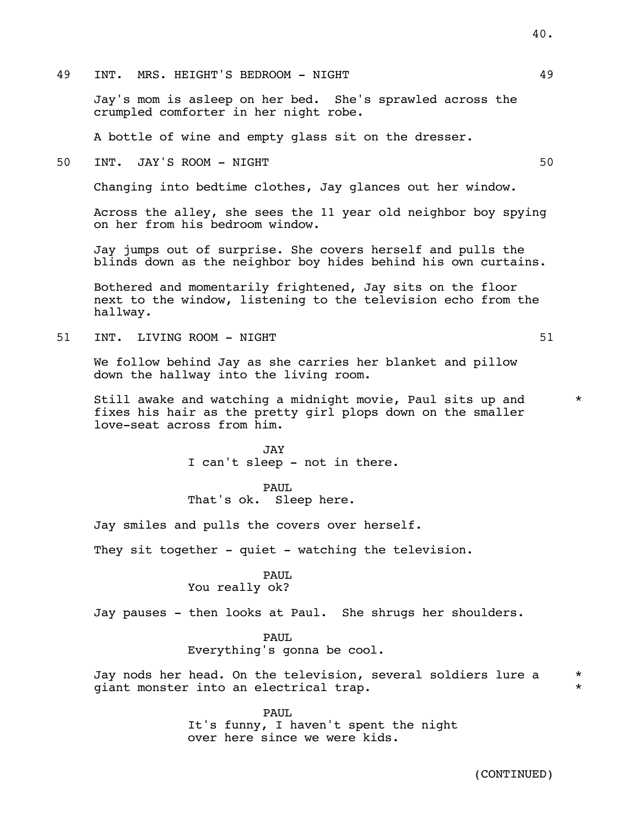49 INT. MRS. HEIGHT'S BEDROOM - NIGHT 49

Jay's mom is asleep on her bed. She's sprawled across the crumpled comforter in her night robe.

A bottle of wine and empty glass sit on the dresser.

50 INT. JAY'S ROOM - NIGHT 50

Changing into bedtime clothes, Jay glances out her window.

Across the alley, she sees the 11 year old neighbor boy spying on her from his bedroom window.

Jay jumps out of surprise. She covers herself and pulls the blinds down as the neighbor boy hides behind his own curtains.

Bothered and momentarily frightened, Jay sits on the floor next to the window, listening to the television echo from the hallway.

51 INT. LIVING ROOM – NIGHT STRANGER STRANGER STRANGER STRANGER STRANGER STRANGER STRANGER STRANGER STRANGER STR

We follow behind Jay as she carries her blanket and pillow down the hallway into the living room.

Still awake and watching a midnight movie, Paul sits up and  $*$ fixes his hair as the pretty girl plops down on the smaller love-seat across from him.

> JAY I can't sleep - not in there.

PAUL That's ok. Sleep here.

Jay smiles and pulls the covers over herself.

They sit together - quiet - watching the television.

# PAUL

You really ok?

Jay pauses - then looks at Paul. She shrugs her shoulders.

PAUL Everything's gonna be cool.

Jay nods her head. On the television, several soldiers lure a \* giant monster into an electrical trap. \*

> PAUL It's funny, I haven't spent the night over here since we were kids.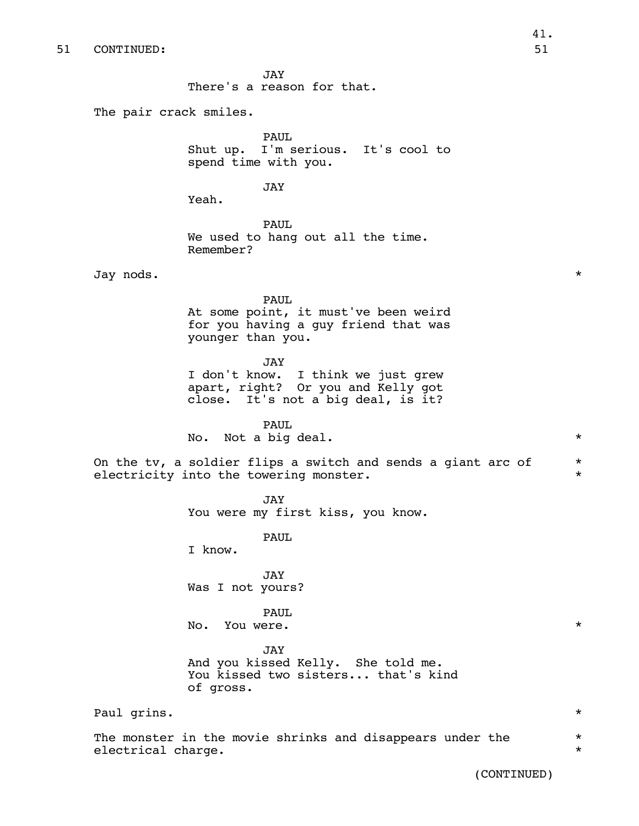JAY There's a reason for that.

The pair crack smiles.

PAUL Shut up. I'm serious. It's cool to spend time with you.

JAY

Yeah.

PAUL We used to hang out all the time. Remember?

Jay nods. \*

PAUL At some point, it must've been weird for you having a guy friend that was younger than you.

#### JAY

I don't know. I think we just grew apart, right? Or you and Kelly got close. It's not a big deal, is it?

PAUL

No. Not a big deal.  $\star$ 

On the tv, a soldier flips a switch and sends a giant arc of  $*$ electricity into the towering monster.  $*$ 

> JAY You were my first kiss, you know.

> > PAUL

I know.

JAY Was I not yours?

PAUL

No. You were.  $\star$ 

JAY

And you kissed Kelly. She told me. You kissed two sisters... that's kind of gross.

Paul grins.  $\star$ 

The monster in the movie shrinks and disappears under the  $\qquad$  \* electrical charge.  $\qquad \qquad \star$ 

(CONTINUED)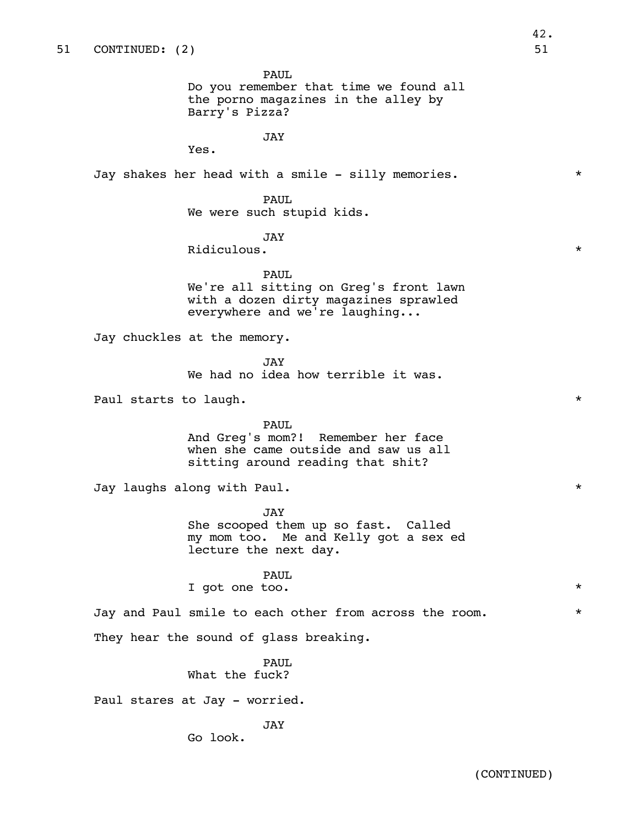PAUL Do you remember that time we found all

the porno magazines in the alley by Barry's Pizza?

JAY

Yes.

Jay shakes her head with a smile - silly memories. \*

PAUL

We were such stupid kids.

## JAY

Ridiculous.  $\star$ 

# PAUL

We're all sitting on Greg's front lawn with a dozen dirty magazines sprawled everywhere and we're laughing...

Jay chuckles at the memory.

JAY We had no idea how terrible it was.

Paul starts to laugh.  $\star$ 

#### PAUL

And Greg's mom?! Remember her face when she came outside and saw us all sitting around reading that shit?

Jay laughs along with Paul. \*

JAY She scooped them up so fast. Called my mom too. Me and Kelly got a sex ed lecture the next day.

PAUL

I got one too.  $*$ 

Jay and Paul smile to each other from across the room. \*

They hear the sound of glass breaking.

# PAUL What the fuck?

Paul stares at Jay - worried.

JAY

Go look.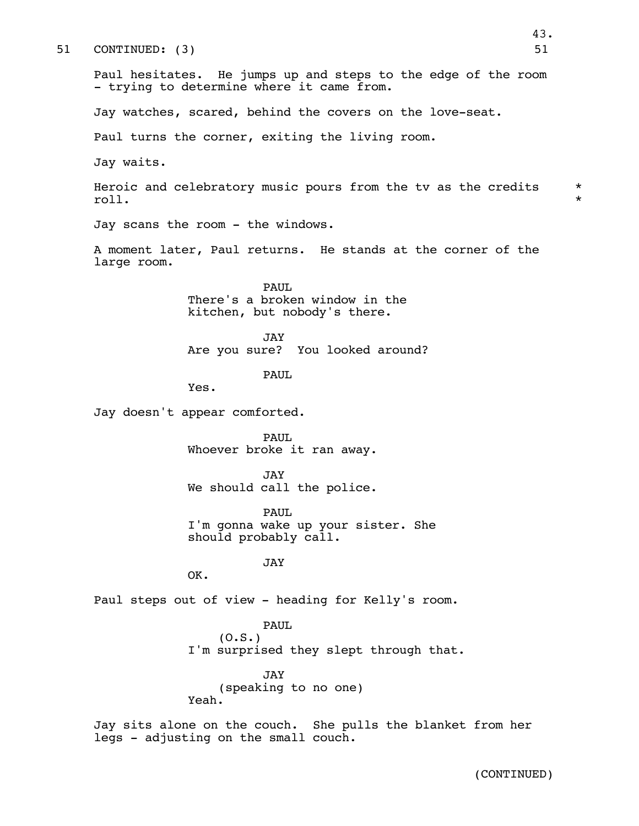| 51 | 51<br>CONTINUED: (3)                                                                                       |                    |
|----|------------------------------------------------------------------------------------------------------------|--------------------|
|    | Paul hesitates. He jumps up and steps to the edge of the room<br>- trying to determine where it came from. |                    |
|    | Jay watches, scared, behind the covers on the love-seat.                                                   |                    |
|    | Paul turns the corner, exiting the living room.                                                            |                    |
|    | Jay waits.                                                                                                 |                    |
|    | Heroic and celebratory music pours from the tv as the credits<br>roll.                                     | $\star$<br>$\star$ |
|    | Jay scans the room - the windows.                                                                          |                    |
|    | A moment later, Paul returns. He stands at the corner of the<br>large room.                                |                    |
|    | PAUL<br>There's a broken window in the<br>kitchen, but nobody's there.                                     |                    |
|    | JAY<br>Are you sure? You looked around?                                                                    |                    |
|    | PAUL<br>Yes.                                                                                               |                    |
|    | Jay doesn't appear comforted.                                                                              |                    |
|    | PAUL<br>Whoever broke it ran away.                                                                         |                    |
|    | JAY<br>We should call the police.                                                                          |                    |
|    | PAUL<br>I'm gonna wake up your sister. She<br>should probably call.                                        |                    |
|    | <b>JAY</b><br>OK.                                                                                          |                    |
|    | Paul steps out of view - heading for Kelly's room.                                                         |                    |
|    | <b>PAUL</b><br>(0.S.)<br>I'm surprised they slept through that.                                            |                    |
|    | JAY<br>(speaking to no one)<br>Yeah.                                                                       |                    |
|    | Jay sits alone on the couch. She pulls the blanket from her<br>legs - adjusting on the small couch.        |                    |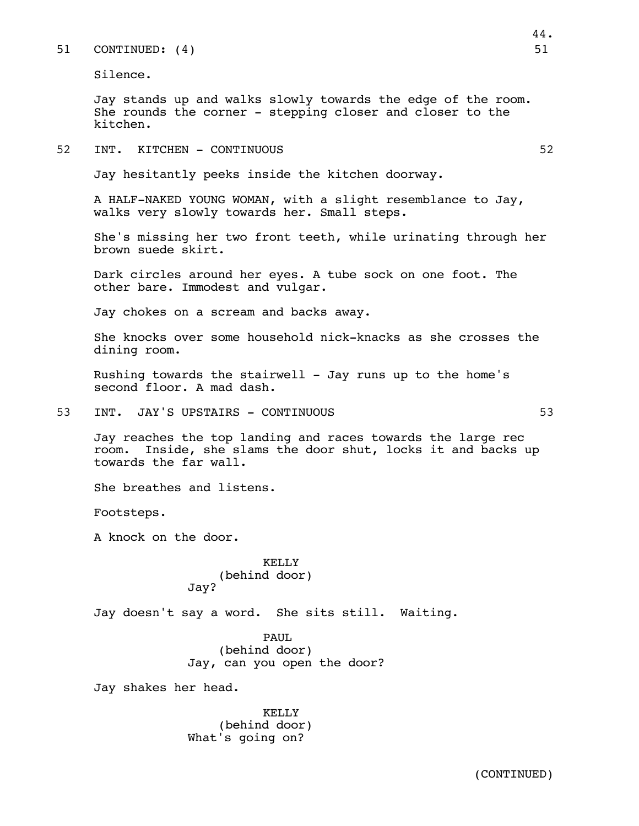## 51 CONTINUED: (4) 51

Silence.

Jay stands up and walks slowly towards the edge of the room. She rounds the corner - stepping closer and closer to the kitchen.

52 INT. KITCHEN - CONTINUOUS 52

Jay hesitantly peeks inside the kitchen doorway.

A HALF-NAKED YOUNG WOMAN, with a slight resemblance to Jay, walks very slowly towards her. Small steps.

She's missing her two front teeth, while urinating through her brown suede skirt.

Dark circles around her eyes. A tube sock on one foot. The other bare. Immodest and vulgar.

Jay chokes on a scream and backs away.

She knocks over some household nick-knacks as she crosses the dining room.

Rushing towards the stairwell - Jay runs up to the home's second floor. A mad dash.

53 INT. JAY'S UPSTAIRS - CONTINUOUS 53

Jay reaches the top landing and races towards the large rec room. Inside, she slams the door shut, locks it and backs up towards the far wall.

She breathes and listens.

Footsteps.

A knock on the door.

KELLY (behind door) Jay?

Jay doesn't say a word. She sits still. Waiting.

PAUL (behind door) Jay, can you open the door?

Jay shakes her head.

KELLY (behind door) What's going on?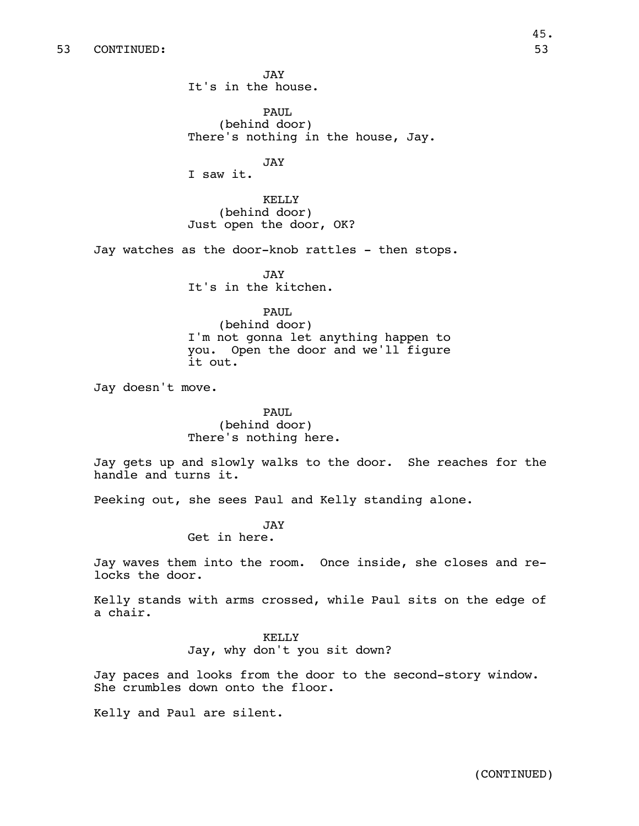JAY It's in the house.

PAUL (behind door) There's nothing in the house, Jay.

JAY

I saw it.

KELLY (behind door) Just open the door, OK?

Jay watches as the door-knob rattles - then stops.

JAY It's in the kitchen.

# PAUL

(behind door) I'm not gonna let anything happen to you. Open the door and we'll figure it out.

Jay doesn't move.

PAUL (behind door) There's nothing here.

Jay gets up and slowly walks to the door. She reaches for the handle and turns it.

Peeking out, she sees Paul and Kelly standing alone.

JAY

Get in here.

Jay waves them into the room. Once inside, she closes and relocks the door.

Kelly stands with arms crossed, while Paul sits on the edge of a chair.

## KELLY

Jay, why don't you sit down?

Jay paces and looks from the door to the second-story window. She crumbles down onto the floor.

Kelly and Paul are silent.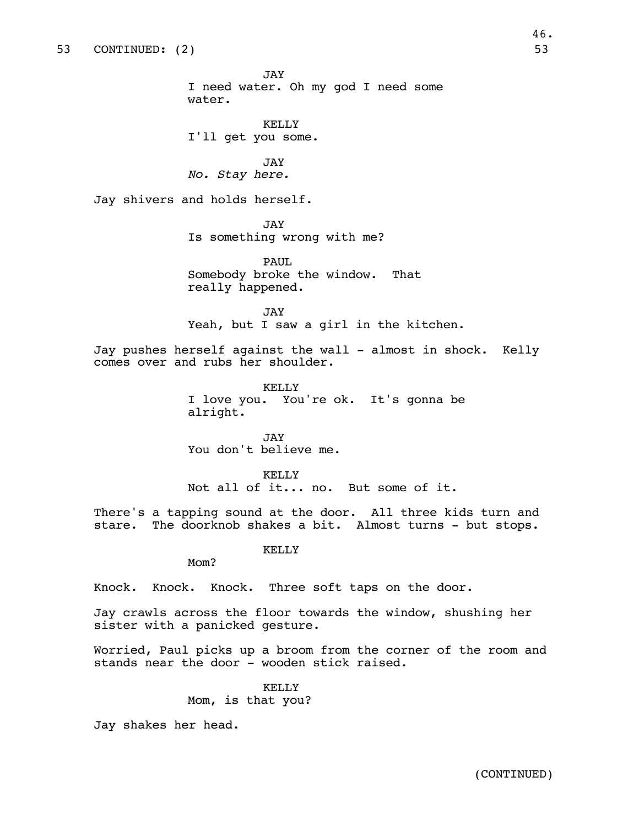JAY I need water. Oh my god I need some water.

KELLY I'll get you some.

JAY *No. Stay here.*

Jay shivers and holds herself.

JAY Is something wrong with me?

PAUL. Somebody broke the window. That really happened.

JAY Yeah, but I saw a girl in the kitchen.

Jay pushes herself against the wall - almost in shock. Kelly comes over and rubs her shoulder.

> KELLY I love you. You're ok. It's gonna be alright.

JAY You don't believe me.

KELLY Not all of it... no. But some of it.

There's a tapping sound at the door. All three kids turn and stare. The doorknob shakes a bit. Almost turns - but stops.

KELLY

Mom?

Knock. Knock. Knock. Three soft taps on the door.

Jay crawls across the floor towards the window, shushing her sister with a panicked gesture.

Worried, Paul picks up a broom from the corner of the room and stands near the door - wooden stick raised.

KELLY

Mom, is that you?

Jay shakes her head.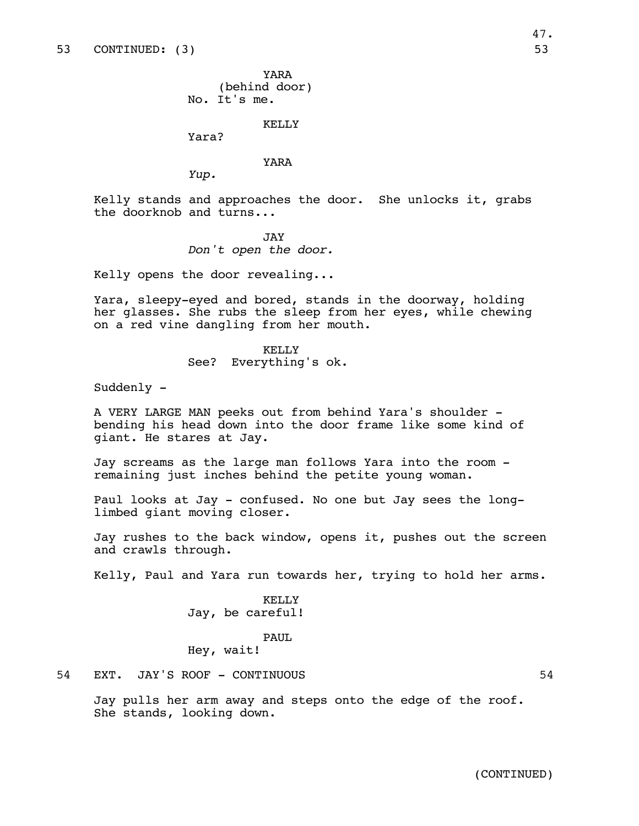YARA (behind door) No. It's me.

Yara?

### YARA

KELLY

*Yup.*

Kelly stands and approaches the door. She unlocks it, grabs the doorknob and turns...

#### JAY

*Don't open the door.*

Kelly opens the door revealing...

Yara, sleepy-eyed and bored, stands in the doorway, holding her glasses. She rubs the sleep from her eyes, while chewing on a red vine dangling from her mouth.

> KELLY See? Everything's ok.

Suddenly -

A VERY LARGE MAN peeks out from behind Yara's shoulder bending his head down into the door frame like some kind of giant. He stares at Jay.

Jay screams as the large man follows Yara into the room remaining just inches behind the petite young woman.

Paul looks at Jay - confused. No one but Jay sees the longlimbed giant moving closer.

Jay rushes to the back window, opens it, pushes out the screen and crawls through.

Kelly, Paul and Yara run towards her, trying to hold her arms.

KELLY Jay, be careful!

# PAUL

Hey, wait!

Jay pulls her arm away and steps onto the edge of the roof.

She stands, looking down.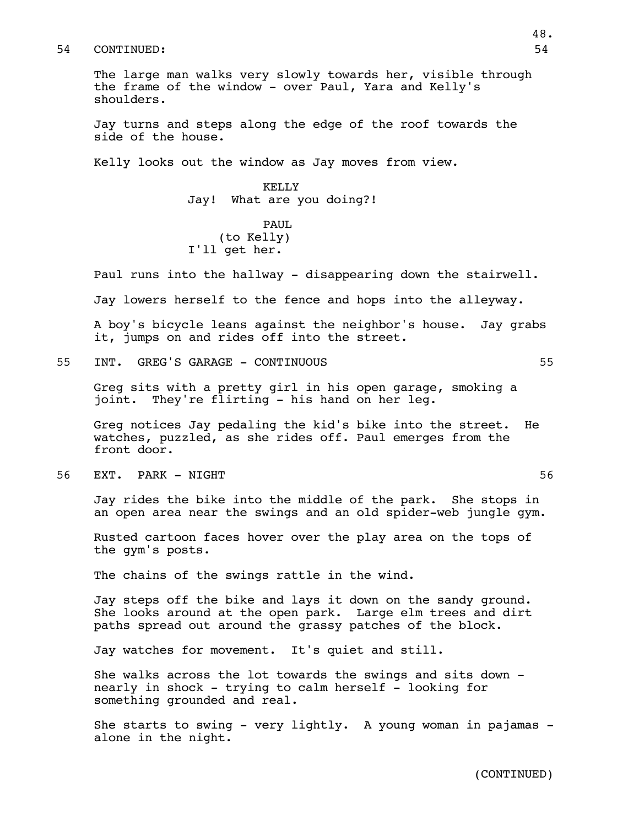The large man walks very slowly towards her, visible through the frame of the window - over Paul, Yara and Kelly's shoulders.

Jay turns and steps along the edge of the roof towards the side of the house.

Kelly looks out the window as Jay moves from view.

KELLY Jay! What are you doing?!

PAUL (to Kelly) I'll get her.

Paul runs into the hallway - disappearing down the stairwell.

Jay lowers herself to the fence and hops into the alleyway.

A boy's bicycle leans against the neighbor's house. Jay grabs it, jumps on and rides off into the street.

55 INT. GREG'S GARAGE - CONTINUOUS 55

Greg sits with a pretty girl in his open garage, smoking a joint. They're flirting - his hand on her leg.

Greg notices Jay pedaling the kid's bike into the street. He watches, puzzled, as she rides off. Paul emerges from the front door.

56 EXT. PARK - NIGHT 56

Jay rides the bike into the middle of the park. She stops in an open area near the swings and an old spider-web jungle gym.

Rusted cartoon faces hover over the play area on the tops of the gym's posts.

The chains of the swings rattle in the wind.

Jay steps off the bike and lays it down on the sandy ground. She looks around at the open park. Large elm trees and dirt paths spread out around the grassy patches of the block.

Jay watches for movement. It's quiet and still.

She walks across the lot towards the swings and sits down nearly in shock - trying to calm herself - looking for something grounded and real.

She starts to swing - very lightly. A young woman in pajamas alone in the night.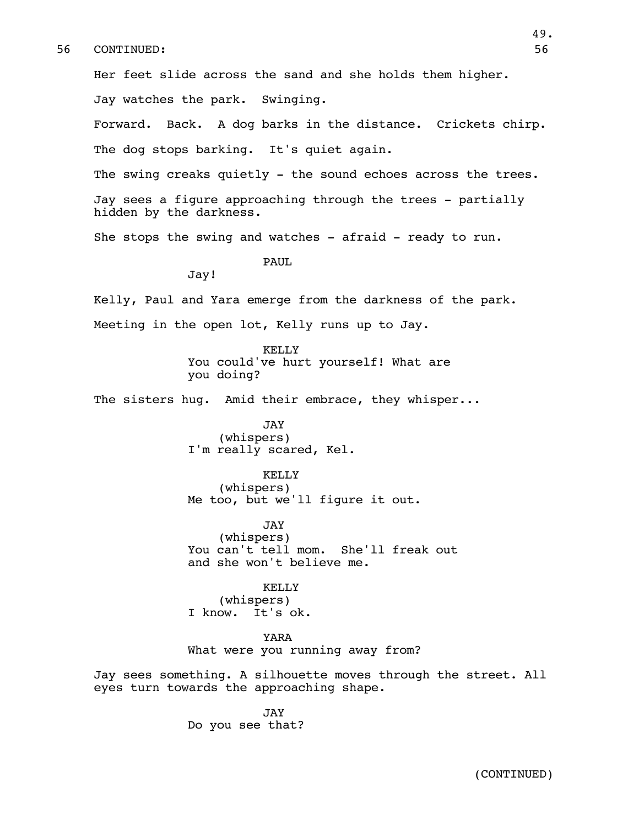Her feet slide across the sand and she holds them higher.

Jay watches the park. Swinging.

Forward. Back. A dog barks in the distance. Crickets chirp. The dog stops barking. It's quiet again.

The swing creaks quietly - the sound echoes across the trees.

Jay sees a figure approaching through the trees - partially hidden by the darkness.

She stops the swing and watches  $-$  afraid  $-$  ready to run.

PAUL

Jay!

Kelly, Paul and Yara emerge from the darkness of the park. Meeting in the open lot, Kelly runs up to Jay.

> KELLY You could've hurt yourself! What are you doing?

The sisters hug. Amid their embrace, they whisper...

JAY (whispers) I'm really scared, Kel.

KELLY

(whispers) Me too, but we'll figure it out.

JAY (whispers) You can't tell mom. She'll freak out and she won't believe me.

KELLY (whispers) I know. It's ok.

YARA What were you running away from?

Jay sees something. A silhouette moves through the street. All eyes turn towards the approaching shape.

> JAY Do you see that?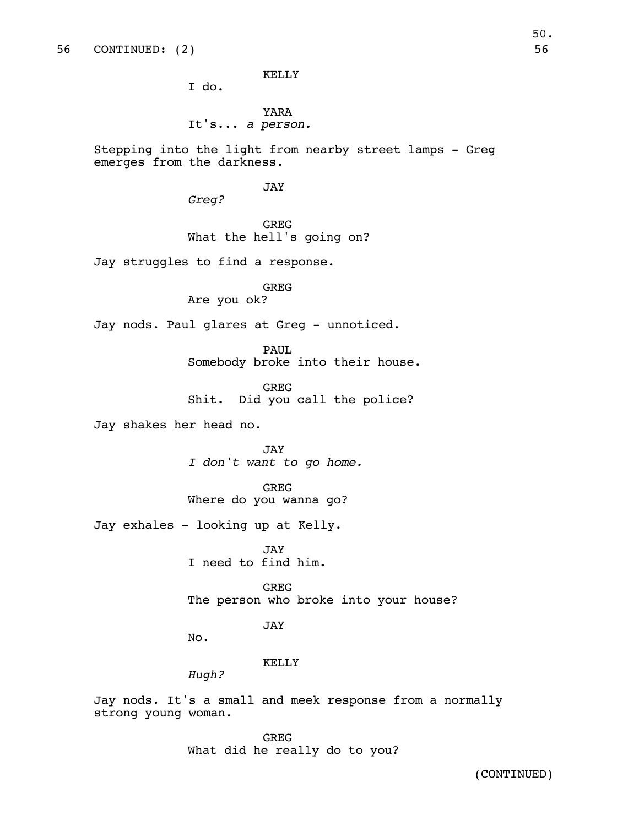KELLY

I do.

YARA It's... *a person.*

Stepping into the light from nearby street lamps - Greg emerges from the darkness.

JAY

*Greg?*

GREG What the hell's going on?

Jay struggles to find a response.

# GREG

Are you ok?

Jay nods. Paul glares at Greg - unnoticed.

PAUL

Somebody broke into their house.

GREG Shit. Did you call the police?

Jay shakes her head no.

JAY *I don't want to go home.*

GREG Where do you wanna go?

Jay exhales - looking up at Kelly.

JAY I need to find him.

GREG The person who broke into your house?

JAY

No.

# KELLY

*Hugh?*

Jay nods. It's a small and meek response from a normally strong young woman.

> GREG What did he really do to you?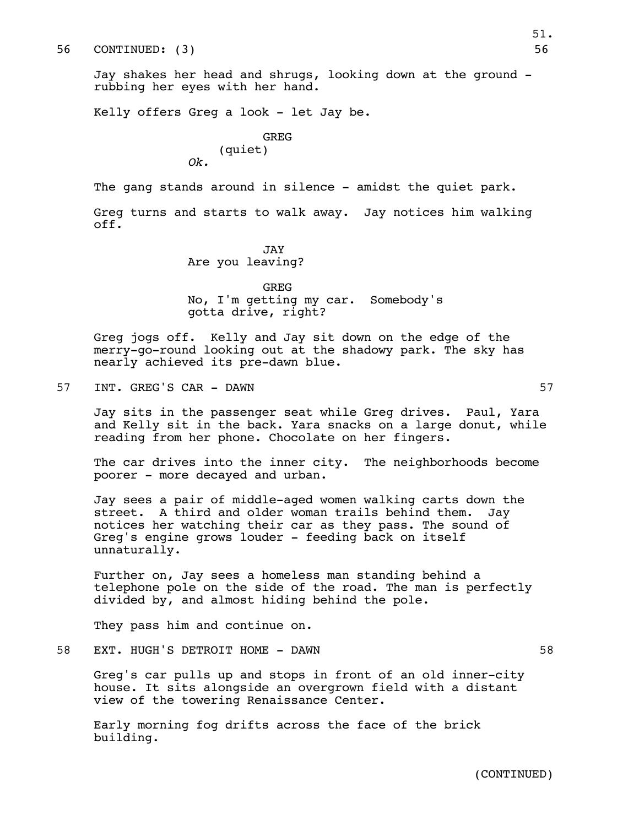Jay shakes her head and shrugs, looking down at the ground rubbing her eyes with her hand.

Kelly offers Greg a look - let Jay be.

# GREG (quiet)

*Ok.*

The gang stands around in silence - amidst the quiet park.

Greg turns and starts to walk away. Jay notices him walking off.

## JAY Are you leaving?

GREG No, I'm getting my car. Somebody's gotta drive, right?

Greg jogs off. Kelly and Jay sit down on the edge of the merry-go-round looking out at the shadowy park. The sky has nearly achieved its pre-dawn blue.

57 INT. GREG'S CAR - DAWN 57

Jay sits in the passenger seat while Greg drives. Paul, Yara and Kelly sit in the back. Yara snacks on a large donut, while reading from her phone. Chocolate on her fingers.

The car drives into the inner city. The neighborhoods become poorer - more decayed and urban.

Jay sees a pair of middle-aged women walking carts down the street. A third and older woman trails behind them. Jay notices her watching their car as they pass. The sound of Greg's engine grows louder - feeding back on itself unnaturally.

Further on, Jay sees a homeless man standing behind a telephone pole on the side of the road. The man is perfectly divided by, and almost hiding behind the pole.

They pass him and continue on.

58 EXT. HUGH'S DETROIT HOME - DAWN 58

Greg's car pulls up and stops in front of an old inner-city house. It sits alongside an overgrown field with a distant view of the towering Renaissance Center.

Early morning fog drifts across the face of the brick building.

(CONTINUED)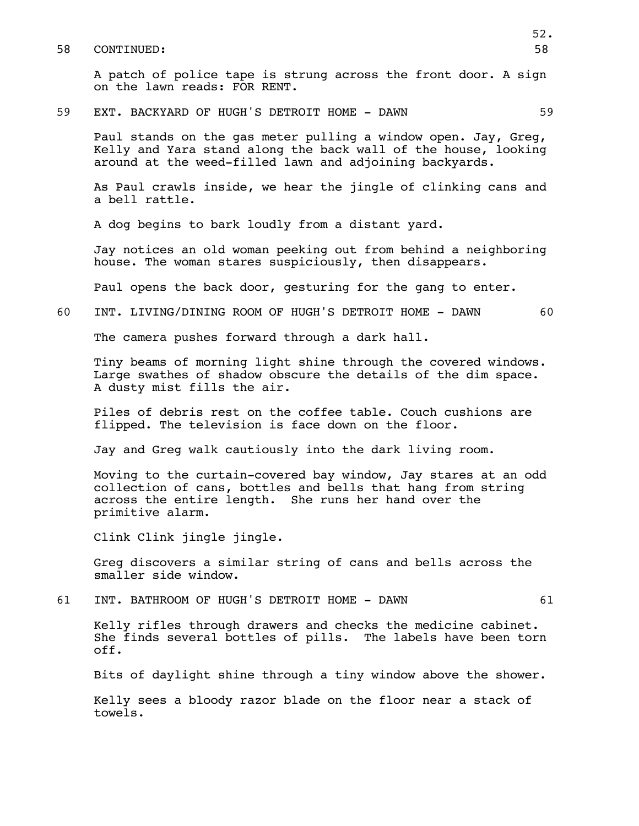A patch of police tape is strung across the front door. A sign on the lawn reads: FOR RENT.

## 59 EXT. BACKYARD OF HUGH'S DETROIT HOME - DAWN 59

Paul stands on the gas meter pulling a window open. Jay, Greg, Kelly and Yara stand along the back wall of the house, looking around at the weed-filled lawn and adjoining backyards.

As Paul crawls inside, we hear the jingle of clinking cans and a bell rattle.

A dog begins to bark loudly from a distant yard.

Jay notices an old woman peeking out from behind a neighboring house. The woman stares suspiciously, then disappears.

Paul opens the back door, gesturing for the gang to enter.

# 60 INT. LIVING/DINING ROOM OF HUGH'S DETROIT HOME - DAWN 60

The camera pushes forward through a dark hall.

Tiny beams of morning light shine through the covered windows. Large swathes of shadow obscure the details of the dim space. A dusty mist fills the air.

Piles of debris rest on the coffee table. Couch cushions are flipped. The television is face down on the floor.

Jay and Greg walk cautiously into the dark living room.

Moving to the curtain-covered bay window, Jay stares at an odd collection of cans, bottles and bells that hang from string across the entire length. She runs her hand over the primitive alarm.

Clink Clink jingle jingle.

Greg discovers a similar string of cans and bells across the smaller side window.

61 INT. BATHROOM OF HUGH'S DETROIT HOME - DAWN 61

Kelly rifles through drawers and checks the medicine cabinet. She finds several bottles of pills. The labels have been torn off.

Bits of daylight shine through a tiny window above the shower.

Kelly sees a bloody razor blade on the floor near a stack of towels.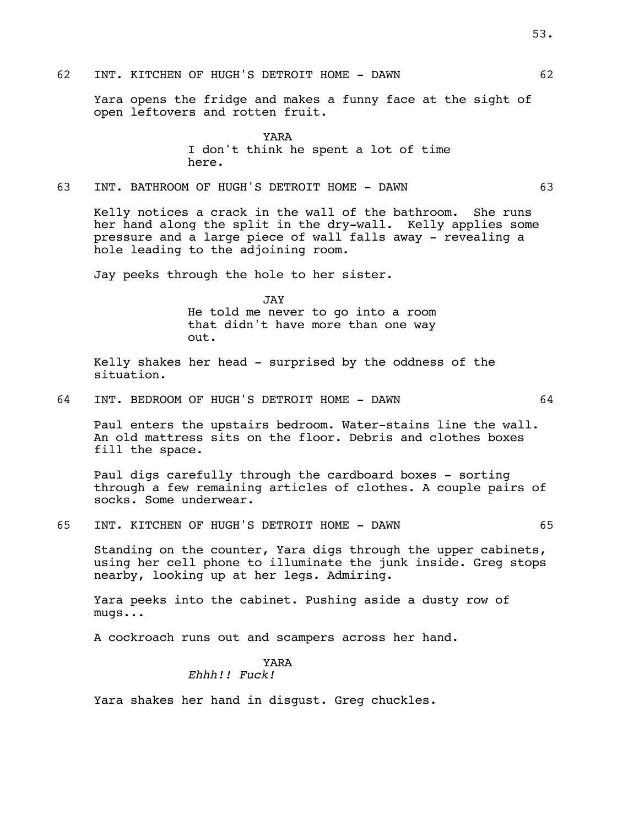Yara opens the fridge and makes a funny face at the sight of open leftovers and rotten fruit.

> YARA I don't think he spent a lot of time here.

63 INT. BATHROOM OF HUGH'S DETROIT HOME - DAWN 63

Kelly notices a crack in the wall of the bathroom. She runs her hand along the split in the dry-wall. Kelly applies some pressure and a large piece of wall falls away - revealing a hole leading to the adjoining room.

Jay peeks through the hole to her sister.

JAY He told me never to go into a room that didn't have more than one way out.

Kelly shakes her head - surprised by the oddness of the situation.

64 INT. BEDROOM OF HUGH'S DETROIT HOME - DAWN 64

Paul enters the upstairs bedroom. Water-stains line the wall. An old mattress sits on the floor. Debris and clothes boxes fill the space.

Paul digs carefully through the cardboard boxes - sorting through a few remaining articles of clothes. A couple pairs of socks. Some underwear.

65 INT. KITCHEN OF HUGH'S DETROIT HOME - DAWN 65

Standing on the counter, Yara digs through the upper cabinets, using her cell phone to illuminate the junk inside. Greg stops nearby, looking up at her legs. Admiring.

Yara peeks into the cabinet. Pushing aside a dusty row of mugs...

A cockroach runs out and scampers across her hand.

#### YARA *Ehhh!! Fuck!*

Yara shakes her hand in disgust. Greg chuckles.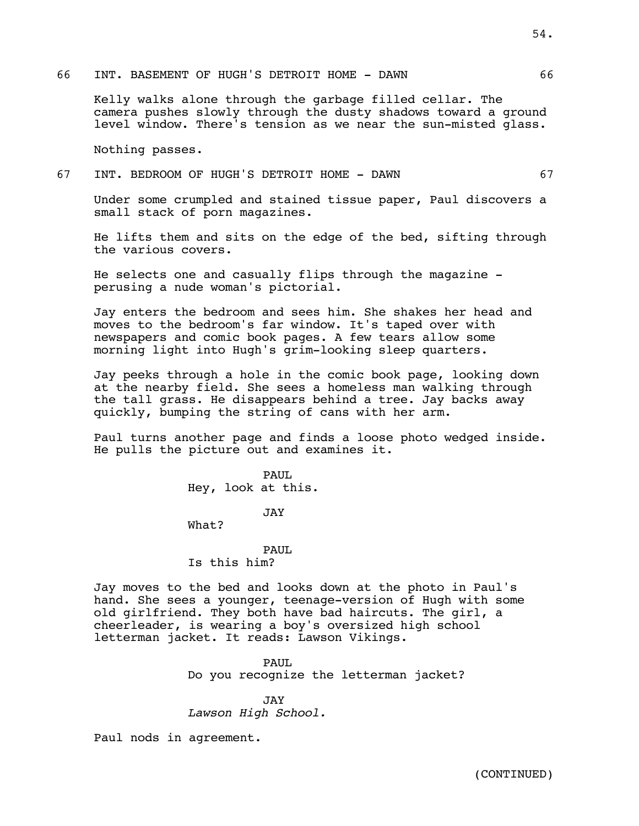## 66 INT. BASEMENT OF HUGH'S DETROIT HOME - DAWN 66

Kelly walks alone through the garbage filled cellar. The camera pushes slowly through the dusty shadows toward a ground level window. There's tension as we near the sun-misted glass.

Nothing passes.

# 67 INT. BEDROOM OF HUGH'S DETROIT HOME - DAWN 67

Under some crumpled and stained tissue paper, Paul discovers a small stack of porn magazines.

He lifts them and sits on the edge of the bed, sifting through the various covers.

He selects one and casually flips through the magazine perusing a nude woman's pictorial.

Jay enters the bedroom and sees him. She shakes her head and moves to the bedroom's far window. It's taped over with newspapers and comic book pages. A few tears allow some morning light into Hugh's grim-looking sleep quarters.

Jay peeks through a hole in the comic book page, looking down at the nearby field. She sees a homeless man walking through the tall grass. He disappears behind a tree. Jay backs away quickly, bumping the string of cans with her arm.

Paul turns another page and finds a loose photo wedged inside. He pulls the picture out and examines it.

> PAUL Hey, look at this.

> > JAY

What?

## PAUL Is this him?

Jay moves to the bed and looks down at the photo in Paul's hand. She sees a younger, teenage-version of Hugh with some old girlfriend. They both have bad haircuts. The girl, a cheerleader, is wearing a boy's oversized high school letterman jacket. It reads: Lawson Vikings.

PAUL.

Do you recognize the letterman jacket?

JAY

*Lawson High School.*

Paul nods in agreement.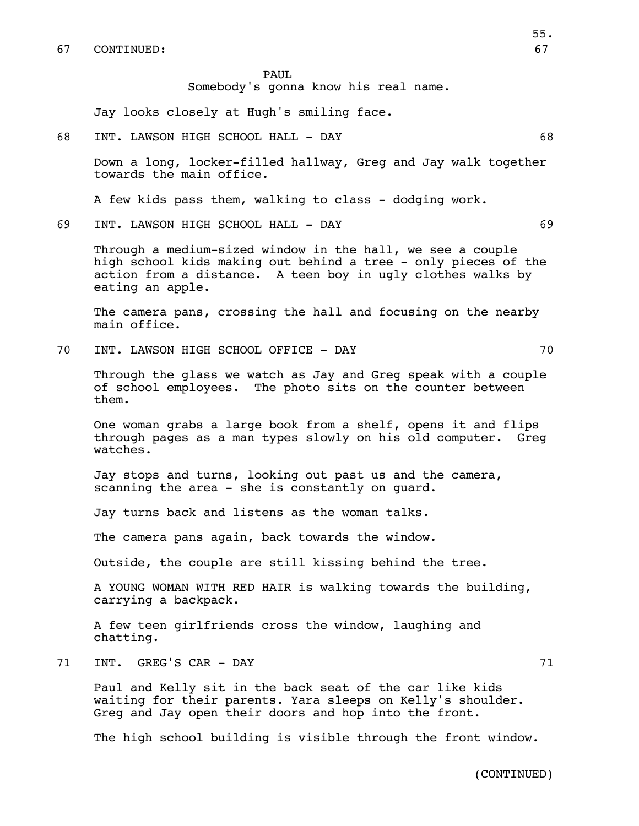PAUL

Somebody's gonna know his real name.

Jay looks closely at Hugh's smiling face.

68 INT. LAWSON HIGH SCHOOL HALL - DAY 68

Down a long, locker-filled hallway, Greg and Jay walk together towards the main office.

A few kids pass them, walking to class - dodging work.

69 INT. LAWSON HIGH SCHOOL HALL - DAY 69

Through a medium-sized window in the hall, we see a couple high school kids making out behind a tree - only pieces of the action from a distance. A teen boy in ugly clothes walks by eating an apple.

The camera pans, crossing the hall and focusing on the nearby main office.

70 INT. LAWSON HIGH SCHOOL OFFICE - DAY 70

Through the glass we watch as Jay and Greg speak with a couple of school employees. The photo sits on the counter between them.

One woman grabs a large book from a shelf, opens it and flips through pages as a man types slowly on his old computer. Greg watches.

Jay stops and turns, looking out past us and the camera, scanning the area - she is constantly on guard.

Jay turns back and listens as the woman talks.

The camera pans again, back towards the window.

Outside, the couple are still kissing behind the tree.

A YOUNG WOMAN WITH RED HAIR is walking towards the building, carrying a backpack.

A few teen girlfriends cross the window, laughing and chatting.

71 INT. GREG'S CAR – DAY 71

Paul and Kelly sit in the back seat of the car like kids waiting for their parents. Yara sleeps on Kelly's shoulder. Greg and Jay open their doors and hop into the front.

The high school building is visible through the front window.

(CONTINUED)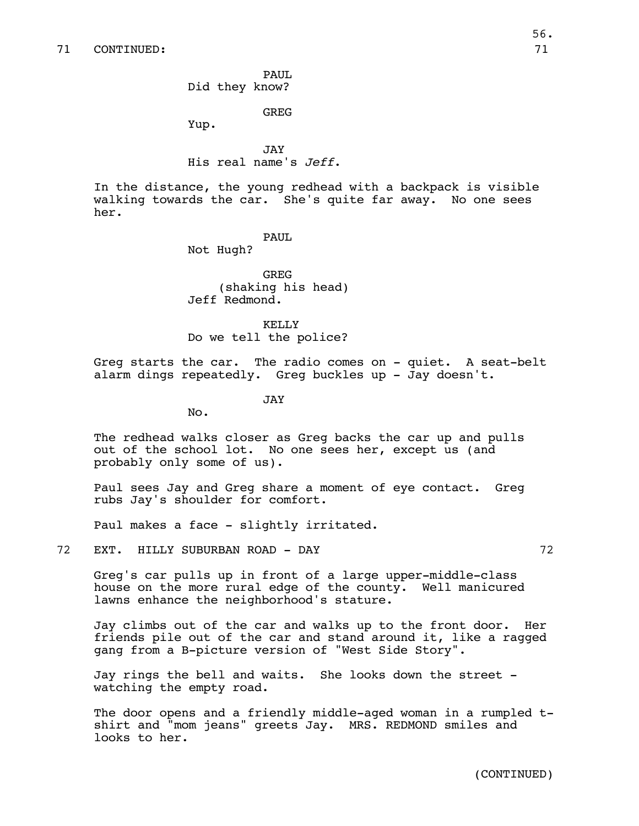PAUL Did they know?

GREG

Yup.

**JAY** His real name's *Jeff*.

In the distance, the young redhead with a backpack is visible walking towards the car. She's quite far away. No one sees her.

PAUL.

Not Hugh?

GREG (shaking his head) Jeff Redmond.

KELLY Do we tell the police?

Greg starts the car. The radio comes on - quiet. A seat-belt alarm dings repeatedly. Greg buckles up - Jay doesn't.

JAY

No.

The redhead walks closer as Greg backs the car up and pulls out of the school lot. No one sees her, except us (and probably only some of us).

Paul sees Jay and Greg share a moment of eye contact. Greg rubs Jay's shoulder for comfort.

Paul makes a face - slightly irritated.

72 EXT. HILLY SUBURBAN ROAD - DAY 72

Greg's car pulls up in front of a large upper-middle-class house on the more rural edge of the county. Well manicured lawns enhance the neighborhood's stature.

Jay climbs out of the car and walks up to the front door. Her friends pile out of the car and stand around it, like a ragged gang from a B-picture version of "West Side Story".

Jay rings the bell and waits. She looks down the street watching the empty road.

The door opens and a friendly middle-aged woman in a rumpled tshirt and "mom jeans" greets Jay. MRS. REDMOND smiles and looks to her.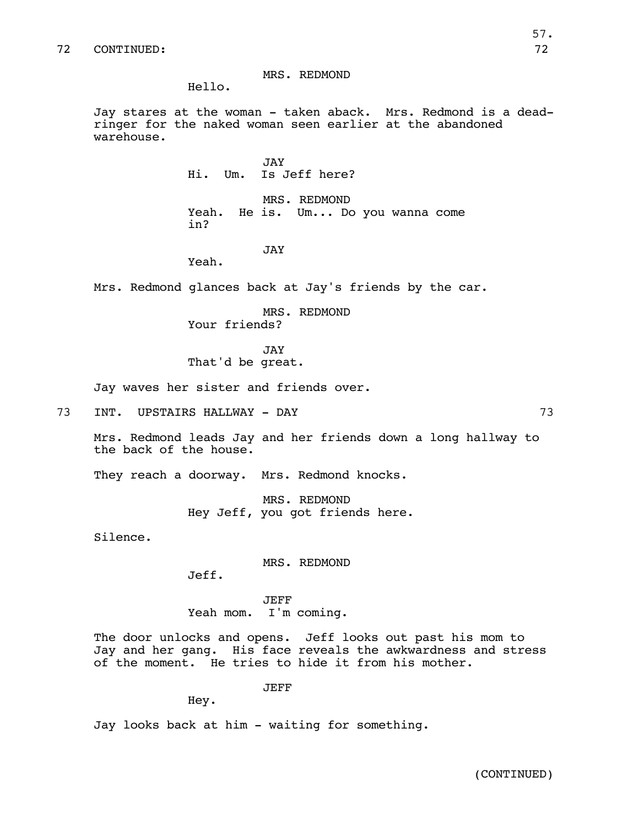## MRS. REDMOND

Hello.

Jay stares at the woman - taken aback. Mrs. Redmond is a deadringer for the naked woman seen earlier at the abandoned warehouse.

> JAY Hi. Um. Is Jeff here?

MRS. REDMOND Yeah. He is. Um... Do you wanna come in?

## JAY

Yeah.

Mrs. Redmond glances back at Jay's friends by the car.

MRS. REDMOND Your friends?

JAY That'd be great.

Jay waves her sister and friends over.

73 INT. UPSTAIRS HALLWAY - DAY 73

Mrs. Redmond leads Jay and her friends down a long hallway to the back of the house.

They reach a doorway. Mrs. Redmond knocks.

MRS. REDMOND Hey Jeff, you got friends here.

Silence.

MRS. REDMOND

Jeff.

JEFF Yeah mom. I'm coming.

The door unlocks and opens. Jeff looks out past his mom to Jay and her gang. His face reveals the awkwardness and stress of the moment. He tries to hide it from his mother.

JEFF

Hey.

Jay looks back at him - waiting for something.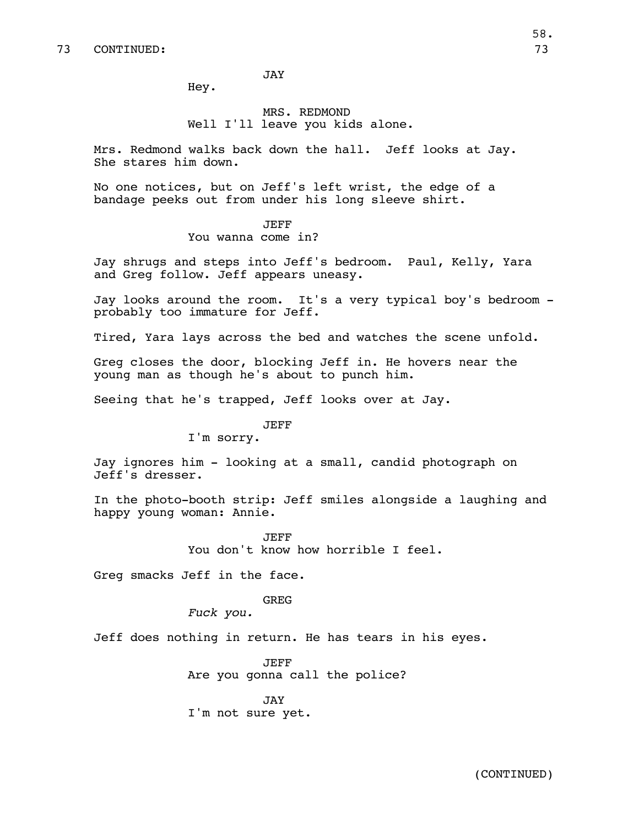JAY

Hey.

# MRS. REDMOND Well I'll leave you kids alone.

Mrs. Redmond walks back down the hall. Jeff looks at Jay. She stares him down.

No one notices, but on Jeff's left wrist, the edge of a bandage peeks out from under his long sleeve shirt.

# JEFF You wanna come in?

Jay shrugs and steps into Jeff's bedroom. Paul, Kelly, Yara and Greg follow. Jeff appears uneasy.

Jay looks around the room. It's a very typical boy's bedroom probably too immature for Jeff.

Tired, Yara lays across the bed and watches the scene unfold.

Greg closes the door, blocking Jeff in. He hovers near the young man as though he's about to punch him.

Seeing that he's trapped, Jeff looks over at Jay.

# JEFF

I'm sorry.

Jay ignores him - looking at a small, candid photograph on Jeff's dresser.

In the photo-booth strip: Jeff smiles alongside a laughing and happy young woman: Annie.

> JEFF You don't know how horrible I feel.

Greg smacks Jeff in the face.

GREG

*Fuck you.*

Jeff does nothing in return. He has tears in his eyes.

JEFF Are you gonna call the police?

JAY I'm not sure yet.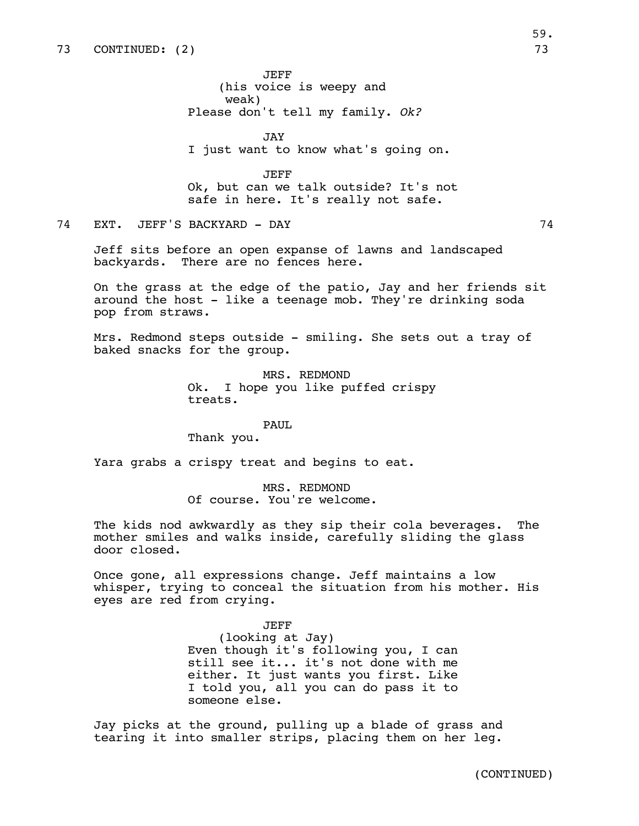JEFF (his voice is weepy and weak) Please don't tell my family. *Ok?* 

JAY I just want to know what's going on.

JEFF Ok, but can we talk outside? It's not safe in here. It's really not safe.

74 EXT. JEFF'S BACKYARD - DAY 74

Jeff sits before an open expanse of lawns and landscaped backyards. There are no fences here.

On the grass at the edge of the patio, Jay and her friends sit around the host - like a teenage mob. They're drinking soda pop from straws.

Mrs. Redmond steps outside - smiling. She sets out a tray of baked snacks for the group.

> MRS. REDMOND Ok. I hope you like puffed crispy treats.

> > PAUL

Thank you.

Yara grabs a crispy treat and begins to eat.

MRS. REDMOND Of course. You're welcome.

The kids nod awkwardly as they sip their cola beverages. The mother smiles and walks inside, carefully sliding the glass door closed.

Once gone, all expressions change. Jeff maintains a low whisper, trying to conceal the situation from his mother. His eyes are red from crying.

JEFF

(looking at Jay) Even though it's following you, I can still see it... it's not done with me either. It just wants you first. Like I told you, all you can do pass it to someone else.

Jay picks at the ground, pulling up a blade of grass and tearing it into smaller strips, placing them on her leg.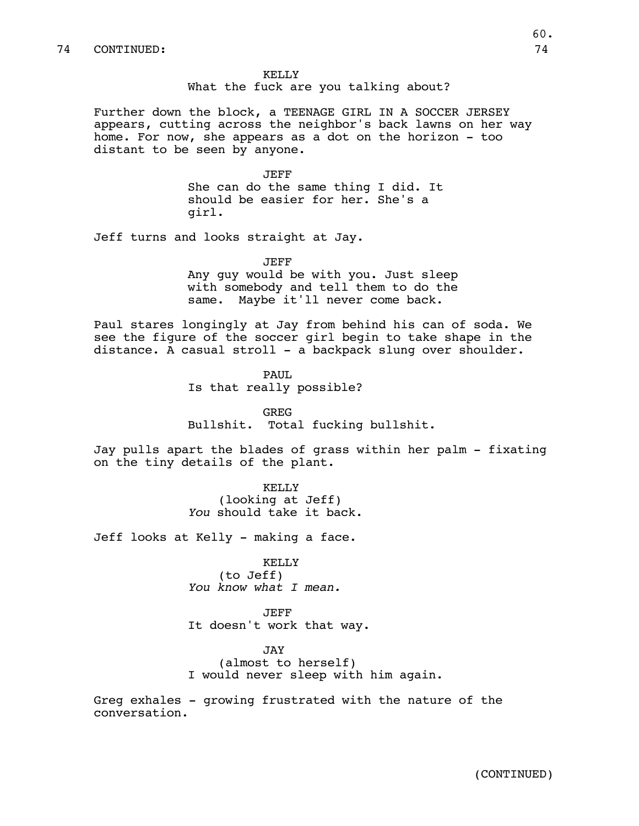KELLY What the fuck are you talking about?

Further down the block, a TEENAGE GIRL IN A SOCCER JERSEY appears, cutting across the neighbor's back lawns on her way home. For now, she appears as a dot on the horizon - too distant to be seen by anyone.

> JEFF She can do the same thing I did. It should be easier for her. She's a girl.

Jeff turns and looks straight at Jay.

JEFF Any guy would be with you. Just sleep with somebody and tell them to do the same. Maybe it'll never come back.

Paul stares longingly at Jay from behind his can of soda. We see the figure of the soccer girl begin to take shape in the distance. A casual stroll - a backpack slung over shoulder.

> PAUL. Is that really possible?

GREG Bullshit. Total fucking bullshit.

Jay pulls apart the blades of grass within her palm - fixating on the tiny details of the plant.

> KELLY (looking at Jeff) *You* should take it back.

Jeff looks at Kelly - making a face.

KELLY (to Jeff) *You know what I mean.*

JEFF It doesn't work that way.

JAY (almost to herself) I would never sleep with him again.

Greg exhales - growing frustrated with the nature of the conversation.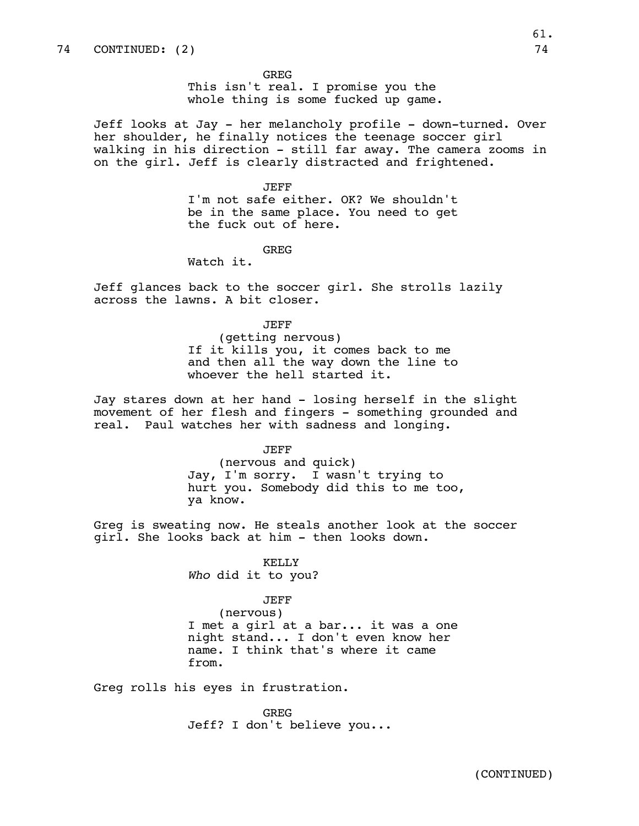GREG

This isn't real. I promise you the whole thing is some fucked up game.

Jeff looks at Jay - her melancholy profile - down-turned. Over her shoulder, he finally notices the teenage soccer girl walking in his direction - still far away. The camera zooms in on the girl. Jeff is clearly distracted and frightened.

JEFF

I'm not safe either. OK? We shouldn't be in the same place. You need to get the fuck out of here.

GREG

Watch it.

Jeff glances back to the soccer girl. She strolls lazily across the lawns. A bit closer.

JEFF

(getting nervous) If it kills you, it comes back to me and then all the way down the line to whoever the hell started it.

Jay stares down at her hand - losing herself in the slight movement of her flesh and fingers - something grounded and real. Paul watches her with sadness and longing.

JEFF

(nervous and quick) Jay, I'm sorry. I wasn't trying to hurt you. Somebody did this to me too, ya know.

Greg is sweating now. He steals another look at the soccer girl. She looks back at him - then looks down.

> KELLY *Who* did it to you?

> > JEFF

(nervous) I met a girl at a bar... it was a one night stand... I don't even know her name. I think that's where it came from.

Greg rolls his eyes in frustration.

GREG Jeff? I don't believe you...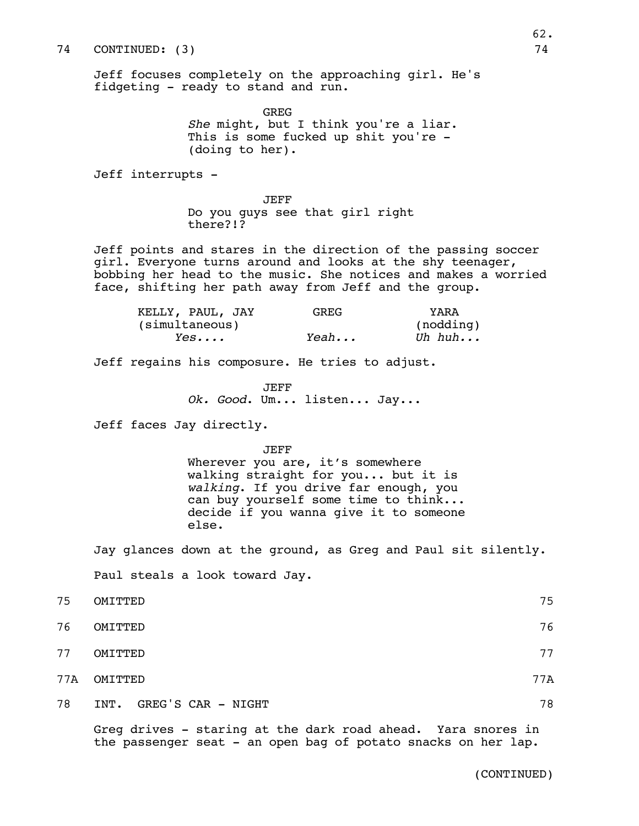Jeff focuses completely on the approaching girl. He's fidgeting - ready to stand and run.

> GREG *She* might, but I think you're a liar. This is some fucked up shit you're -(doing to her).

Jeff interrupts -

JEFF Do you guys see that girl right there?!?

Jeff points and stares in the direction of the passing soccer girl. Everyone turns around and looks at the shy teenager, bobbing her head to the music. She notices and makes a worried face, shifting her path away from Jeff and the group.

| KELLY, PAUL, JAY | GREG. | YARA      |
|------------------|-------|-----------|
| (simultaneous)   |       | (nodding) |
| Yes              | Yeah  | Uh huh    |

Jeff regains his composure. He tries to adjust.

JEFF *Ok. Good*. Um... listen... Jay...

Jeff faces Jay directly.

JEFF

Wherever you are, it's somewhere walking straight for you... but it is *walking*. If you drive far enough, you can buy yourself some time to think... decide if you wanna give it to someone else.

Jay glances down at the ground, as Greg and Paul sit silently. Paul steals a look toward Jay.

| 75 | OMITTED                 | 75  |
|----|-------------------------|-----|
| 76 | OMITTED                 | 76  |
| 77 | OMITTED                 | 77  |
|    | 77A OMITTED             | 77A |
| 78 | INT. GREG'S CAR - NIGHT | 78  |

Greg drives - staring at the dark road ahead. Yara snores in the passenger seat - an open bag of potato snacks on her lap.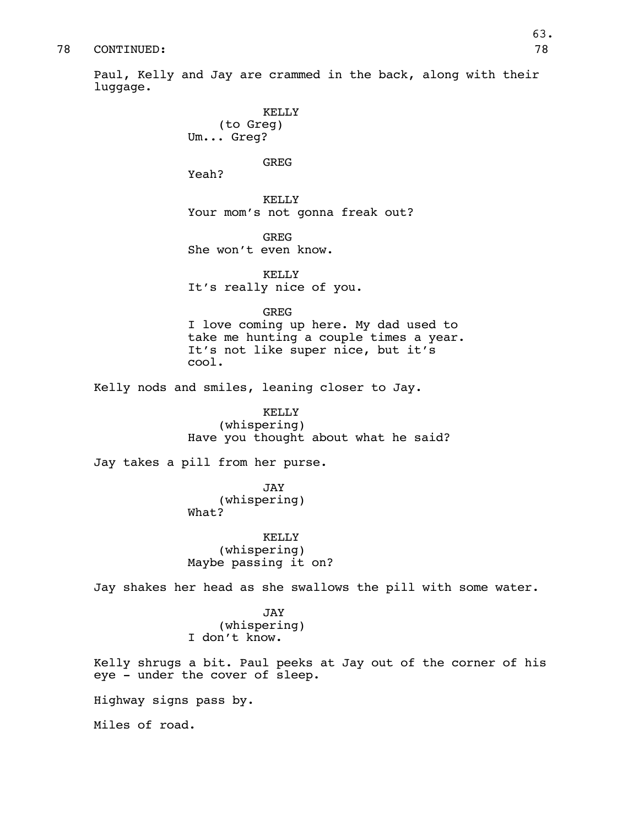Paul, Kelly and Jay are crammed in the back, along with their luggage.

> KELLY (to Greg) Um... Greg?

#### GREG

Yeah?

KELLY Your mom's not gonna freak out?

GREG She won't even know.

KELLY It's really nice of you.

GREG

I love coming up here. My dad used to take me hunting a couple times a year. It's not like super nice, but it's cool.

Kelly nods and smiles, leaning closer to Jay.

KELLY (whispering) Have you thought about what he said?

Jay takes a pill from her purse.

JAY (whispering) What?

KELLY (whispering) Maybe passing it on?

Jay shakes her head as she swallows the pill with some water.

JAY (whispering) I don't know.

Kelly shrugs a bit. Paul peeks at Jay out of the corner of his eye - under the cover of sleep.

Highway signs pass by.

Miles of road.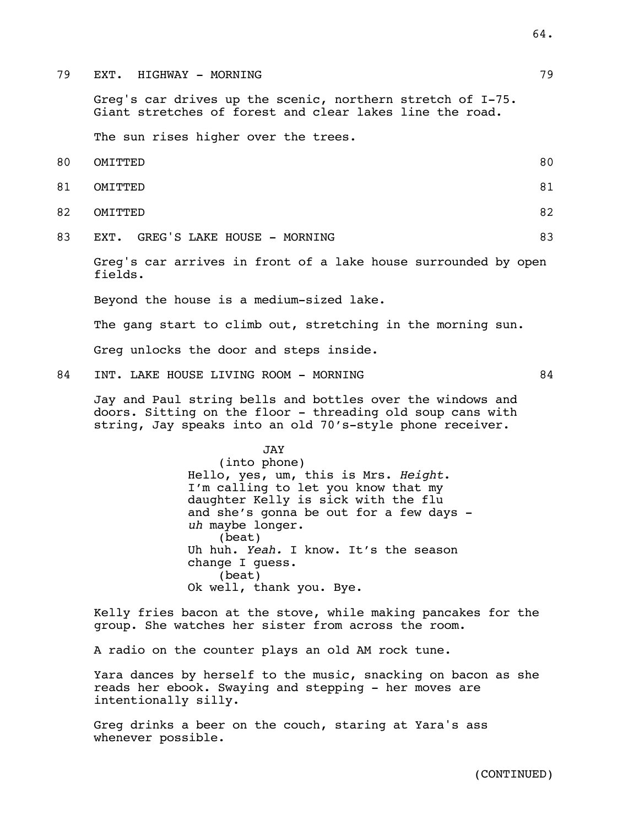79 EXT. HIGHWAY - MORNING 79

Greg's car drives up the scenic, northern stretch of I-75. Giant stretches of forest and clear lakes line the road.

The sun rises higher over the trees.

- 80 OMITTED 80 81 OMITTED 81 82 OMITTED 82 83 EXT. GREG'S LAKE HOUSE - MORNING 83
	- Greg's car arrives in front of a lake house surrounded by open fields.

Beyond the house is a medium-sized lake.

The gang start to climb out, stretching in the morning sun.

Greg unlocks the door and steps inside.

84 INT. LAKE HOUSE LIVING ROOM - MORNING 84

Jay and Paul string bells and bottles over the windows and doors. Sitting on the floor - threading old soup cans with string, Jay speaks into an old 70's-style phone receiver.

JAY

(into phone) Hello, yes, um, this is Mrs. *Height*. I'm calling to let you know that my daughter Kelly is sick with the flu and she's gonna be out for a few days *uh* maybe longer. (beat) Uh huh. *Yeah.* I know. It's the season change I guess. (beat) Ok well, thank you. Bye.

Kelly fries bacon at the stove, while making pancakes for the group. She watches her sister from across the room.

A radio on the counter plays an old AM rock tune.

Yara dances by herself to the music, snacking on bacon as she reads her ebook. Swaying and stepping - her moves are intentionally silly.

Greg drinks a beer on the couch, staring at Yara's ass whenever possible.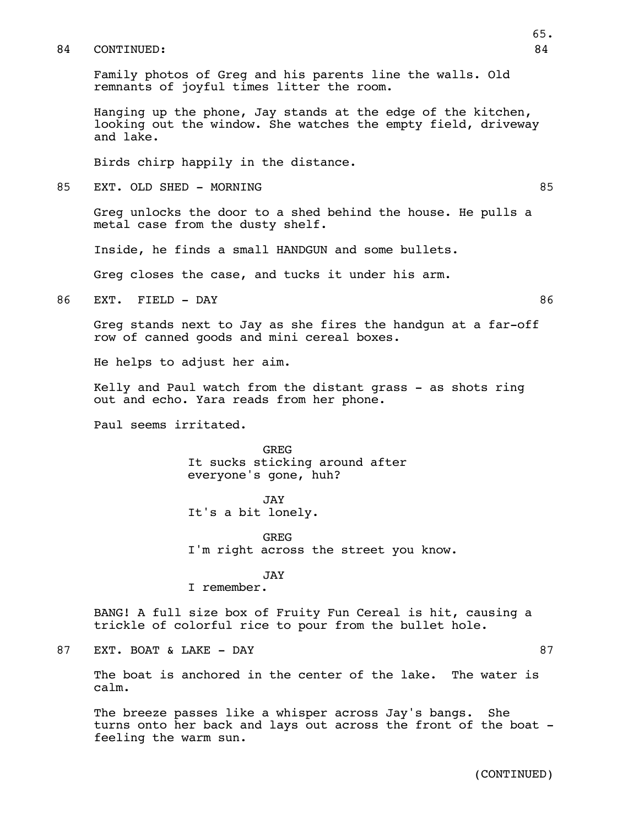Family photos of Greg and his parents line the walls. Old remnants of joyful times litter the room.

Hanging up the phone, Jay stands at the edge of the kitchen, looking out the window. She watches the empty field, driveway and lake.

Birds chirp happily in the distance.

85 EXT. OLD SHED – MORNING REDUCED AND RESERVE ASSESSED ASSESSED AND RESERVE ASSESSED ASSESSED ASSESSED AND RESERVE ASSESSED ASSESSED AND RESERVE ASSESSED AND RESERVE A LOCAL AND RESERVE A LOCAL AND RELATION AND RELATION A

Greg unlocks the door to a shed behind the house. He pulls a metal case from the dusty shelf.

Inside, he finds a small HANDGUN and some bullets.

Greg closes the case, and tucks it under his arm.

86 EXT. FIELD - DAY 86

Greg stands next to Jay as she fires the handgun at a far-off row of canned goods and mini cereal boxes.

He helps to adjust her aim.

Kelly and Paul watch from the distant grass - as shots ring out and echo. Yara reads from her phone.

Paul seems irritated.

GREG It sucks sticking around after everyone's gone, huh?

JAY It's a bit lonely.

GREG I'm right across the street you know.

#### JAY

I remember.

BANG! A full size box of Fruity Fun Cereal is hit, causing a trickle of colorful rice to pour from the bullet hole.

87 EXT. BOAT & LAKE – DAY 87 SERVED AT A STRING AT 87

The boat is anchored in the center of the lake. The water is calm.

The breeze passes like a whisper across Jay's bangs. She turns onto her back and lays out across the front of the boat feeling the warm sun.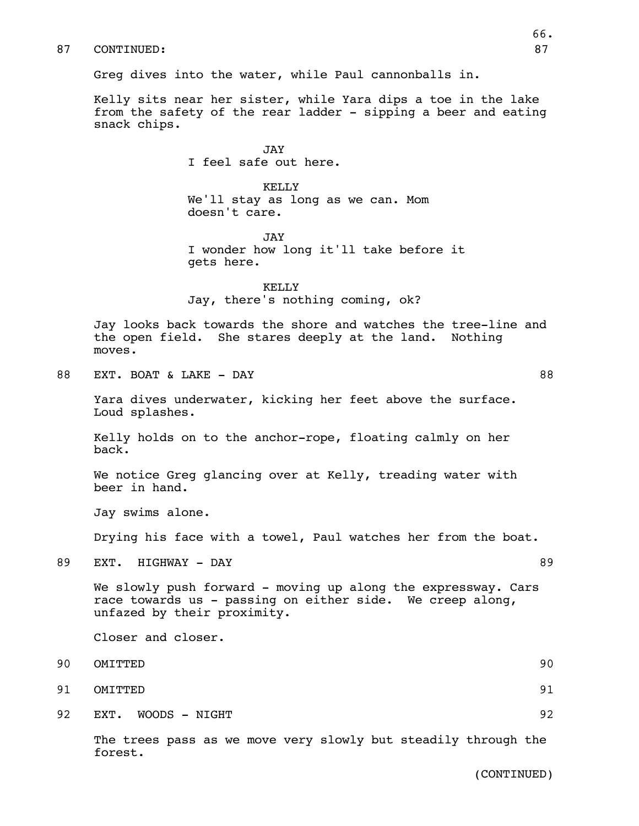Greg dives into the water, while Paul cannonballs in.

Kelly sits near her sister, while Yara dips a toe in the lake from the safety of the rear ladder - sipping a beer and eating snack chips.

> JAY I feel safe out here.

KELLY We'll stay as long as we can. Mom doesn't care.

JAY I wonder how long it'll take before it gets here.

KELLY Jay, there's nothing coming, ok?

Jay looks back towards the shore and watches the tree-line and the open field. She stares deeply at the land. Nothing moves.

88 EXT. BOAT & LAKE - DAY 88

Yara dives underwater, kicking her feet above the surface. Loud splashes.

Kelly holds on to the anchor-rope, floating calmly on her back.

We notice Greg glancing over at Kelly, treading water with beer in hand.

Jay swims alone.

Drying his face with a towel, Paul watches her from the boat.

89 EXT. HIGHWAY – DAY 89

We slowly push forward - moving up along the expressway. Cars race towards us - passing on either side. We creep along, unfazed by their proximity.

Closer and closer.

- 90 OMITTED 90
- 91 OMITTED 91
- 92 EXT. WOODS NIGHT 2000 SAME 2000 SAME 2000 SAME 2000 SAME 2000 SAME 32

The trees pass as we move very slowly but steadily through the forest.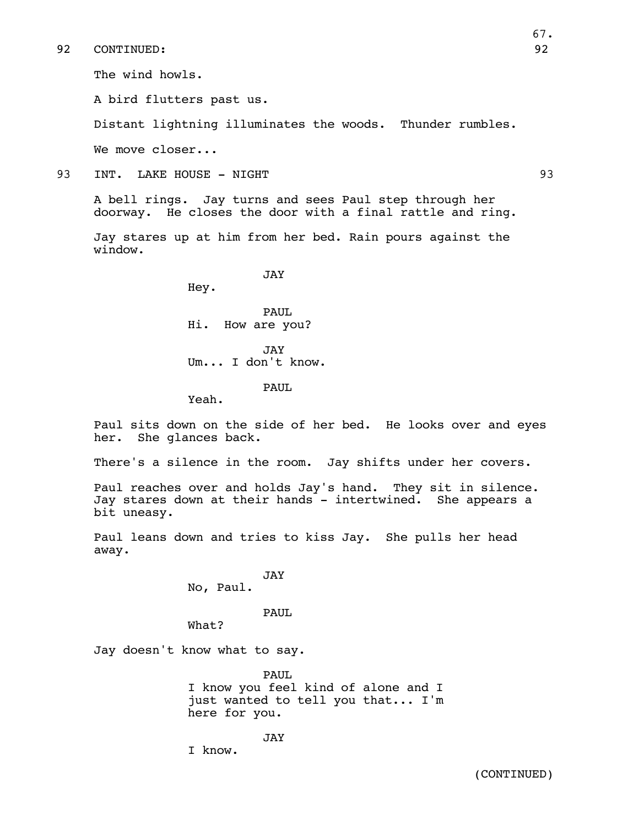The wind howls.

A bird flutters past us.

Distant lightning illuminates the woods. Thunder rumbles.

We move closer...

93 INT. LAKE HOUSE - NIGHT 93

A bell rings. Jay turns and sees Paul step through her doorway. He closes the door with a final rattle and ring.

Jay stares up at him from her bed. Rain pours against the window.

JAY

Hey.

PAUL. Hi. How are you?

JAY Um... I don't know.

PAUL

Yeah.

Paul sits down on the side of her bed. He looks over and eyes her. She glances back.

There's a silence in the room. Jay shifts under her covers.

Paul reaches over and holds Jay's hand. They sit in silence. Jay stares down at their hands - intertwined. She appears a bit uneasy.

Paul leans down and tries to kiss Jay. She pulls her head away.

> JAY No, Paul.

> > PAUL

What?

Jay doesn't know what to say.

PAUL I know you feel kind of alone and I just wanted to tell you that... I'm here for you.

JAY I know.

(CONTINUED)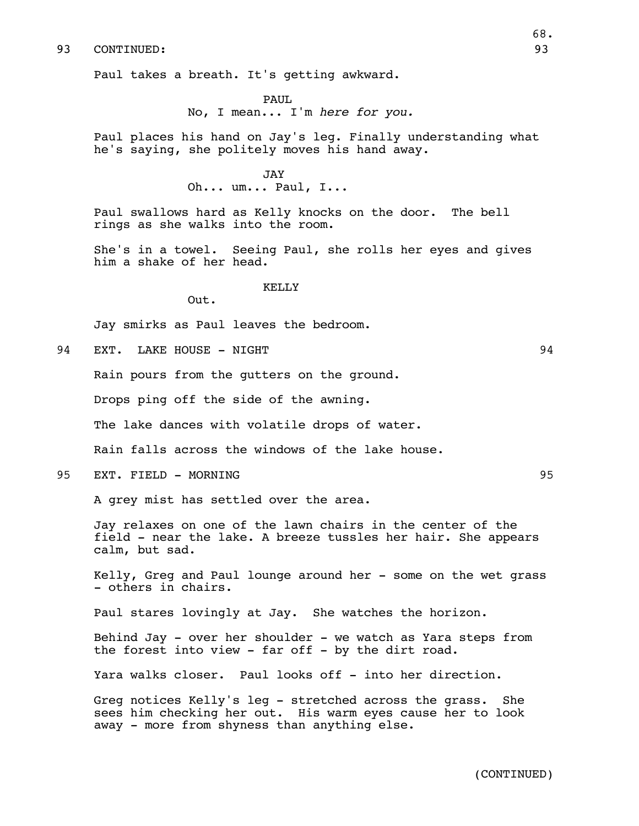Paul takes a breath. It's getting awkward.

PAUL No, I mean... I'm *here for you.*

Paul places his hand on Jay's leg. Finally understanding what he's saying, she politely moves his hand away.

> JAY Oh... um... Paul, I...

Paul swallows hard as Kelly knocks on the door. The bell rings as she walks into the room.

She's in a towel. Seeing Paul, she rolls her eyes and gives him a shake of her head.

#### KELLY

Out.

Jay smirks as Paul leaves the bedroom.

94 EXT. LAKE HOUSE - NIGHT 94

Rain pours from the gutters on the ground.

Drops ping off the side of the awning.

The lake dances with volatile drops of water.

Rain falls across the windows of the lake house.

95 EXT. FIELD – MORNING 25

A grey mist has settled over the area.

Jay relaxes on one of the lawn chairs in the center of the field - near the lake. A breeze tussles her hair. She appears calm, but sad.

Kelly, Greg and Paul lounge around her - some on the wet grass - others in chairs.

Paul stares lovingly at Jay. She watches the horizon.

Behind Jay - over her shoulder - we watch as Yara steps from the forest into view - far off - by the dirt road.

Yara walks closer. Paul looks off - into her direction.

Greg notices Kelly's leg - stretched across the grass. She sees him checking her out. His warm eyes cause her to look away - more from shyness than anything else.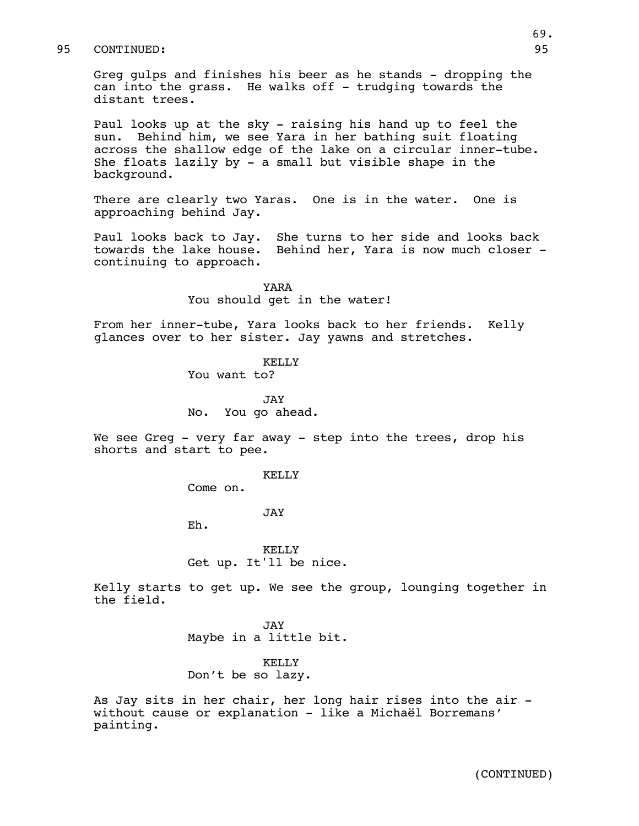Greg gulps and finishes his beer as he stands - dropping the can into the grass. He walks off - trudging towards the distant trees.

Paul looks up at the sky - raising his hand up to feel the sun. Behind him, we see Yara in her bathing suit floating across the shallow edge of the lake on a circular inner-tube. She floats lazily by - a small but visible shape in the background.

There are clearly two Yaras. One is in the water. One is approaching behind Jay.

Paul looks back to Jay. She turns to her side and looks back towards the lake house. Behind her, Yara is now much closer continuing to approach.

> YARA You should get in the water!

From her inner-tube, Yara looks back to her friends. Kelly glances over to her sister. Jay yawns and stretches.

KELLY

You want to?

JAY No. You go ahead.

We see Greg - very far away - step into the trees, drop his shorts and start to pee.

#### KELLY

Come on.

JAY

Eh.

KELLY Get up. It'll be nice.

Kelly starts to get up. We see the group, lounging together in the field.

> JAY Maybe in a little bit.

## KELLY Don't be so lazy.

As Jay sits in her chair, her long hair rises into the air without cause or explanation - like a Michaël Borremans' painting.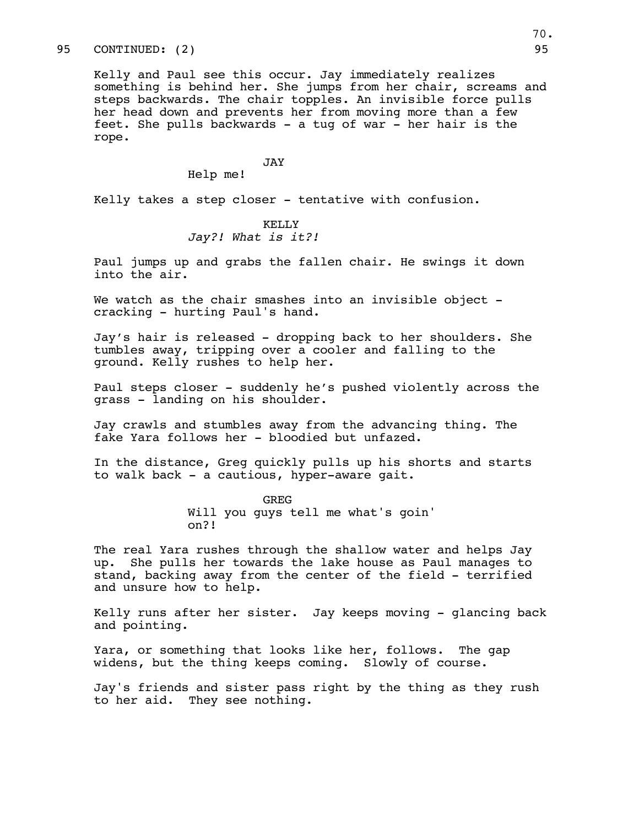# 95 CONTINUED: (2) 95

Kelly and Paul see this occur. Jay immediately realizes something is behind her. She jumps from her chair, screams and steps backwards. The chair topples. An invisible force pulls her head down and prevents her from moving more than a few feet. She pulls backwards - a tug of war - her hair is the rope.

#### JAY

Help me!

Kelly takes a step closer - tentative with confusion.

# KELLY *Jay?! What is it?!*

Paul jumps up and grabs the fallen chair. He swings it down into the air.

We watch as the chair smashes into an invisible object cracking - hurting Paul's hand.

Jay's hair is released - dropping back to her shoulders. She tumbles away, tripping over a cooler and falling to the ground. Kelly rushes to help her.

Paul steps closer - suddenly he's pushed violently across the grass - landing on his shoulder.

Jay crawls and stumbles away from the advancing thing. The fake Yara follows her - bloodied but unfazed.

In the distance, Greg quickly pulls up his shorts and starts to walk back - a cautious, hyper-aware gait.

> GREG Will you guys tell me what's goin' on?!

The real Yara rushes through the shallow water and helps Jay up. She pulls her towards the lake house as Paul manages to stand, backing away from the center of the field - terrified and unsure how to help.

Kelly runs after her sister. Jay keeps moving - glancing back and pointing.

Yara, or something that looks like her, follows. The gap widens, but the thing keeps coming. Slowly of course.

Jay's friends and sister pass right by the thing as they rush to her aid. They see nothing.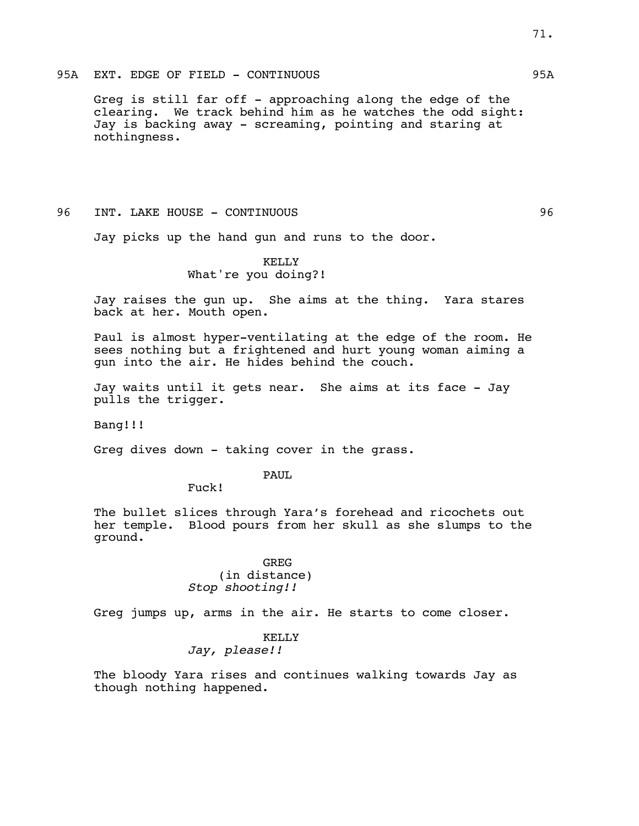#### 95A EXT. EDGE OF FIELD - CONTINUOUS 95A

Greg is still far off - approaching along the edge of the clearing. We track behind him as he watches the odd sight: Jay is backing away - screaming, pointing and staring at nothingness.

#### 96 INT. LAKE HOUSE - CONTINUOUS 96

Jay picks up the hand gun and runs to the door.

# KELLY What're you doing?!

Jay raises the gun up. She aims at the thing. Yara stares back at her. Mouth open.

Paul is almost hyper-ventilating at the edge of the room. He sees nothing but a frightened and hurt young woman aiming a gun into the air. He hides behind the couch.

Jay waits until it gets near. She aims at its face - Jay pulls the trigger.

Bang!!!

Greg dives down - taking cover in the grass.

#### PAUL

Fuck!

The bullet slices through Yara's forehead and ricochets out her temple. Blood pours from her skull as she slumps to the ground.

## GREG (in distance) *Stop shooting!!*

Greg jumps up, arms in the air. He starts to come closer.

## KELLY

# *Jay, please!!*

The bloody Yara rises and continues walking towards Jay as though nothing happened.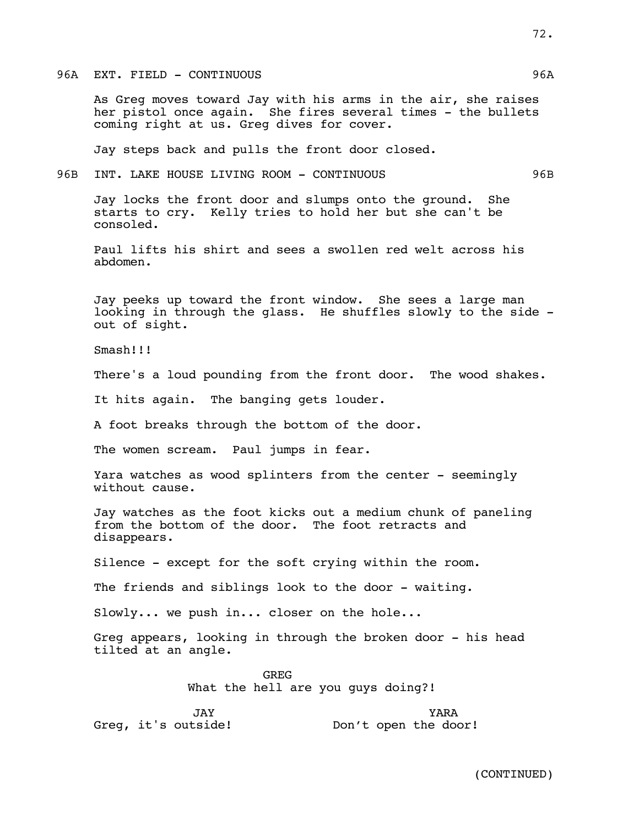96A EXT. FIELD - CONTINUOUS 96A

As Greg moves toward Jay with his arms in the air, she raises her pistol once again. She fires several times - the bullets coming right at us. Greg dives for cover.

Jay steps back and pulls the front door closed.

96B INT. LAKE HOUSE LIVING ROOM - CONTINUOUS 96B

Jay locks the front door and slumps onto the ground. She starts to cry. Kelly tries to hold her but she can't be consoled.

Paul lifts his shirt and sees a swollen red welt across his abdomen.

Jay peeks up toward the front window. She sees a large man looking in through the glass. He shuffles slowly to the side out of sight.

Smash!!!

There's a loud pounding from the front door. The wood shakes.

It hits again. The banging gets louder.

A foot breaks through the bottom of the door.

The women scream. Paul jumps in fear.

Yara watches as wood splinters from the center - seemingly without cause.

Jay watches as the foot kicks out a medium chunk of paneling from the bottom of the door. The foot retracts and disappears.

Silence - except for the soft crying within the room.

The friends and siblings look to the door - waiting.

Slowly... we push in... closer on the hole...

Greg appears, looking in through the broken door - his head tilted at an angle.

> GREG What the hell are you guys doing?!

JAY Greg, it's outside! YARA Don't open the door!

(CONTINUED)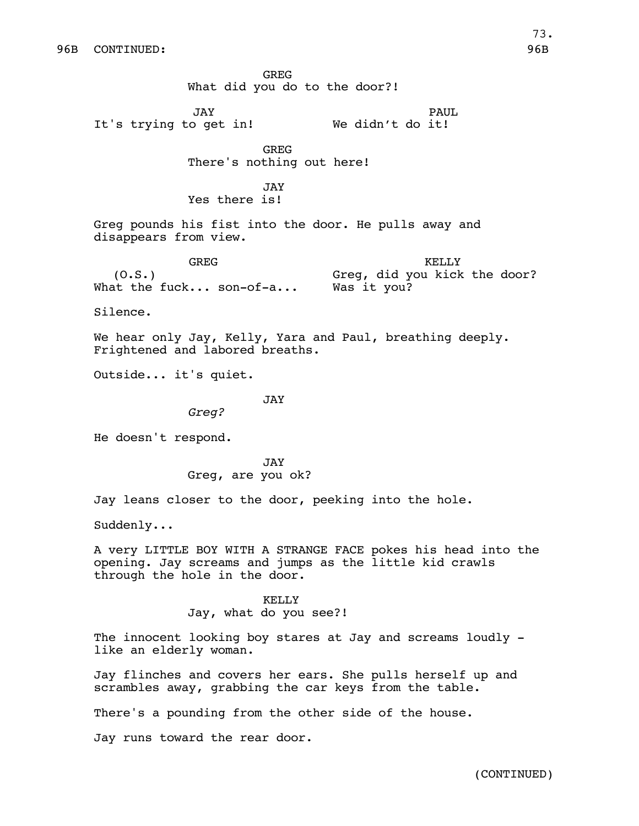GREG What did you do to the door?! JAY It's trying to get in! PAUL We didn't do it! GREG There's nothing out here! JAY Yes there is! Greg pounds his fist into the door. He pulls away and disappears from view. GREG  $(0.S.)$ What the fuck... son-of-a... KELLY Greg, did you kick the door? Was it you? Silence. We hear only Jay, Kelly, Yara and Paul, breathing deeply. Frightened and labored breaths. Outside... it's quiet. JAY *Greg?* He doesn't respond. JAY Greg, are you ok? Jay leans closer to the door, peeking into the hole. Suddenly... A very LITTLE BOY WITH A STRANGE FACE pokes his head into the opening. Jay screams and jumps as the little kid crawls through the hole in the door. KELLY Jay, what do you see?! The innocent looking boy stares at Jay and screams loudly like an elderly woman. Jay flinches and covers her ears. She pulls herself up and scrambles away, grabbing the car keys from the table. There's a pounding from the other side of the house.

Jay runs toward the rear door.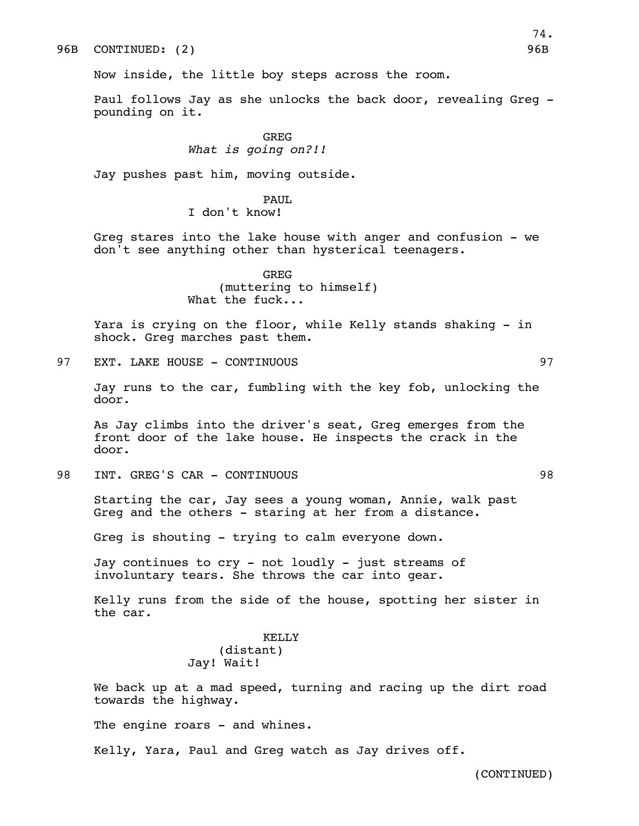Now inside, the little boy steps across the room.

Paul follows Jay as she unlocks the back door, revealing Greg pounding on it.

> GREG *What is going on?!!*

Jay pushes past him, moving outside.

## PAUL.

I don't know!

Greg stares into the lake house with anger and confusion - we don't see anything other than hysterical teenagers.

> GREG (muttering to himself) What the fuck...

Yara is crying on the floor, while Kelly stands shaking - in shock. Greg marches past them.

97 EXT. LAKE HOUSE - CONTINUOUS 897 1997

Jay runs to the car, fumbling with the key fob, unlocking the door.

As Jay climbs into the driver's seat, Greg emerges from the front door of the lake house. He inspects the crack in the door.

98 INT. GREG'S CAR - CONTINUOUS 98

Starting the car, Jay sees a young woman, Annie, walk past Greg and the others - staring at her from a distance.

Greg is shouting - trying to calm everyone down.

Jay continues to cry - not loudly - just streams of involuntary tears. She throws the car into gear.

Kelly runs from the side of the house, spotting her sister in the car.

## KELLY (distant) Jay! Wait!

We back up at a mad speed, turning and racing up the dirt road towards the highway.

The engine roars - and whines.

Kelly, Yara, Paul and Greg watch as Jay drives off.

(CONTINUED)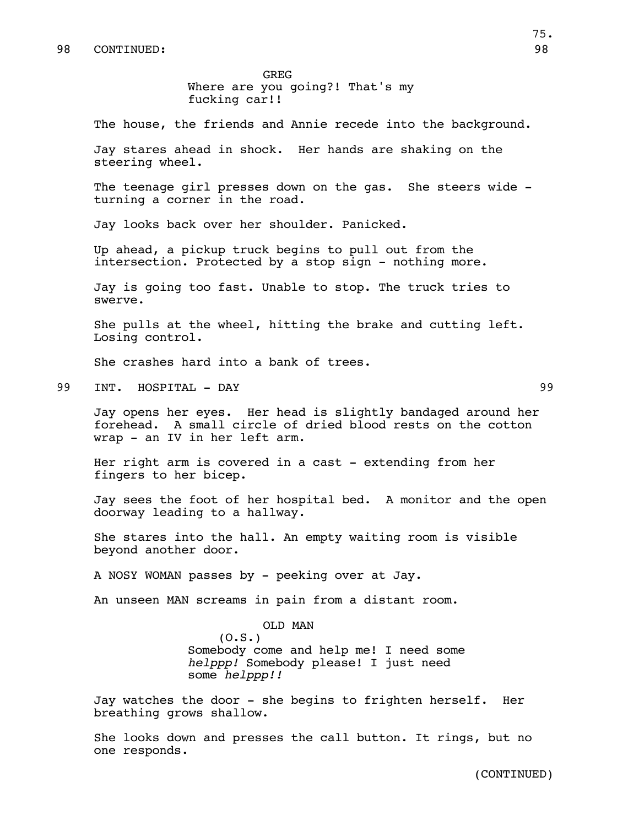GREG Where are you going?! That's my fucking car!!

The house, the friends and Annie recede into the background.

Jay stares ahead in shock. Her hands are shaking on the steering wheel.

The teenage girl presses down on the gas. She steers wide turning a corner in the road.

Jay looks back over her shoulder. Panicked.

Up ahead, a pickup truck begins to pull out from the intersection. Protected by a stop sign - nothing more.

Jay is going too fast. Unable to stop. The truck tries to swerve.

She pulls at the wheel, hitting the brake and cutting left. Losing control.

She crashes hard into a bank of trees.

99 INT. HOSPITAL - DAY 99

Jay opens her eyes. Her head is slightly bandaged around her forehead. A small circle of dried blood rests on the cotton wrap - an IV in her left arm.

Her right arm is covered in a cast - extending from her fingers to her bicep.

Jay sees the foot of her hospital bed. A monitor and the open doorway leading to a hallway.

She stares into the hall. An empty waiting room is visible beyond another door.

A NOSY WOMAN passes by - peeking over at Jay.

An unseen MAN screams in pain from a distant room.

OLD MAN

 $(0.S.)$ 

Somebody come and help me! I need some *helppp!* Somebody please! I just need some *helppp!!*

Jay watches the door - she begins to frighten herself. Her breathing grows shallow.

She looks down and presses the call button. It rings, but no one responds.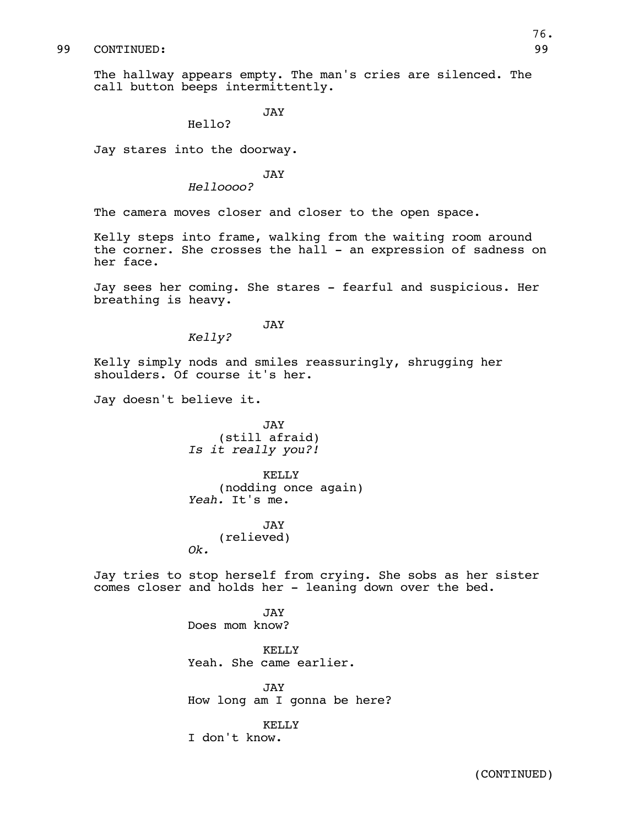#### 99 CONTINUED: 99

The hallway appears empty. The man's cries are silenced. The call button beeps intermittently.

JAY

Hello?

Jay stares into the doorway.

JAY

*Helloooo?*

The camera moves closer and closer to the open space.

Kelly steps into frame, walking from the waiting room around the corner. She crosses the hall - an expression of sadness on her face.

Jay sees her coming. She stares - fearful and suspicious. Her breathing is heavy.

JAY

*Kelly?*

Kelly simply nods and smiles reassuringly, shrugging her shoulders. Of course it's her.

Jay doesn't believe it.

JAY (still afraid) *Is it really you?!*

KELLY (nodding once again) *Yeah.* It's me.

JAY (relieved) *Ok.*

Jay tries to stop herself from crying. She sobs as her sister comes closer and holds her - leaning down over the bed.

> **JAY** Does mom know?

KELLY Yeah. She came earlier.

JAY How long am I gonna be here?

KELLY I don't know.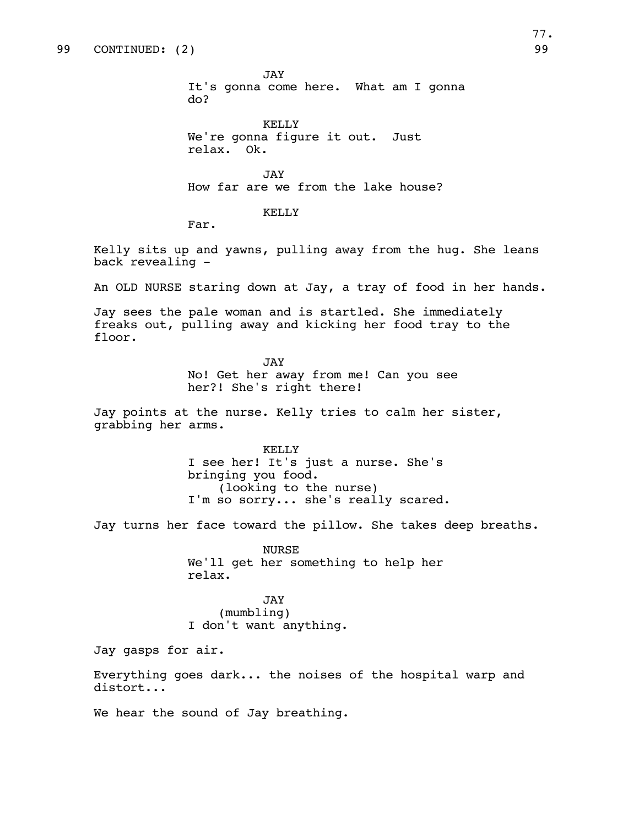JAY It's gonna come here. What am I gonna do?

KELLY We're gonna figure it out. Just relax. Ok.

JAY How far are we from the lake house?

KELLY

Far.

Kelly sits up and yawns, pulling away from the hug. She leans back revealing -

An OLD NURSE staring down at Jay, a tray of food in her hands.

Jay sees the pale woman and is startled. She immediately freaks out, pulling away and kicking her food tray to the floor.

> JAY No! Get her away from me! Can you see her?! She's right there!

Jay points at the nurse. Kelly tries to calm her sister, grabbing her arms.

> KELLY I see her! It's just a nurse. She's bringing you food. (looking to the nurse) I'm so sorry... she's really scared.

Jay turns her face toward the pillow. She takes deep breaths.

NURSE We'll get her something to help her relax.

JAY (mumbling) I don't want anything.

Jay gasps for air.

Everything goes dark... the noises of the hospital warp and distort...

We hear the sound of Jay breathing.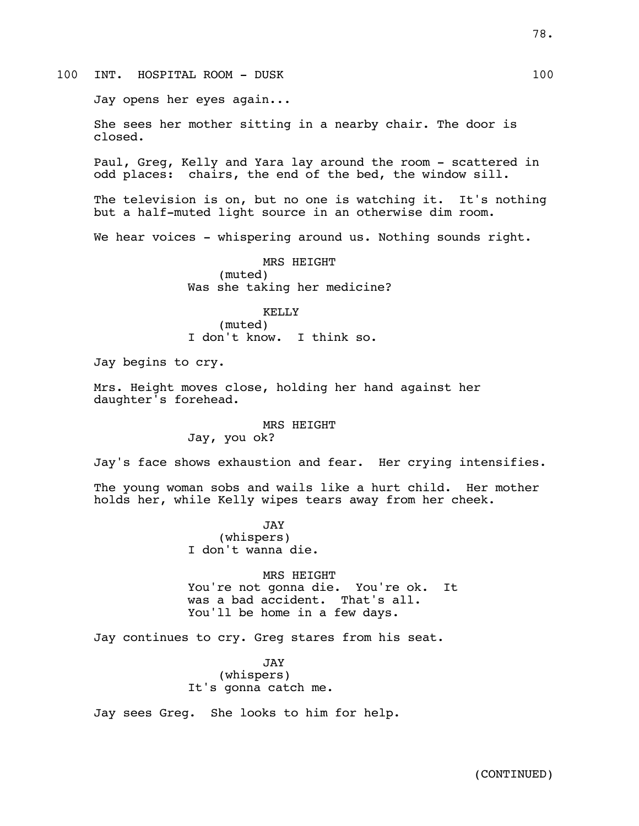100 INT. HOSPITAL ROOM - DUSK 100

Jay opens her eyes again...

She sees her mother sitting in a nearby chair. The door is closed.

Paul, Greg, Kelly and Yara lay around the room - scattered in odd places: chairs, the end of the bed, the window sill.

The television is on, but no one is watching it. It's nothing but a half-muted light source in an otherwise dim room.

We hear voices - whispering around us. Nothing sounds right.

MRS HEIGHT (muted) Was she taking her medicine?

KELLY (muted) I don't know. I think so.

Jay begins to cry.

Mrs. Height moves close, holding her hand against her daughter's forehead.

> MRS HEIGHT Jay, you ok?

Jay's face shows exhaustion and fear. Her crying intensifies.

The young woman sobs and wails like a hurt child. Her mother holds her, while Kelly wipes tears away from her cheek.

> JAY (whispers) I don't wanna die.

MRS HEIGHT You're not gonna die. You're ok. It was a bad accident. That's all. You'll be home in a few days.

Jay continues to cry. Greg stares from his seat.

JAY (whispers) It's gonna catch me.

Jay sees Greg. She looks to him for help.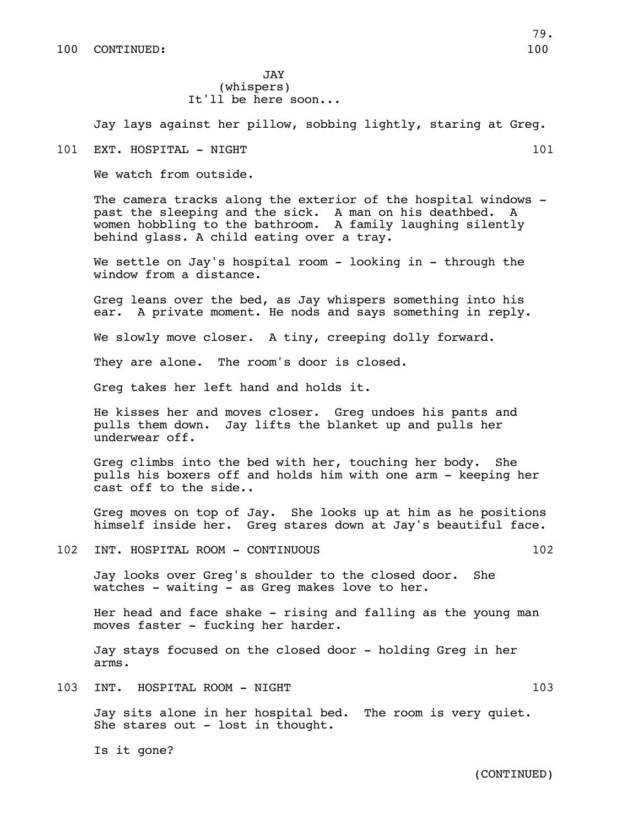JAY (whispers) It'll be here soon...

Jay lays against her pillow, sobbing lightly, staring at Greg.

101 EXT. HOSPITAL - NIGHT 101

We watch from outside.

The camera tracks along the exterior of the hospital windows past the sleeping and the sick. A man on his deathbed. women hobbling to the bathroom. A family laughing silently behind glass. A child eating over a tray.

We settle on Jay's hospital room - looking in - through the window from a distance.

Greg leans over the bed, as Jay whispers something into his ear. A private moment. He nods and says something in reply.

We slowly move closer. A tiny, creeping dolly forward.

They are alone. The room's door is closed.

Greg takes her left hand and holds it.

He kisses her and moves closer. Greg undoes his pants and pulls them down. Jay lifts the blanket up and pulls her underwear off.

Greg climbs into the bed with her, touching her body. She pulls his boxers off and holds him with one arm - keeping her cast off to the side..

Greg moves on top of Jay. She looks up at him as he positions himself inside her. Greg stares down at Jay's beautiful face.

102 INT. HOSPITAL ROOM - CONTINUOUS 102

Jay looks over Greg's shoulder to the closed door. She watches - waiting - as Greg makes love to her.

Her head and face shake - rising and falling as the young man moves faster - fucking her harder.

Jay stays focused on the closed door - holding Greg in her arms.

103 INT. HOSPITAL ROOM - NIGHT 103

Jay sits alone in her hospital bed. The room is very quiet. She stares out - lost in thought.

Is it gone?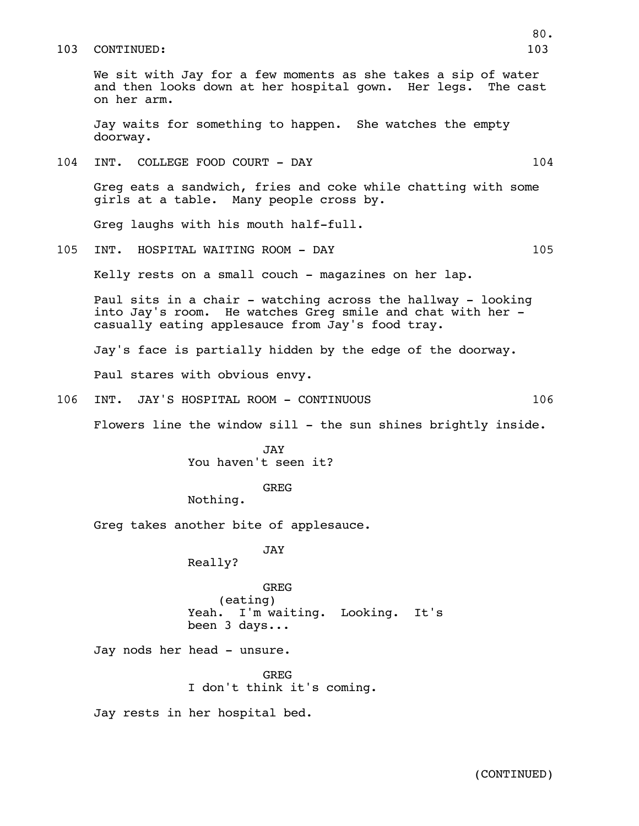#### 103 CONTINUED: 103

We sit with Jay for a few moments as she takes a sip of water and then looks down at her hospital gown. Her legs. The cast on her arm.

Jay waits for something to happen. She watches the empty doorway.

104 INT. COLLEGE FOOD COURT - DAY 104

Greg eats a sandwich, fries and coke while chatting with some girls at a table. Many people cross by.

Greg laughs with his mouth half-full.

105 INT. HOSPITAL WAITING ROOM - DAY 105

Kelly rests on a small couch - magazines on her lap.

Paul sits in a chair - watching across the hallway - looking into Jay's room. He watches Greg smile and chat with her casually eating applesauce from Jay's food tray.

Jay's face is partially hidden by the edge of the doorway.

Paul stares with obvious envy.

106 INT. JAY'S HOSPITAL ROOM - CONTINUOUS 106

Flowers line the window sill - the sun shines brightly inside.

JAY You haven't seen it?

#### GREG

Nothing.

Greg takes another bite of applesauce.

JAY

Really?

GREG (eating) Yeah. I'm waiting. Looking. It's been 3 days...

Jay nods her head - unsure.

GREG I don't think it's coming.

Jay rests in her hospital bed.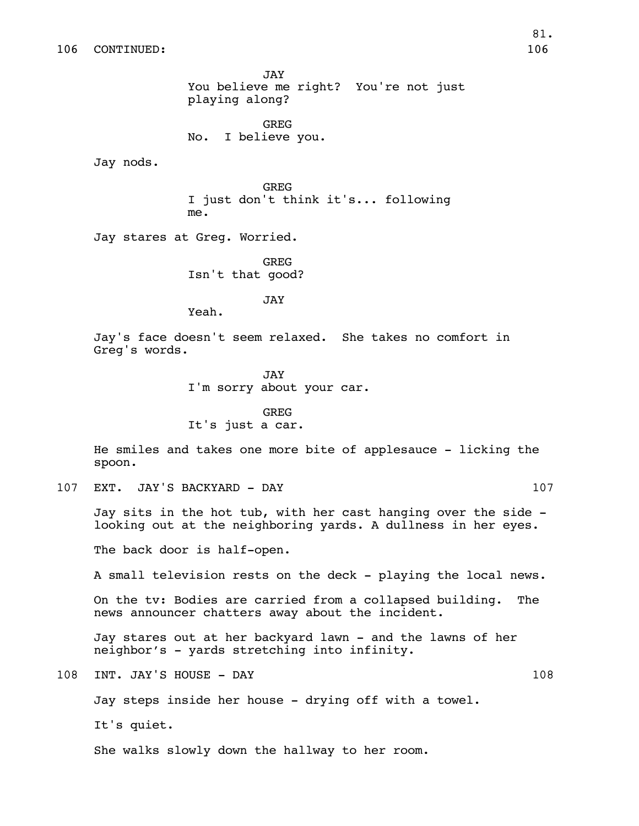JAY You believe me right? You're not just playing along?

GREG No. I believe you.

Jay nods.

GREG I just don't think it's... following me.

Jay stares at Greg. Worried.

GREG Isn't that good?

JAY

Yeah.

Jay's face doesn't seem relaxed. She takes no comfort in Greg's words.

> JAY I'm sorry about your car.

GREG It's just a car.

He smiles and takes one more bite of applesauce - licking the spoon.

107 EXT. JAY'S BACKYARD - DAY 107

Jay sits in the hot tub, with her cast hanging over the side looking out at the neighboring yards. A dullness in her eyes.

The back door is half-open.

A small television rests on the deck - playing the local news.

On the tv: Bodies are carried from a collapsed building. The news announcer chatters away about the incident.

Jay stares out at her backyard lawn - and the lawns of her neighbor's - yards stretching into infinity.

108 INT. JAY'S HOUSE - DAY 108

Jay steps inside her house - drying off with a towel.

It's quiet.

She walks slowly down the hallway to her room.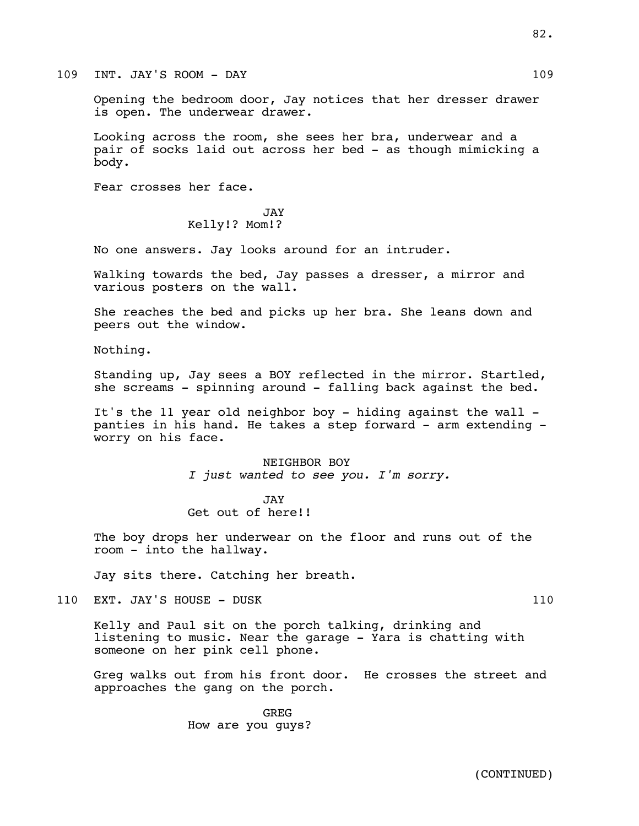#### 109 INT. JAY'S ROOM - DAY 109

Opening the bedroom door, Jay notices that her dresser drawer is open. The underwear drawer.

Looking across the room, she sees her bra, underwear and a pair of socks laid out across her bed - as though mimicking a body.

Fear crosses her face.

#### JAY Kelly!? Mom!?

No one answers. Jay looks around for an intruder.

Walking towards the bed, Jay passes a dresser, a mirror and various posters on the wall.

She reaches the bed and picks up her bra. She leans down and peers out the window.

Nothing.

Standing up, Jay sees a BOY reflected in the mirror. Startled, she screams - spinning around - falling back against the bed.

It's the 11 year old neighbor boy - hiding against the wall panties in his hand. He takes a step forward - arm extending worry on his face.

> NEIGHBOR BOY *I just wanted to see you. I'm sorry.*

JAY Get out of here!!

The boy drops her underwear on the floor and runs out of the room - into the hallway.

Jay sits there. Catching her breath.

110 EXT. JAY'S HOUSE - DUSK 110

Kelly and Paul sit on the porch talking, drinking and listening to music. Near the garage - Yara is chatting with someone on her pink cell phone.

Greg walks out from his front door. He crosses the street and approaches the gang on the porch.

> GREG How are you guys?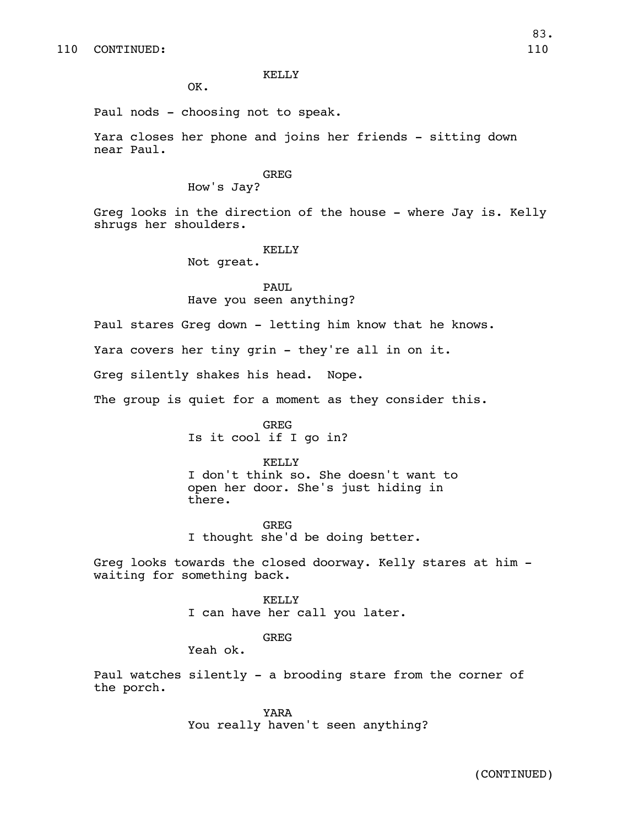OK.

Paul nods - choosing not to speak.

Yara closes her phone and joins her friends - sitting down near Paul.

# GREG

How's Jay?

Greg looks in the direction of the house - where Jay is. Kelly shrugs her shoulders.

#### KELLY

Not great.

# PAUL

# Have you seen anything?

Paul stares Greg down - letting him know that he knows.

Yara covers her tiny grin - they're all in on it.

Greg silently shakes his head. Nope.

The group is quiet for a moment as they consider this.

GREG Is it cool if I go in?

#### KELLY

I don't think so. She doesn't want to open her door. She's just hiding in there.

GREG I thought she'd be doing better.

Greg looks towards the closed doorway. Kelly stares at him waiting for something back.

> KELLY I can have her call you later.

> > GREG

Yeah ok.

Paul watches silently - a brooding stare from the corner of the porch.

> YARA You really haven't seen anything?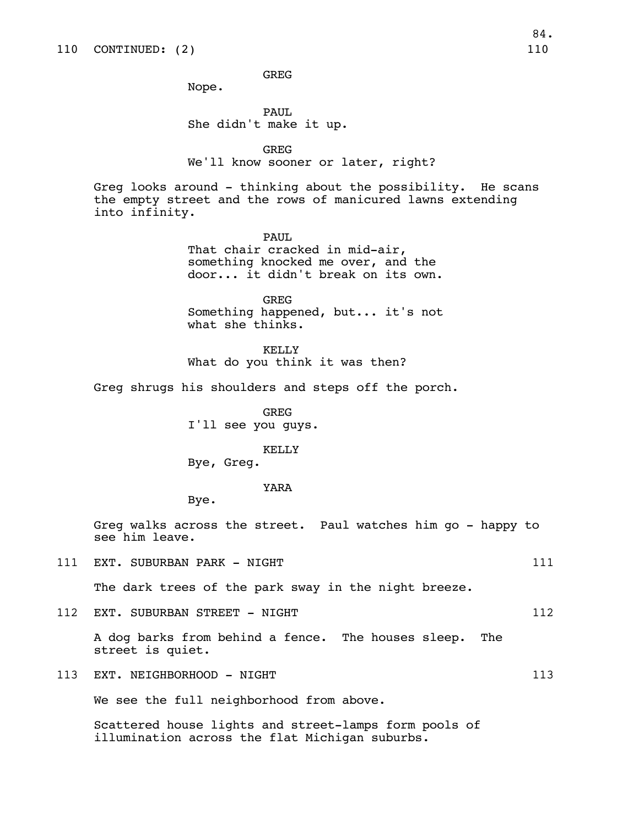GREG

Nope.

PAUL She didn't make it up.

GREG We'll know sooner or later, right?

Greg looks around - thinking about the possibility. He scans the empty street and the rows of manicured lawns extending into infinity.

PAUL

That chair cracked in mid-air, something knocked me over, and the door... it didn't break on its own.

GREG Something happened, but... it's not what she thinks.

KELLY What do you think it was then?

Greg shrugs his shoulders and steps off the porch.

GREG I'll see you guys.

KELLY Bye, Greg.

#### YARA

Bye.

Greg walks across the street. Paul watches him go - happy to see him leave.

111 EXT. SUBURBAN PARK - NIGHT 111 111 111

The dark trees of the park sway in the night breeze.

112 EXT. SUBURBAN STREET - NIGHT 112

A dog barks from behind a fence. The houses sleep. The street is quiet.

113 EXT. NEIGHBORHOOD - NIGHT 113 and 113

We see the full neighborhood from above.

Scattered house lights and street-lamps form pools of illumination across the flat Michigan suburbs.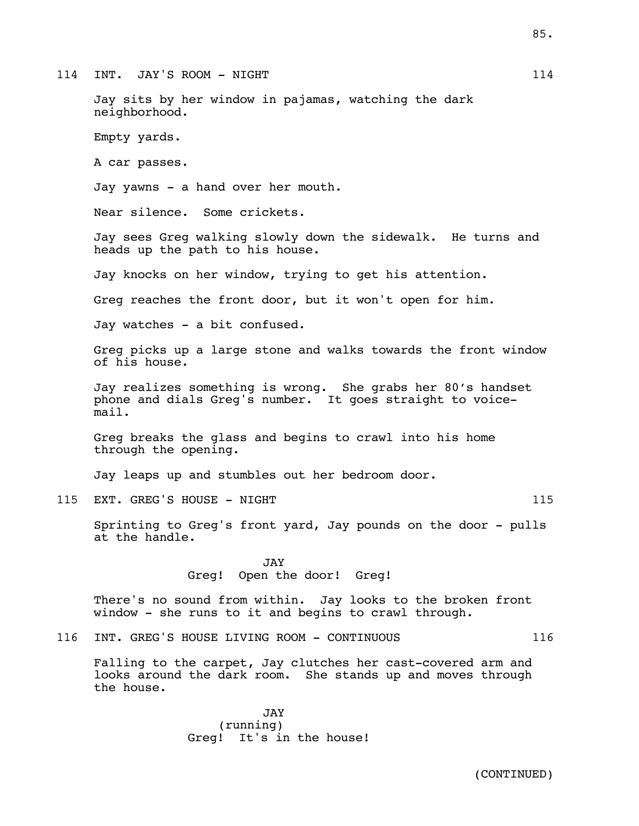114 INT. JAY'S ROOM – NIGHT 114 114

Jay sits by her window in pajamas, watching the dark neighborhood.

Empty yards.

A car passes.

Jay yawns - a hand over her mouth.

Near silence. Some crickets.

Jay sees Greg walking slowly down the sidewalk. He turns and heads up the path to his house.

Jay knocks on her window, trying to get his attention.

Greg reaches the front door, but it won't open for him.

Jay watches - a bit confused.

Greg picks up a large stone and walks towards the front window of his house.

Jay realizes something is wrong. She grabs her 80's handset phone and dials Greg's number. It goes straight to voicemail.

Greg breaks the glass and begins to crawl into his home through the opening.

Jay leaps up and stumbles out her bedroom door.

115 EXT. GREG'S HOUSE - NIGHT 115

Sprinting to Greg's front yard, Jay pounds on the door - pulls at the handle.

> **JAY** Greg! Open the door! Greg!

There's no sound from within. Jay looks to the broken front window - she runs to it and begins to crawl through.

116 INT. GREG'S HOUSE LIVING ROOM - CONTINUOUS 116

Falling to the carpet, Jay clutches her cast-covered arm and looks around the dark room. She stands up and moves through the house.

> JAY (running) Greg! It's in the house!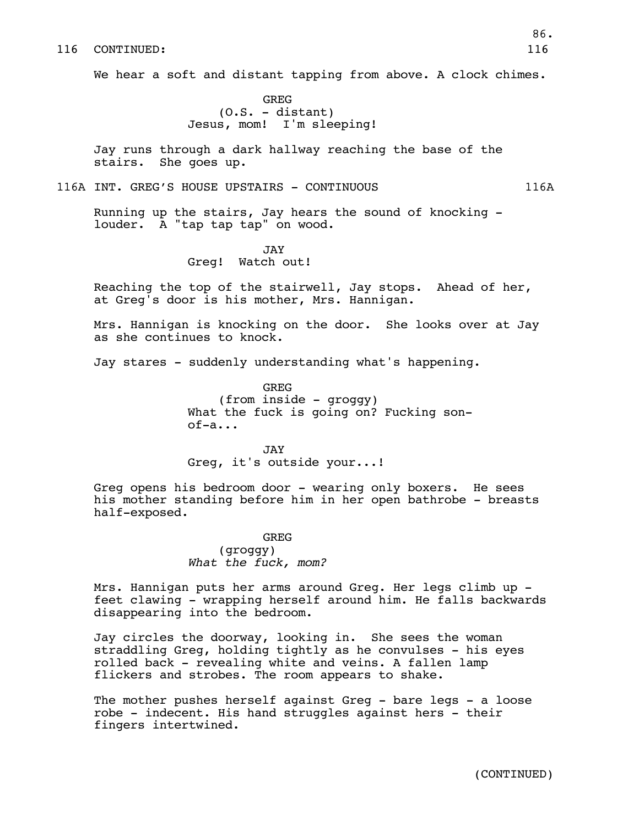#### 116 CONTINUED: 116

We hear a soft and distant tapping from above. A clock chimes.

GREG  $(0.S. -$ distant) Jesus, mom! I'm sleeping!

Jay runs through a dark hallway reaching the base of the stairs. She goes up.

116A INT. GREG'S HOUSE UPSTAIRS - CONTINUOUS 116A

Running up the stairs, Jay hears the sound of knocking louder. A "tap tap tap" on wood.

> JAY Greg! Watch out!

Reaching the top of the stairwell, Jay stops. Ahead of her, at Greg's door is his mother, Mrs. Hannigan.

Mrs. Hannigan is knocking on the door. She looks over at Jay as she continues to knock.

Jay stares - suddenly understanding what's happening.

GREG (from inside - groggy) What the fuck is going on? Fucking sonof-a...

JAY Greg, it's outside your...!

Greg opens his bedroom door - wearing only boxers. He sees his mother standing before him in her open bathrobe - breasts half-exposed.

> GREG (groggy) *What the fuck, mom?*

Mrs. Hannigan puts her arms around Greg. Her legs climb up feet clawing - wrapping herself around him. He falls backwards disappearing into the bedroom.

Jay circles the doorway, looking in. She sees the woman straddling Greg, holding tightly as he convulses - his eyes rolled back - revealing white and veins. A fallen lamp flickers and strobes. The room appears to shake.

The mother pushes herself against Greg - bare legs - a loose robe - indecent. His hand struggles against hers - their fingers intertwined.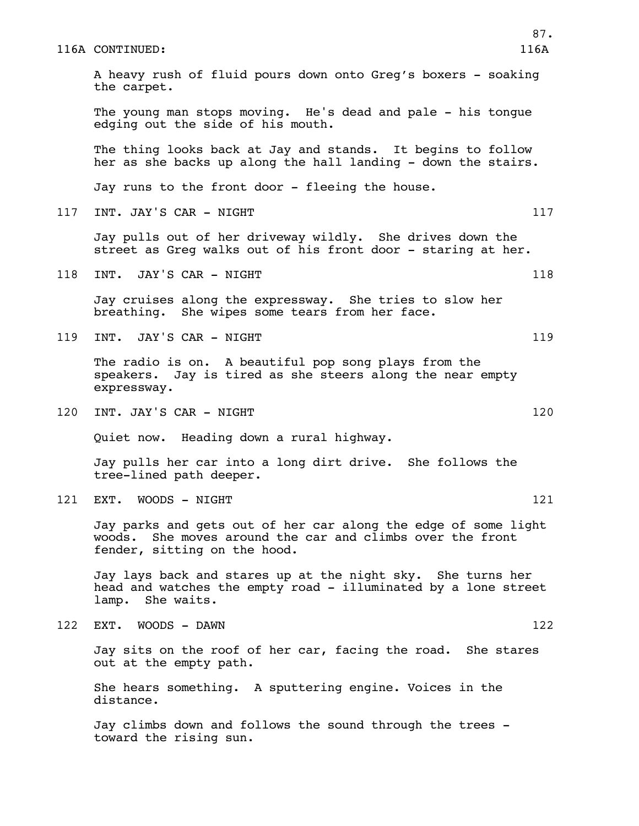#### 116A CONTINUED: 116A

A heavy rush of fluid pours down onto Greg's boxers - soaking the carpet. The young man stops moving. He's dead and pale - his tongue edging out the side of his mouth. The thing looks back at Jay and stands. It begins to follow her as she backs up along the hall landing - down the stairs. Jay runs to the front door - fleeing the house. 117 INT. JAY'S CAR - NIGHT 117 Jay pulls out of her driveway wildly. She drives down the street as Greg walks out of his front door - staring at her. 118 INT. JAY'S CAR - NIGHT 118 118 Jay cruises along the expressway. She tries to slow her breathing. She wipes some tears from her face. 119 INT. JAY'S CAR - NIGHT 119 The radio is on. A beautiful pop song plays from the speakers. Jay is tired as she steers along the near empty expressway. 120 INT. JAY'S CAR - NIGHT 120 120 Quiet now. Heading down a rural highway. Jay pulls her car into a long dirt drive. She follows the tree-lined path deeper. 121 EXT. WOODS - NIGHT 121 AND 121 Jay parks and gets out of her car along the edge of some light woods. She moves around the car and climbs over the front fender, sitting on the hood. Jay lays back and stares up at the night sky. She turns her head and watches the empty road - illuminated by a lone street lamp. She waits. 122 EXT. WOODS - DAWN 122 Jay sits on the roof of her car, facing the road. She stares out at the empty path. She hears something. A sputtering engine. Voices in the distance. Jay climbs down and follows the sound through the trees toward the rising sun.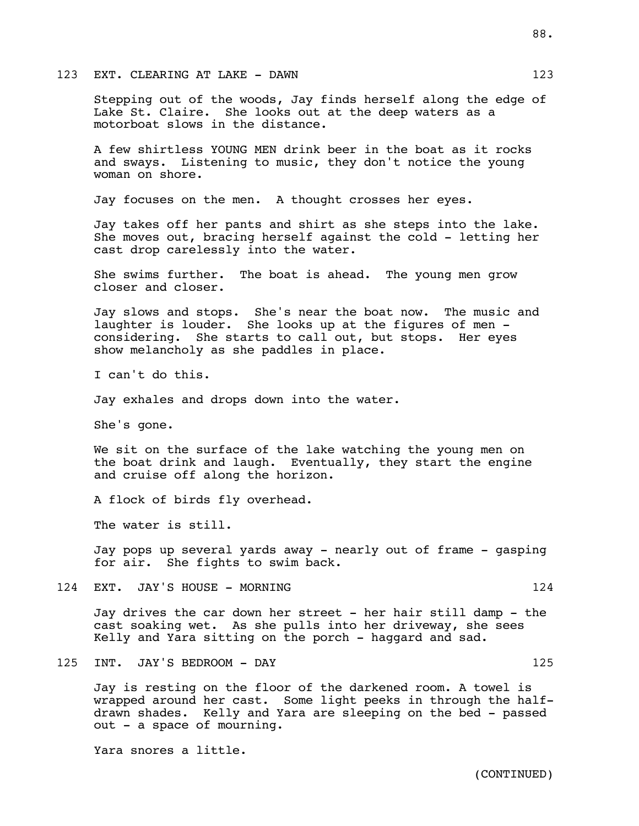#### 123 EXT. CLEARING AT LAKE - DAWN 123

Stepping out of the woods, Jay finds herself along the edge of Lake St. Claire. She looks out at the deep waters as a motorboat slows in the distance.

A few shirtless YOUNG MEN drink beer in the boat as it rocks and sways. Listening to music, they don't notice the young woman on shore.

Jay focuses on the men. A thought crosses her eyes.

Jay takes off her pants and shirt as she steps into the lake. She moves out, bracing herself against the cold - letting her cast drop carelessly into the water.

She swims further. The boat is ahead. The young men grow closer and closer.

Jay slows and stops. She's near the boat now. The music and laughter is louder. She looks up at the figures of men considering. She starts to call out, but stops. Her eyes show melancholy as she paddles in place.

I can't do this.

Jay exhales and drops down into the water.

She's gone.

We sit on the surface of the lake watching the young men on the boat drink and laugh. Eventually, they start the engine and cruise off along the horizon.

A flock of birds fly overhead.

The water is still.

Jay pops up several yards away - nearly out of frame - gasping for air. She fights to swim back.

124 EXT. JAY'S HOUSE - MORNING 124

Jay drives the car down her street - her hair still damp - the cast soaking wet. As she pulls into her driveway, she sees Kelly and Yara sitting on the porch - haggard and sad.

125 INT. JAY'S BEDROOM - DAY 125

Jay is resting on the floor of the darkened room. A towel is wrapped around her cast. Some light peeks in through the halfdrawn shades. Kelly and Yara are sleeping on the bed - passed out - a space of mourning.

Yara snores a little.

(CONTINUED)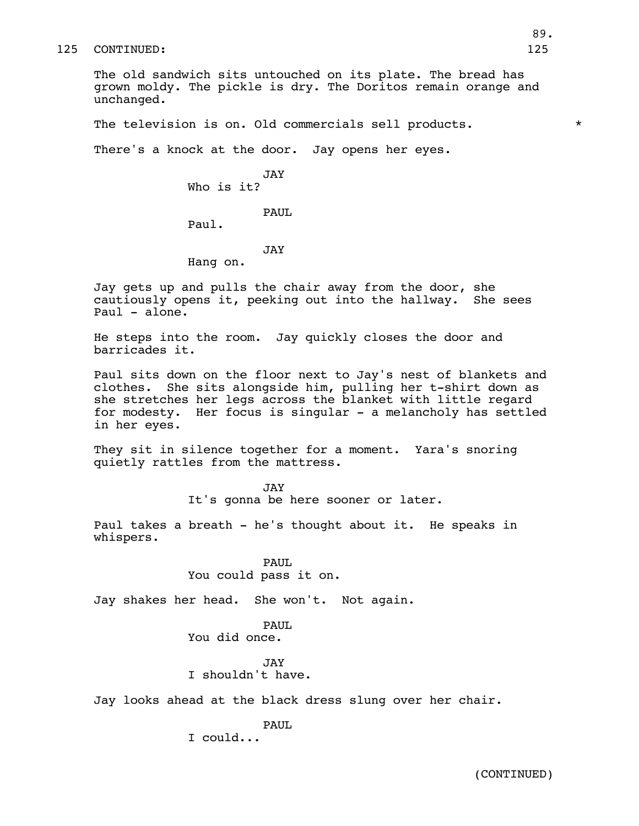#### 125 CONTINUED: 125

The old sandwich sits untouched on its plate. The bread has grown moldy. The pickle is dry. The Doritos remain orange and unchanged.

The television is on. Old commercials sell products.  $*$ 

There's a knock at the door. Jay opens her eyes.

JAY Who is it?

PAUL

Paul.

#### JAY

Hang on.

Jay gets up and pulls the chair away from the door, she cautiously opens it, peeking out into the hallway. She sees Paul - alone.

He steps into the room. Jay quickly closes the door and barricades it.

Paul sits down on the floor next to Jay's nest of blankets and clothes. She sits alongside him, pulling her t-shirt down as she stretches her legs across the blanket with little regard for modesty. Her focus is singular - a melancholy has settled in her eyes.

They sit in silence together for a moment. Yara's snoring quietly rattles from the mattress.

> JAY It's gonna be here sooner or later.

Paul takes a breath - he's thought about it. He speaks in whispers.

> PAUL You could pass it on.

Jay shakes her head. She won't. Not again.

## PAUL

You did once.

JAY

I shouldn't have.

Jay looks ahead at the black dress slung over her chair.

## PAUL.

I could...

(CONTINUED)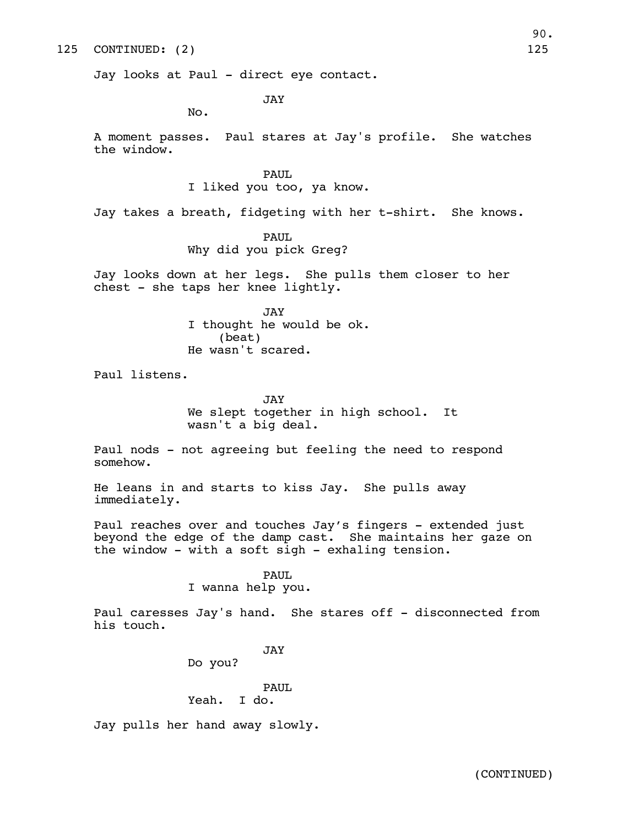#### 125 CONTINUED: (2) 125

Jay looks at Paul - direct eye contact.

JAY

No.

A moment passes. Paul stares at Jay's profile. She watches the window.

> PAUL. I liked you too, ya know.

Jay takes a breath, fidgeting with her t-shirt. She knows.

#### PAUL

Why did you pick Greg?

Jay looks down at her legs. She pulls them closer to her chest - she taps her knee lightly.

> JAY I thought he would be ok. (beat) He wasn't scared.

Paul listens.

JAY We slept together in high school. It wasn't a big deal.

Paul nods - not agreeing but feeling the need to respond somehow.

He leans in and starts to kiss Jay. She pulls away immediately.

Paul reaches over and touches Jay's fingers - extended just beyond the edge of the damp cast. She maintains her gaze on the window - with a soft sigh - exhaling tension.

#### PAUL

I wanna help you.

Paul caresses Jay's hand. She stares off - disconnected from his touch.

#### JAY

Do you?

# PAUL

Yeah. I do.

Jay pulls her hand away slowly.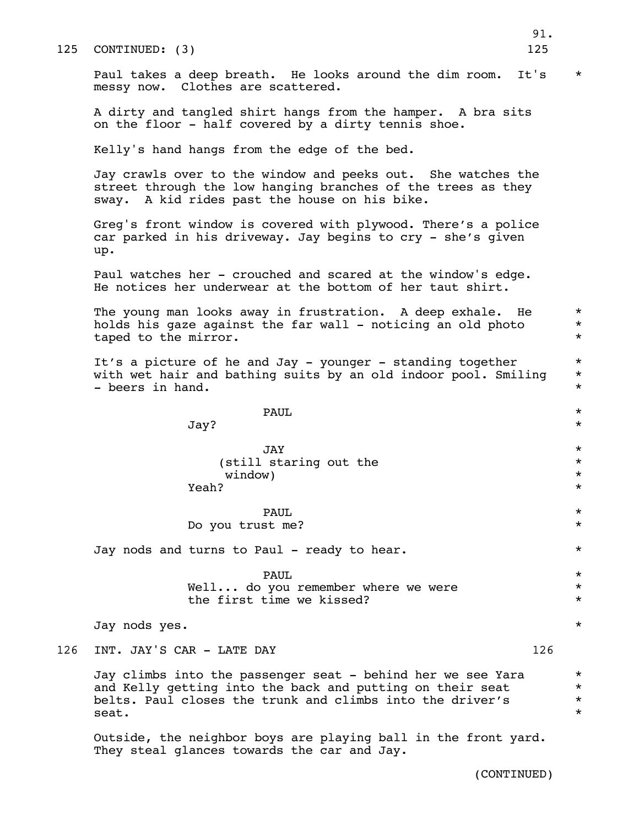Paul takes a deep breath. He looks around the dim room. It's \* messy now. Clothes are scattered.

A dirty and tangled shirt hangs from the hamper. A bra sits on the floor - half covered by a dirty tennis shoe.

Kelly's hand hangs from the edge of the bed.

Jay crawls over to the window and peeks out. She watches the street through the low hanging branches of the trees as they sway. A kid rides past the house on his bike.

Greg's front window is covered with plywood. There's a police car parked in his driveway. Jay begins to cry - she's given up.

Paul watches her - crouched and scared at the window's edge. He notices her underwear at the bottom of her taut shirt.

The young man looks away in frustration. A deep exhale. He  $*$ holds his gaze against the far wall - noticing an old photo  $*$ taped to the mirror.  $*$ 

It's a picture of he and Jay - younger - standing together  $*$ with wet hair and bathing suits by an old indoor pool. Smiling  $*$ - beers in hand.  $\star$ 

| <b>PAUL</b> | -- |
|-------------|----|
|             |    |

 $\mathtt{Jay?}$  \*

| <b>JAY.</b>            |  |
|------------------------|--|
| (still staring out the |  |
| window)                |  |
| Yeah?                  |  |

PAUL  $\star$ Do you trust me?  $*$ 

Jay nods and turns to Paul - ready to hear. \*

PAUL  $\star$ Well... do you remember where we were  $*$ the first time we kissed? \*

Jay nods yes. \*

126 INT. JAY'S CAR - LATE DAY 126

Jay climbs into the passenger seat - behind her we see Yara  $*$ <br>and Kelly getting into the back and putting on their seat  $*$ and Kelly getting into the back and putting on their seat \* belts. Paul closes the trunk and climbs into the driver's  $*$ seat.  $*$ 

Outside, the neighbor boys are playing ball in the front yard. They steal glances towards the car and Jay.

(CONTINUED)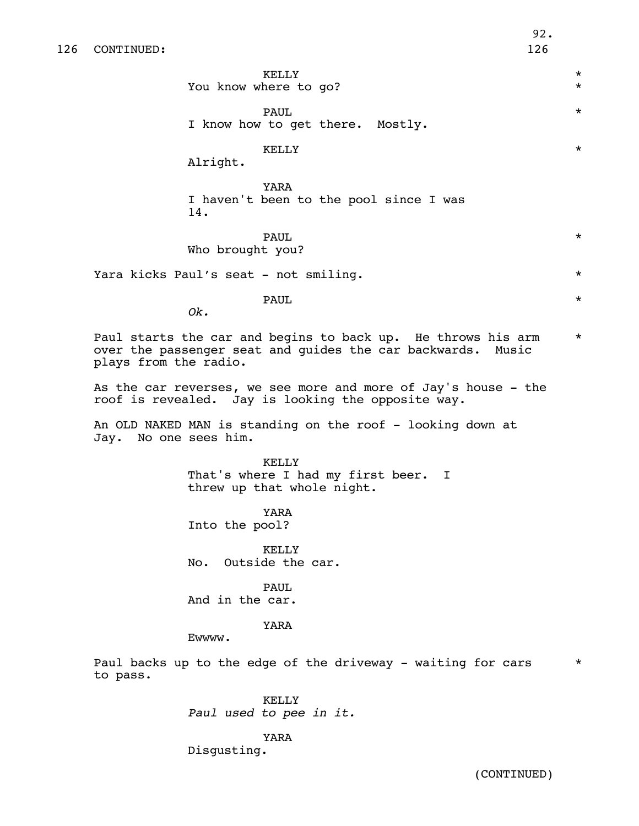KELLY \* You know where to go?

PAUL  $\star$ I know how to get there. Mostly.

KELLY \*

Alright.

YARA I haven't been to the pool since I was 14.

PAUL  $\star$ Who brought you?

Yara kicks Paul's seat - not smiling. \*

PAUL  $\star$ 

*Ok.*

Paul starts the car and begins to back up. He throws his arm  $*$ over the passenger seat and guides the car backwards. Music plays from the radio.

As the car reverses, we see more and more of Jay's house - the roof is revealed. Jay is looking the opposite way.

An OLD NAKED MAN is standing on the roof - looking down at Jay. No one sees him.

> KELLY That's where I had my first beer. I threw up that whole night.

YARA Into the pool?

KELLY No. Outside the car.

PAUL. And in the car.

## YARA

Ewwww.

Paul backs up to the edge of the driveway - waiting for cars  $*$ to pass.

> KELLY *Paul used to pee in it.*

> > YARA

Disgusting.

(CONTINUED)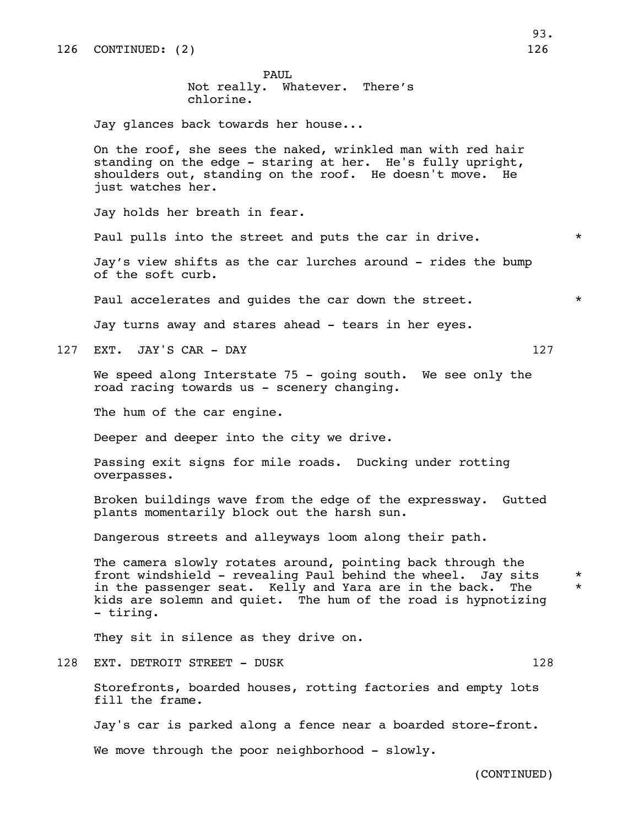PAUL Not really. Whatever. There's chlorine.

Jay glances back towards her house...

On the roof, she sees the naked, wrinkled man with red hair standing on the edge - staring at her. He's fully upright, shoulders out, standing on the roof. He doesn't move. He just watches her.

Jay holds her breath in fear.

Paul pulls into the street and puts the car in drive.  $*$ 

Jay's view shifts as the car lurches around - rides the bump of the soft curb.

Paul accelerates and quides the car down the street.  $*$ 

Jay turns away and stares ahead - tears in her eyes.

127 EXT. JAY'S CAR - DAY 127

We speed along Interstate 75 - going south. We see only the road racing towards us - scenery changing.

The hum of the car engine.

Deeper and deeper into the city we drive.

Passing exit signs for mile roads. Ducking under rotting overpasses.

Broken buildings wave from the edge of the expressway. Gutted plants momentarily block out the harsh sun.

Dangerous streets and alleyways loom along their path.

The camera slowly rotates around, pointing back through the front windshield - revealing Paul behind the wheel. Jay sits \* in the passenger seat. Kelly and Yara are in the back. The \* kids are solemn and quiet. The hum of the road is hypnotizing - tiring.

They sit in silence as they drive on.

128 EXT. DETROIT STREET - DUSK 128

Storefronts, boarded houses, rotting factories and empty lots fill the frame.

Jay's car is parked along a fence near a boarded store-front.

We move through the poor neighborhood - slowly.

(CONTINUED)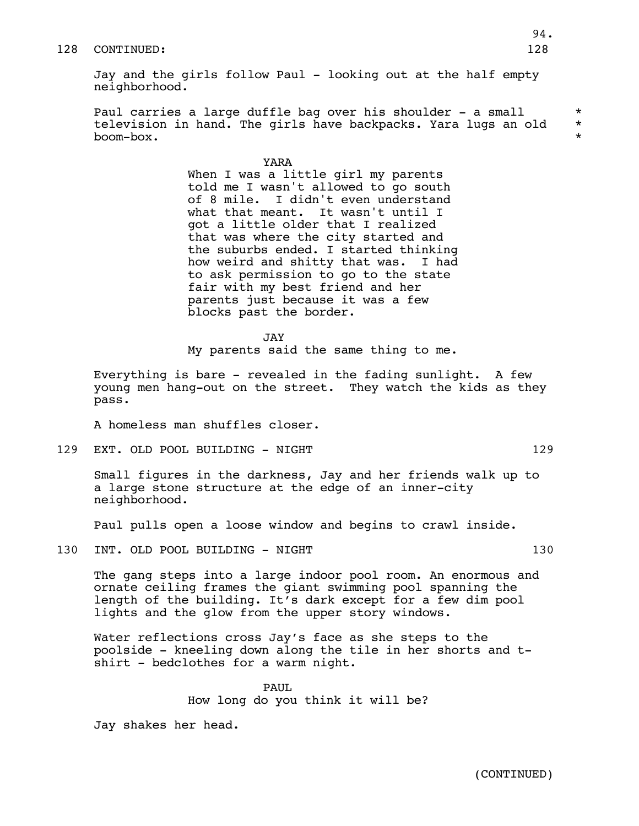#### 128 CONTINUED: 128

Jay and the girls follow Paul - looking out at the half empty neighborhood.

Paul carries a large duffle bag over his shoulder – a small  $*$ television in hand. The girls have backpacks. Yara lugs an old  $*$ boom-box. \*

> YARA When I was a little girl my parents told me I wasn't allowed to go south of 8 mile. I didn't even understand what that meant. It wasn't until I got a little older that I realized that was where the city started and the suburbs ended. I started thinking how weird and shitty that was. I had to ask permission to go to the state fair with my best friend and her parents just because it was a few blocks past the border.

> > JAY

My parents said the same thing to me.

Everything is bare - revealed in the fading sunlight. A few young men hang-out on the street. They watch the kids as they pass.

A homeless man shuffles closer.

129 EXT. OLD POOL BUILDING - NIGHT 129 129

Small figures in the darkness, Jay and her friends walk up to a large stone structure at the edge of an inner-city neighborhood.

Paul pulls open a loose window and begins to crawl inside.

130 INT. OLD POOL BUILDING - NIGHT 130

The gang steps into a large indoor pool room. An enormous and ornate ceiling frames the giant swimming pool spanning the length of the building. It's dark except for a few dim pool lights and the glow from the upper story windows.

Water reflections cross Jay's face as she steps to the poolside - kneeling down along the tile in her shorts and tshirt - bedclothes for a warm night.

> PAUL How long do you think it will be?

Jay shakes her head.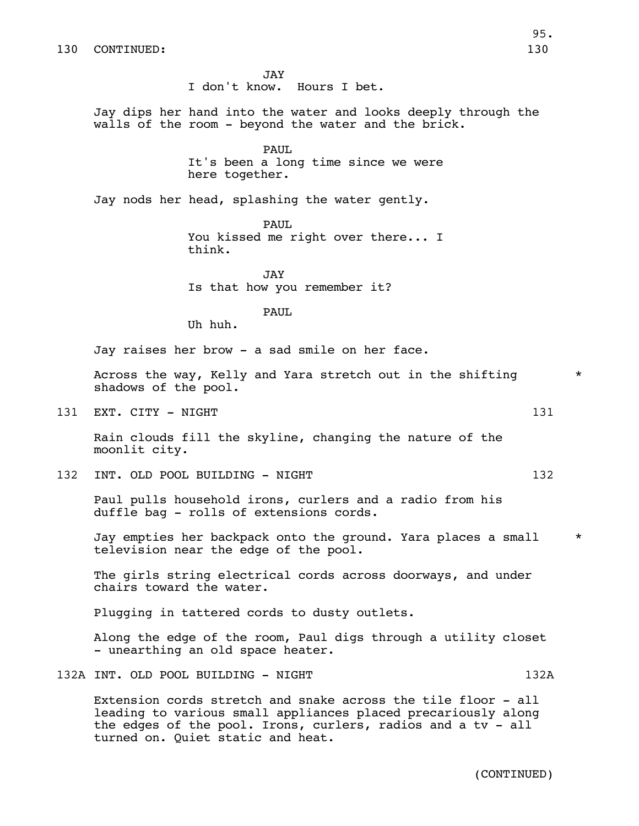JAY I don't know. Hours I bet. Jay dips her hand into the water and looks deeply through the walls of the room - beyond the water and the brick. PAUL It's been a long time since we were here together. Jay nods her head, splashing the water gently. PAUL You kissed me right over there... I think. JAY Is that how you remember it? PAUL. Uh huh. Jay raises her brow - a sad smile on her face. Across the way, Kelly and Yara stretch out in the shifting  $*$ shadows of the pool. 131 EXT. CITY - NIGHT 131 and the state of the state of the state of the state of the state of the state of the state of the state of the state of the state of the state of the state of the state of the state of the state Rain clouds fill the skyline, changing the nature of the moonlit city. 132 INT. OLD POOL BUILDING - NIGHT 132 Paul pulls household irons, curlers and a radio from his duffle bag - rolls of extensions cords. Jay empties her backpack onto the ground. Yara places a small  $*$ television near the edge of the pool. The girls string electrical cords across doorways, and under chairs toward the water. Plugging in tattered cords to dusty outlets. Along the edge of the room, Paul digs through a utility closet - unearthing an old space heater. 132A INT. OLD POOL BUILDING - NIGHT 132A Extension cords stretch and snake across the tile floor - all

leading to various small appliances placed precariously along the edges of the pool. Irons, curlers, radios and a tv - all turned on. Quiet static and heat.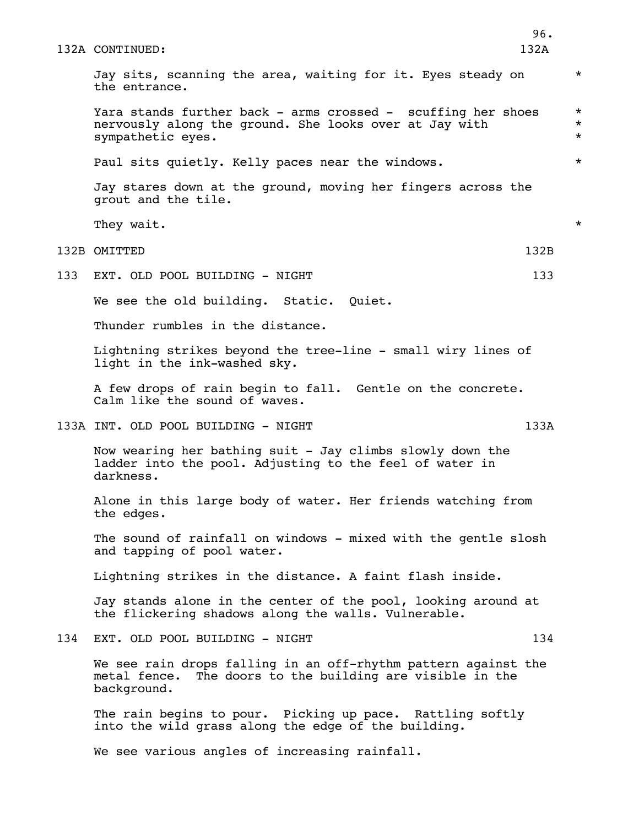|     | 132A CONTINUED:                                                                                                                               | 96.<br>132A |                                 |
|-----|-----------------------------------------------------------------------------------------------------------------------------------------------|-------------|---------------------------------|
|     | Jay sits, scanning the area, waiting for it. Eyes steady on<br>the entrance.                                                                  |             | $^\star$                        |
|     | Yara stands further back - arms crossed - scuffing her shoes<br>nervously along the ground. She looks over at Jay with<br>sympathetic eyes.   |             | $^\star$<br>$^\star$<br>$\star$ |
|     | Paul sits quietly. Kelly paces near the windows.                                                                                              |             | $\star$                         |
|     | Jay stares down at the ground, moving her fingers across the<br>grout and the tile.                                                           |             |                                 |
|     | They wait.                                                                                                                                    |             | $^\star$                        |
|     | 132B OMITTED                                                                                                                                  | 132B        |                                 |
| 133 | EXT. OLD POOL BUILDING - NIGHT                                                                                                                | 133         |                                 |
|     | We see the old building. Static. Quiet.                                                                                                       |             |                                 |
|     | Thunder rumbles in the distance.                                                                                                              |             |                                 |
|     | Lightning strikes beyond the tree-line - small wiry lines of<br>light in the ink-washed sky.                                                  |             |                                 |
|     | A few drops of rain begin to fall. Gentle on the concrete.<br>Calm like the sound of waves.                                                   |             |                                 |
|     | 133A INT. OLD POOL BUILDING - NIGHT                                                                                                           | 133A        |                                 |
|     | Now wearing her bathing suit - Jay climbs slowly down the<br>ladder into the pool. Adjusting to the feel of water in<br>darkness.             |             |                                 |
|     | Alone in this large body of water. Her friends watching from<br>the edges.                                                                    |             |                                 |
|     | The sound of rainfall on windows - mixed with the gentle slosh<br>and tapping of pool water.                                                  |             |                                 |
|     | Lightning strikes in the distance. A faint flash inside.                                                                                      |             |                                 |
|     | Jay stands alone in the center of the pool, looking around at<br>the flickering shadows along the walls. Vulnerable.                          |             |                                 |
| 134 | EXT. OLD POOL BUILDING - NIGHT                                                                                                                | 134         |                                 |
|     | We see rain drops falling in an off-rhythm pattern against the<br>The doors to the building are visible in the<br>metal fence.<br>background. |             |                                 |
|     | The rain begins to pour. Picking up pace. Rattling softly<br>into the wild grass along the edge of the building.                              |             |                                 |
|     | We see various angles of increasing rainfall.                                                                                                 |             |                                 |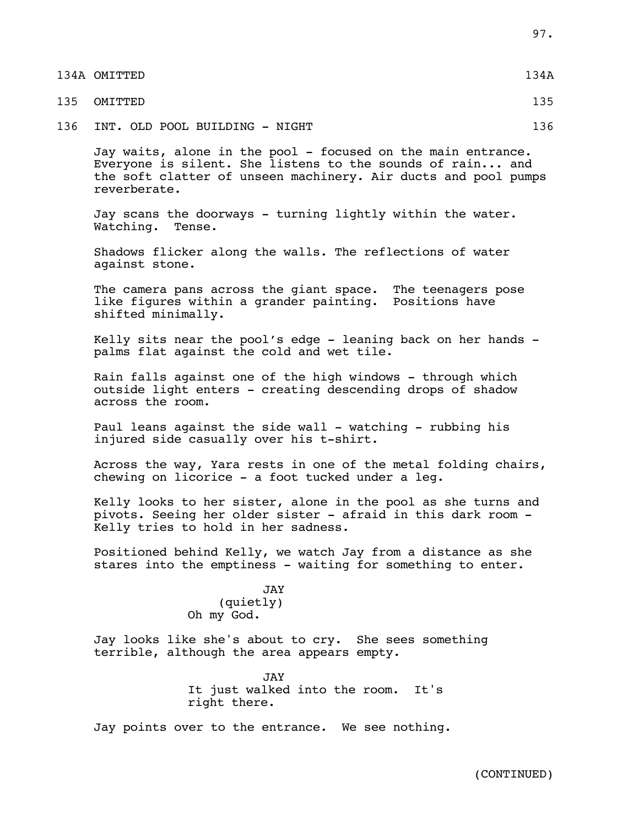| 134A OMITTED | 134A |
|--------------|------|
| 135 OMITTED  | 135  |

136 INT. OLD POOL BUILDING - NIGHT 136

Jay waits, alone in the pool - focused on the main entrance. Everyone is silent. She listens to the sounds of rain... and the soft clatter of unseen machinery. Air ducts and pool pumps reverberate.

Jay scans the doorways - turning lightly within the water. Watching. Tense.

Shadows flicker along the walls. The reflections of water against stone.

The camera pans across the giant space. The teenagers pose like figures within a grander painting. Positions have shifted minimally.

Kelly sits near the pool's edge - leaning back on her hands palms flat against the cold and wet tile.

Rain falls against one of the high windows - through which outside light enters - creating descending drops of shadow across the room.

Paul leans against the side wall - watching - rubbing his injured side casually over his t-shirt.

Across the way, Yara rests in one of the metal folding chairs, chewing on licorice - a foot tucked under a leg.

Kelly looks to her sister, alone in the pool as she turns and pivots. Seeing her older sister - afraid in this dark room - Kelly tries to hold in her sadness.

Positioned behind Kelly, we watch Jay from a distance as she stares into the emptiness - waiting for something to enter.

> JAY (quietly) Oh my God.

Jay looks like she's about to cry. She sees something terrible, although the area appears empty.

> JAY It just walked into the room. It's right there.

Jay points over to the entrance. We see nothing.

(CONTINUED)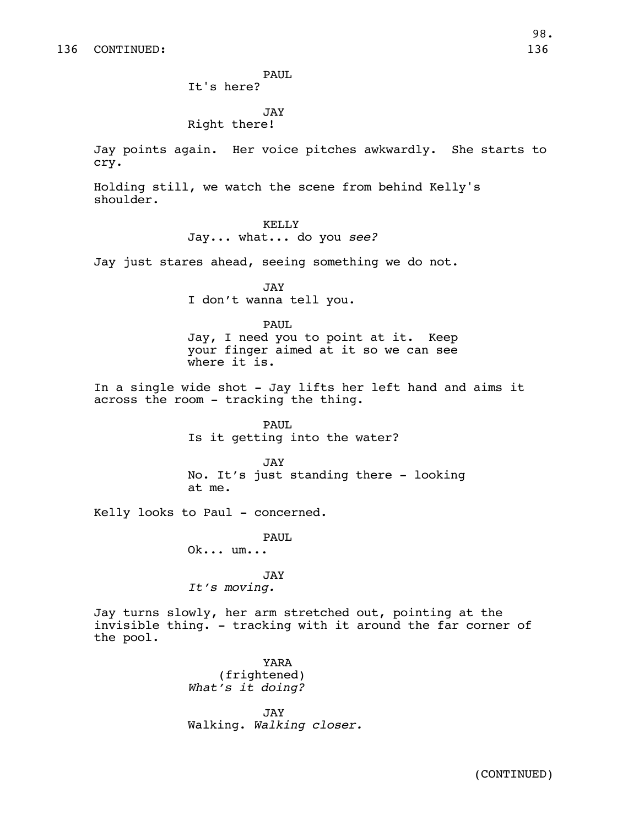PAUL

It's here?

JAY

## Right there!

Jay points again. Her voice pitches awkwardly. She starts to cry.

Holding still, we watch the scene from behind Kelly's shoulder.

> KELLY Jay... what... do you *see?*

Jay just stares ahead, seeing something we do not.

JAY I don't wanna tell you.

PAUL

Jay, I need you to point at it. Keep your finger aimed at it so we can see where it is.

In a single wide shot - Jay lifts her left hand and aims it across the room - tracking the thing.

> PAUL Is it getting into the water?

JAY No. It's just standing there - looking at me.

Kelly looks to Paul - concerned.

PAUL Ok... um...

JAY *It's moving.*

Jay turns slowly, her arm stretched out, pointing at the invisible thing. - tracking with it around the far corner of the pool.

> YARA (frightened) *What's it doing?*

JAY Walking. *Walking closer.*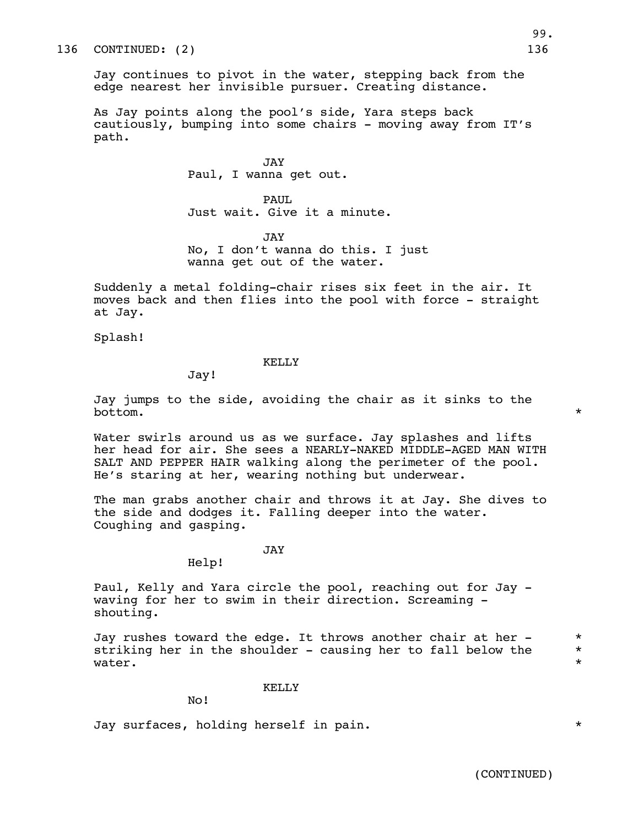Jay continues to pivot in the water, stepping back from the edge nearest her invisible pursuer. Creating distance.

As Jay points along the pool's side, Yara steps back cautiously, bumping into some chairs - moving away from IT's path.

> JAY Paul, I wanna get out.

PAUL. Just wait. Give it a minute.

JAY No, I don't wanna do this. I just wanna get out of the water.

Suddenly a metal folding-chair rises six feet in the air. It moves back and then flies into the pool with force - straight at Jay.

Splash!

#### KELLY

Jay!

Jay jumps to the side, avoiding the chair as it sinks to the bottom.  $*$ 

Water swirls around us as we surface. Jay splashes and lifts her head for air. She sees a NEARLY-NAKED MIDDLE-AGED MAN WITH SALT AND PEPPER HAIR walking along the perimeter of the pool. He's staring at her, wearing nothing but underwear.

The man grabs another chair and throws it at Jay. She dives to the side and dodges it. Falling deeper into the water. Coughing and gasping.

JAY

Help!

Paul, Kelly and Yara circle the pool, reaching out for Jay waving for her to swim in their direction. Screaming shouting.

Jay rushes toward the edge. It throws another chair at her  $*$ striking her in the shoulder - causing her to fall below the  $*$ water.  $*$ 

KELLY

No!

Jay surfaces, holding herself in pain. \*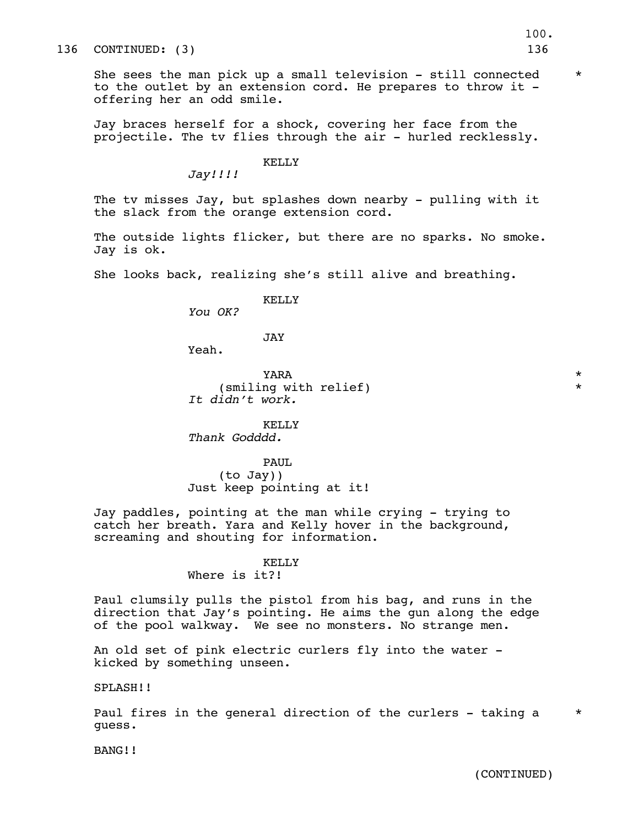She sees the man pick up a small television - still connected  $*$ to the outlet by an extension cord. He prepares to throw it offering her an odd smile.

Jay braces herself for a shock, covering her face from the projectile. The tv flies through the air - hurled recklessly.

#### KELLY

*Jay!!!!*

The tv misses Jay, but splashes down nearby - pulling with it the slack from the orange extension cord.

The outside lights flicker, but there are no sparks. No smoke. Jay is ok.

She looks back, realizing she's still alive and breathing.

#### KELLY

*You OK?*

JAY

Yeah.

 $YARA$   $*$ (smiling with relief) \* *It didn't work.*

KELLY *Thank Godddd.*

PAUL (to Jay)) Just keep pointing at it!

Jay paddles, pointing at the man while crying - trying to catch her breath. Yara and Kelly hover in the background, screaming and shouting for information.

# KELLY

# Where is it?!

Paul clumsily pulls the pistol from his bag, and runs in the direction that Jay's pointing. He aims the gun along the edge of the pool walkway. We see no monsters. No strange men.

An old set of pink electric curlers fly into the water kicked by something unseen.

SPLASH!!

Paul fires in the general direction of the curlers - taking a  $*$ guess.

BANG!!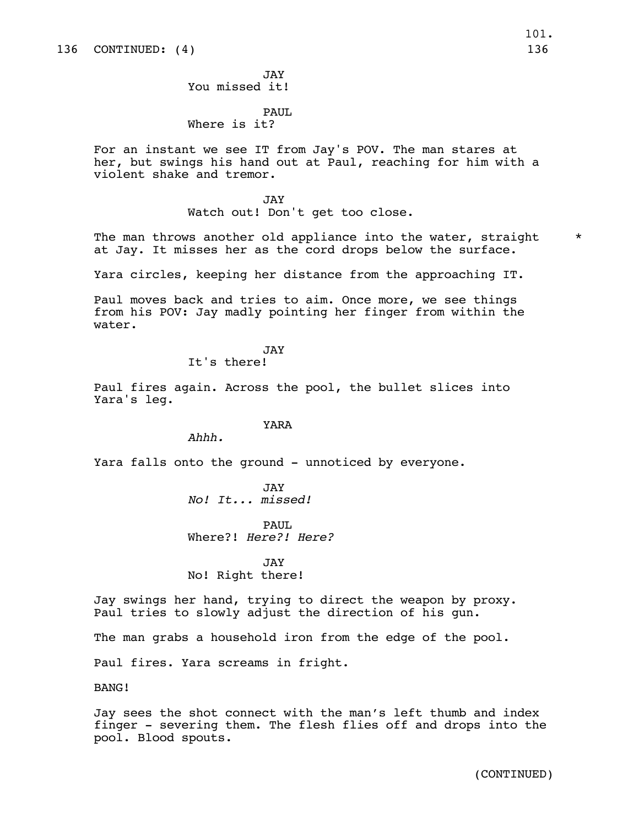JAY You missed it!

#### PAUL Where is it?

For an instant we see IT from Jay's POV. The man stares at her, but swings his hand out at Paul, reaching for him with a violent shake and tremor.

> **JAY** Watch out! Don't get too close.

The man throws another old appliance into the water, straight  $*$ at Jay. It misses her as the cord drops below the surface.

Yara circles, keeping her distance from the approaching IT.

Paul moves back and tries to aim. Once more, we see things from his POV: Jay madly pointing her finger from within the water.

# JAY

It's there!

Paul fires again. Across the pool, the bullet slices into Yara's leg.

### YARA

*Ahhh.*

Yara falls onto the ground - unnoticed by everyone.

JAY *No! It... missed!*

PAUL. Where?! *Here?! Here?*

JAY No! Right there!

Jay swings her hand, trying to direct the weapon by proxy. Paul tries to slowly adjust the direction of his gun.

The man grabs a household iron from the edge of the pool.

Paul fires. Yara screams in fright.

BANG!

Jay sees the shot connect with the man's left thumb and index finger - severing them. The flesh flies off and drops into the pool. Blood spouts.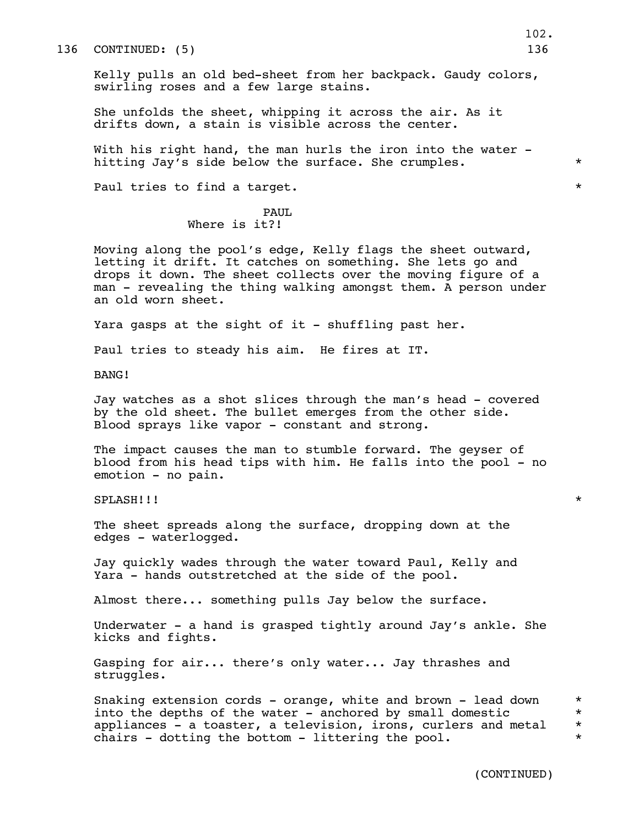136 CONTINUED: (5) 136

Kelly pulls an old bed-sheet from her backpack. Gaudy colors, swirling roses and a few large stains.

She unfolds the sheet, whipping it across the air. As it drifts down, a stain is visible across the center.

With his right hand, the man hurls the iron into the water hitting Jay's side below the surface. She crumples.  $*$ 

Paul tries to find a target.  $\star$ 

#### PAUL Where is it?!

Moving along the pool's edge, Kelly flags the sheet outward, letting it drift. It catches on something. She lets go and drops it down. The sheet collects over the moving figure of a man - revealing the thing walking amongst them. A person under an old worn sheet.

Yara gasps at the sight of it - shuffling past her.

Paul tries to steady his aim. He fires at IT.

BANG!

Jay watches as a shot slices through the man's head - covered by the old sheet. The bullet emerges from the other side. Blood sprays like vapor - constant and strong.

The impact causes the man to stumble forward. The geyser of blood from his head tips with him. He falls into the pool - no emotion - no pain.

SPLASH!!! \*

The sheet spreads along the surface, dropping down at the edges - waterlogged.

Jay quickly wades through the water toward Paul, Kelly and Yara - hands outstretched at the side of the pool.

Almost there... something pulls Jay below the surface.

Underwater - a hand is grasped tightly around Jay's ankle. She kicks and fights.

Gasping for air... there's only water... Jay thrashes and struggles.

Snaking extension cords - orange, white and brown - lead down  $*$ into the depths of the water - anchored by small domestic  $*$ appliances - a toaster, a television, irons, curlers and metal  $*$ chairs - dotting the bottom - littering the pool.  $*$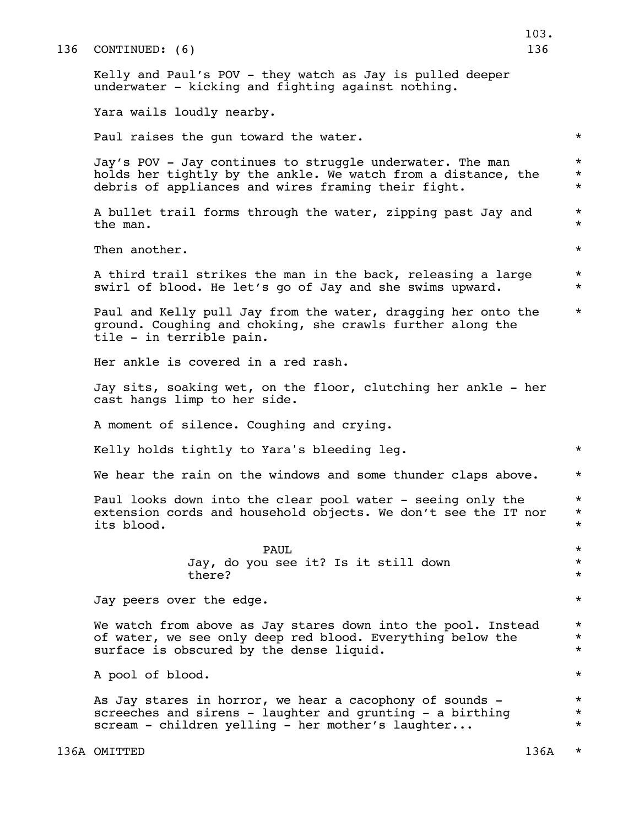|     |                                                                                                                                                                                   | 103.                             |
|-----|-----------------------------------------------------------------------------------------------------------------------------------------------------------------------------------|----------------------------------|
| 136 | CONTINUED: (6)                                                                                                                                                                    | 136                              |
|     | Kelly and Paul's POV - they watch as Jay is pulled deeper<br>underwater - kicking and fighting against nothing.                                                                   |                                  |
|     | Yara wails loudly nearby.                                                                                                                                                         |                                  |
|     | Paul raises the gun toward the water.                                                                                                                                             | $^\star$                         |
|     | Jay's POV - Jay continues to struggle underwater. The man<br>holds her tightly by the ankle. We watch from a distance, the<br>debris of appliances and wires framing their fight. | $^\star$<br>$^\star$<br>$^\star$ |
|     | A bullet trail forms through the water, zipping past Jay and<br>the man.                                                                                                          | $^\star$<br>$^\star$             |
|     | Then another.                                                                                                                                                                     | $^\star$                         |
|     | A third trail strikes the man in the back, releasing a large<br>swirl of blood. He let's go of Jay and she swims upward.                                                          | $^\star$<br>$^\star$             |
|     | Paul and Kelly pull Jay from the water, dragging her onto the<br>ground. Coughing and choking, she crawls further along the<br>tile - in terrible pain.                           | $^\star$                         |
|     | Her ankle is covered in a red rash.                                                                                                                                               |                                  |
|     | Jay sits, soaking wet, on the floor, clutching her ankle - her<br>cast hangs limp to her side.                                                                                    |                                  |
|     | A moment of silence. Coughing and crying.                                                                                                                                         |                                  |
|     | Kelly holds tightly to Yara's bleeding leg.                                                                                                                                       | $^\star$                         |
|     | We hear the rain on the windows and some thunder claps above.                                                                                                                     | $^\star$                         |
|     | Paul looks down into the clear pool water - seeing only the<br>extension cords and household objects. We don't see the IT nor<br>its blood.                                       | $^\star$<br>$^\star$<br>$^\star$ |
|     | PAUL<br>Jay, do you see it? Is it still down<br>there?                                                                                                                            | $^\star$<br>$^\star$<br>$^\star$ |
|     | Jay peers over the edge.                                                                                                                                                          | $^\star$                         |
|     | We watch from above as Jay stares down into the pool. Instead<br>of water, we see only deep red blood. Everything below the<br>surface is obscured by the dense liquid.           | $^\star$<br>$^\star$<br>$^\star$ |
|     | A pool of blood.                                                                                                                                                                  | $^\star$                         |
|     | As Jay stares in horror, we hear a cacophony of sounds -<br>screeches and sirens - laughter and grunting - a birthing<br>scream - children yelling - her mother's laughter        | $^\star$<br>$^\star$<br>$^\star$ |
|     | 136A OMITTED                                                                                                                                                                      | 136A<br>$^\star$                 |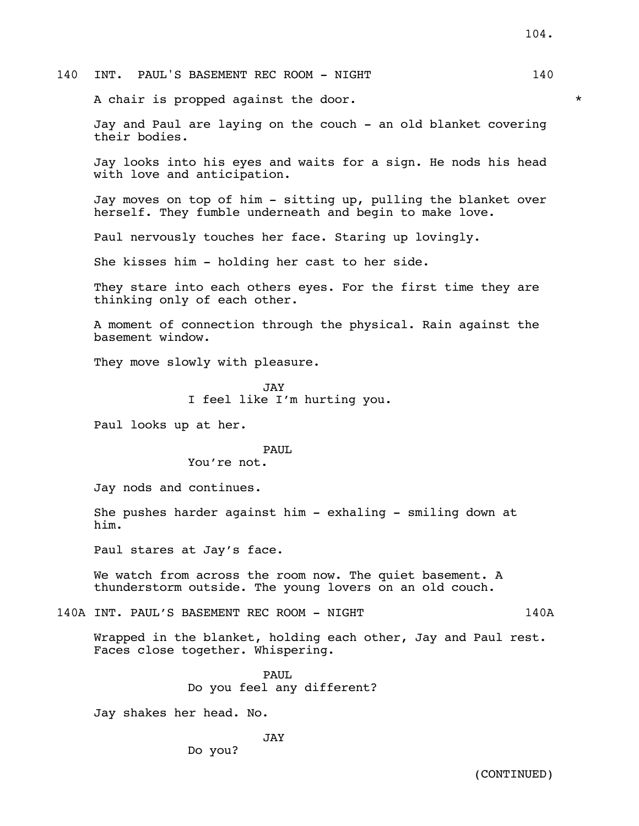140 INT. PAUL'S BASEMENT REC ROOM - NIGHT 140

A chair is propped against the door.  $*$ 

Jay and Paul are laying on the couch - an old blanket covering their bodies.

Jay looks into his eyes and waits for a sign. He nods his head with love and anticipation.

Jay moves on top of him - sitting up, pulling the blanket over herself. They fumble underneath and begin to make love.

Paul nervously touches her face. Staring up lovingly.

She kisses him - holding her cast to her side.

They stare into each others eyes. For the first time they are thinking only of each other.

A moment of connection through the physical. Rain against the basement window.

They move slowly with pleasure.

JAY I feel like I'm hurting you.

Paul looks up at her.

#### PAUL.

You're not.

Jay nods and continues.

She pushes harder against him - exhaling - smiling down at him.

Paul stares at Jay's face.

We watch from across the room now. The quiet basement. A thunderstorm outside. The young lovers on an old couch.

140A INT. PAUL'S BASEMENT REC ROOM - NIGHT 140A

Wrapped in the blanket, holding each other, Jay and Paul rest. Faces close together. Whispering.

> PAUL. Do you feel any different?

Jay shakes her head. No.

JAY

Do you?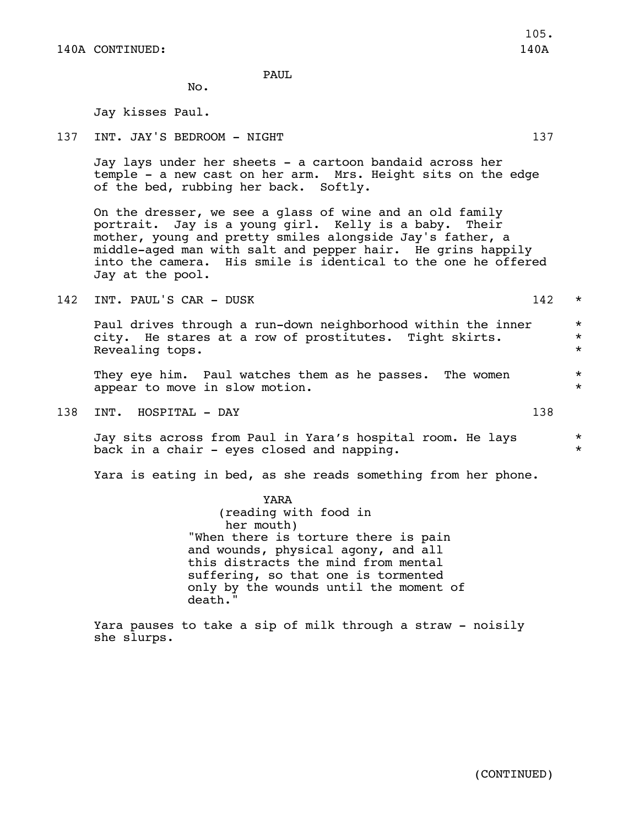PAUL

No.

Jay kisses Paul.

137 INT. JAY'S BEDROOM - NIGHT 137 137

Jay lays under her sheets - a cartoon bandaid across her temple - a new cast on her arm. Mrs. Height sits on the edge of the bed, rubbing her back. Softly.

On the dresser, we see a glass of wine and an old family portrait. Jay is a young girl. Kelly is a baby. Their mother, young and pretty smiles alongside Jay's father, a middle-aged man with salt and pepper hair. He grins happily into the camera. His smile is identical to the one he offered Jay at the pool.

142 INT. PAUL'S CAR - DUSK 142 \*

Paul drives through a run-down neighborhood within the inner \* city. He stares at a row of prostitutes. Tight skirts. \* Revealing tops.  $\star$ 

They eye him. Paul watches them as he passes. The women  $*$ appear to move in slow motion.  $*$ 

138 INT. HOSPITAL - DAY 138

Jay sits across from Paul in Yara's hospital room. He lays \* back in a chair – eyes closed and napping.  $*$ 

Yara is eating in bed, as she reads something from her phone.

YARA (reading with food in her mouth) "When there is torture there is pain and wounds, physical agony, and all this distracts the mind from mental suffering, so that one is tormented only by the wounds until the moment of death."

Yara pauses to take a sip of milk through a straw - noisily she slurps.